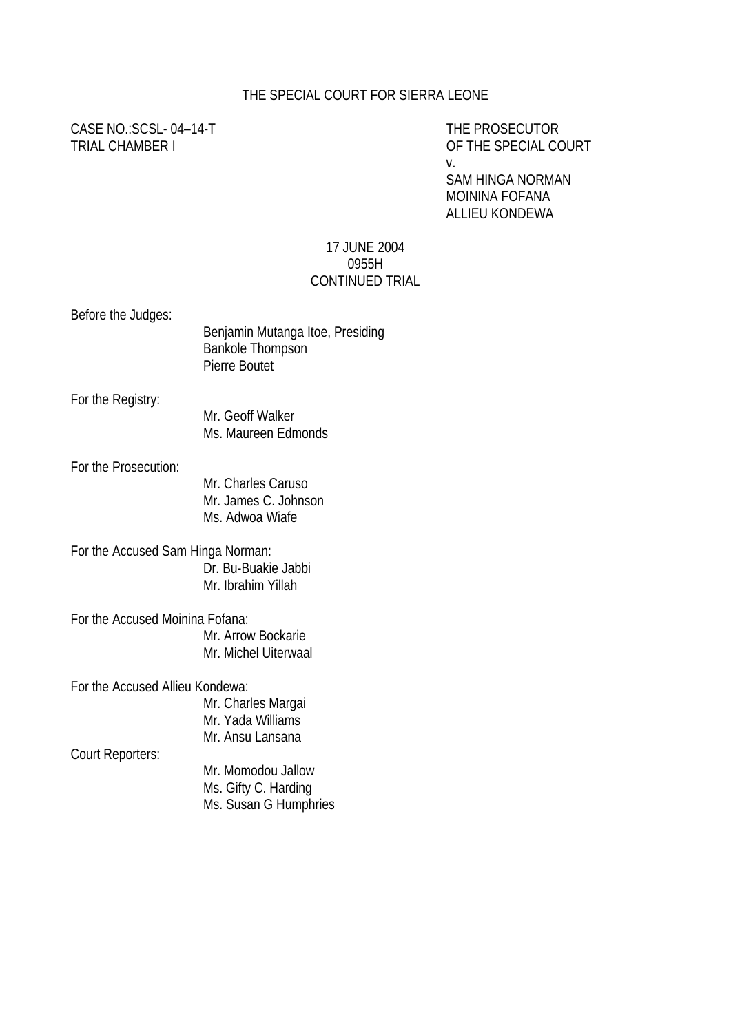#### THE SPECIAL COURT FOR SIERRA LEONE

CASE NO.:SCSL-04-14-T THE PROSECUTOR

TRIAL CHAMBER I OF THE SPECIAL COURT v.

> SAM HINGA NORMAN MOININA FOFANA ALLIEU KONDEWA

#### 17 JUNE 2004 0955H CONTINUED TRIAL

Before the Judges:

| DOIDIO THE JUMPS. | Benjamin Mutanga Itoe, Presiding<br><b>Bankole Thompson</b><br>Pierre Boutet |
|-------------------|------------------------------------------------------------------------------|
| For the Registry: | Mr. Geoff Walker                                                             |
|                   |                                                                              |

Ms. Maureen Edmonds

For the Prosecution:

Mr. Charles Caruso Mr. James C. Johnson Ms. Adwoa Wiafe

For the Accused Sam Hinga Norman: Dr. Bu-Buakie Jabbi Mr. Ibrahim Yillah

For the Accused Moinina Fofana: Mr. Arrow Bockarie Mr. Michel Uiterwaal

For the Accused Allieu Kondewa: Mr. Charles Margai

Mr. Yada Williams Mr. Ansu Lansana

Court Reporters:

Mr. Momodou Jallow Ms. Gifty C. Harding Ms. Susan G Humphries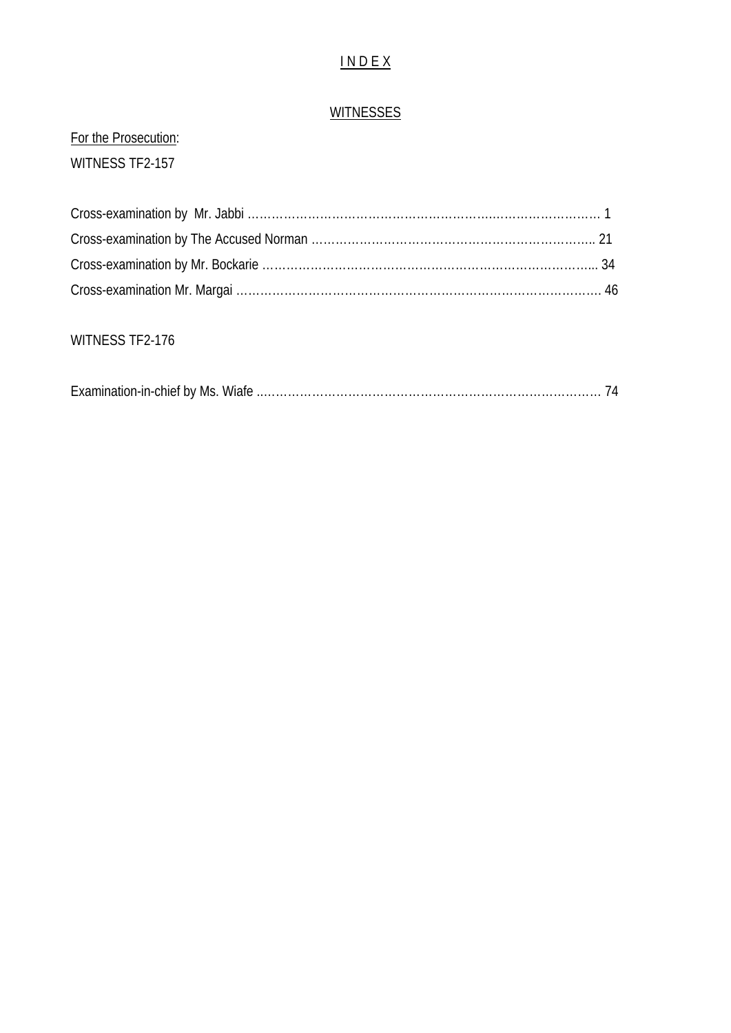## I N D E X

#### **WITNESSES**

# For the Prosecution: WITNESS TF2-157

### WITNESS TF2-176

|--|--|--|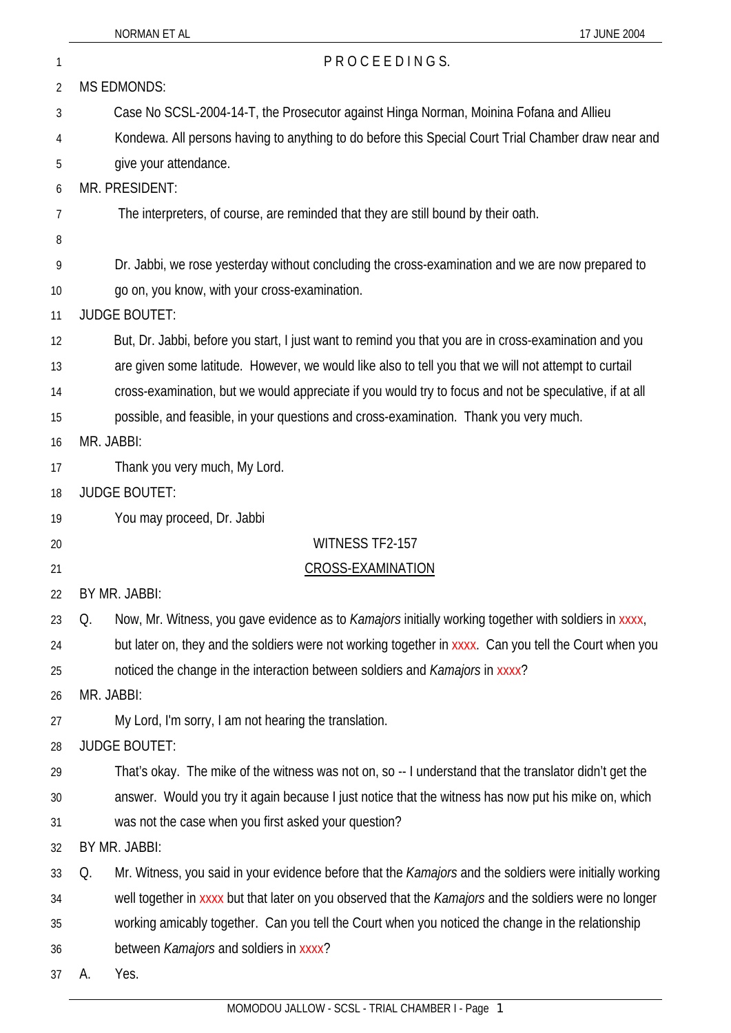| 1  | PROCEEDINGS.                                                                                                  |
|----|---------------------------------------------------------------------------------------------------------------|
| 2  | <b>MS EDMONDS:</b>                                                                                            |
| 3  | Case No SCSL-2004-14-T, the Prosecutor against Hinga Norman, Moinina Fofana and Allieu                        |
| 4  | Kondewa. All persons having to anything to do before this Special Court Trial Chamber draw near and           |
| 5  | give your attendance.                                                                                         |
| 6  | MR. PRESIDENT:                                                                                                |
| 7  | The interpreters, of course, are reminded that they are still bound by their oath.                            |
| 8  |                                                                                                               |
| 9  | Dr. Jabbi, we rose yesterday without concluding the cross-examination and we are now prepared to              |
| 10 | go on, you know, with your cross-examination.                                                                 |
| 11 | <b>JUDGE BOUTET:</b>                                                                                          |
| 12 | But, Dr. Jabbi, before you start, I just want to remind you that you are in cross-examination and you         |
| 13 | are given some latitude. However, we would like also to tell you that we will not attempt to curtail          |
| 14 | cross-examination, but we would appreciate if you would try to focus and not be speculative, if at all        |
| 15 | possible, and feasible, in your questions and cross-examination. Thank you very much.                         |
| 16 | MR. JABBI:                                                                                                    |
| 17 | Thank you very much, My Lord.                                                                                 |
| 18 | <b>JUDGE BOUTET:</b>                                                                                          |
| 19 | You may proceed, Dr. Jabbi                                                                                    |
| 20 | WITNESS TF2-157                                                                                               |
| 21 | <b>CROSS-EXAMINATION</b>                                                                                      |
| 22 | BY MR. JABBI:                                                                                                 |
| 23 | Now, Mr. Witness, you gave evidence as to Kamajors initially working together with soldiers in xxxx,<br>Q.    |
| 24 | but later on, they and the soldiers were not working together in xxxx. Can you tell the Court when you        |
| 25 | noticed the change in the interaction between soldiers and Kamajors in xxxx?                                  |
| 26 | MR. JABBI:                                                                                                    |
| 27 | My Lord, I'm sorry, I am not hearing the translation.                                                         |
| 28 | <b>JUDGE BOUTET:</b>                                                                                          |
| 29 | That's okay. The mike of the witness was not on, so -- I understand that the translator didn't get the        |
| 30 | answer. Would you try it again because I just notice that the witness has now put his mike on, which          |
| 31 | was not the case when you first asked your question?                                                          |
| 32 | BY MR. JABBI:                                                                                                 |
| 33 | Mr. Witness, you said in your evidence before that the Kamajors and the soldiers were initially working<br>Q. |
| 34 | well together in xxxx but that later on you observed that the Kamajors and the soldiers were no longer        |
| 35 | working amicably together. Can you tell the Court when you noticed the change in the relationship             |
| 36 | between Kamajors and soldiers in xxxx?                                                                        |
| 37 | Yes.<br>A.                                                                                                    |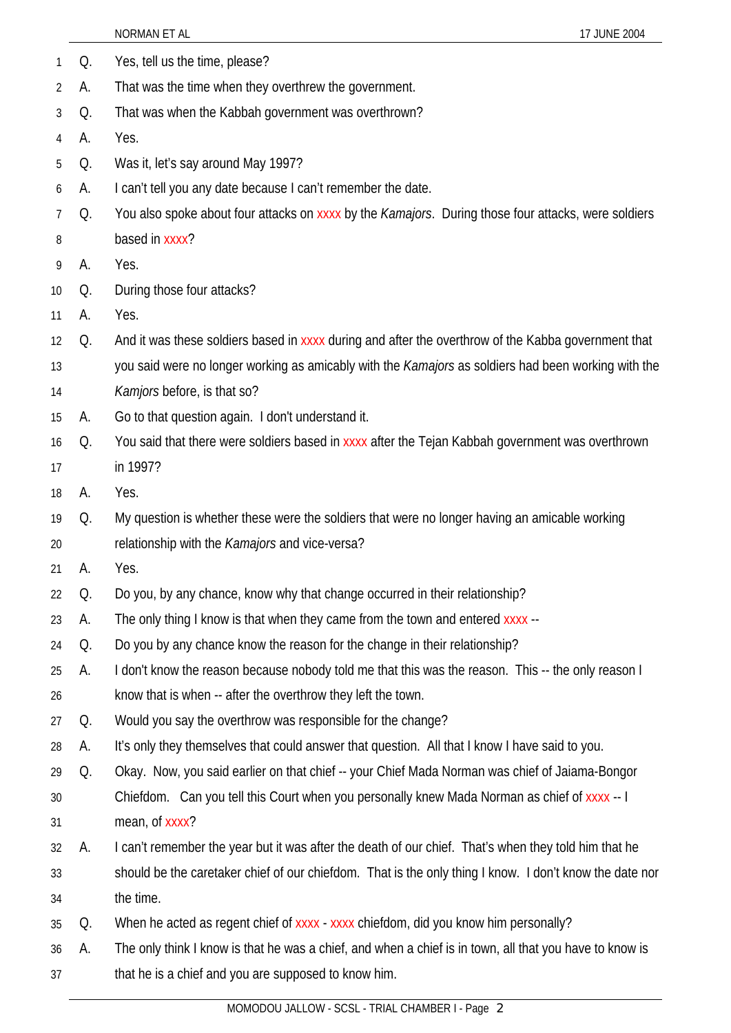|    |    | NORMAN ET AL<br>17 JUNE 2004                                                                            |
|----|----|---------------------------------------------------------------------------------------------------------|
| 1  | Q. | Yes, tell us the time, please?                                                                          |
| 2  | А. | That was the time when they overthrew the government.                                                   |
| 3  | Q. | That was when the Kabbah government was overthrown?                                                     |
| 4  | A. | Yes.                                                                                                    |
| 5  | Q. | Was it, let's say around May 1997?                                                                      |
| 6  | А. | I can't tell you any date because I can't remember the date.                                            |
| 7  | Q. | You also spoke about four attacks on xxxx by the Kamajors. During those four attacks, were soldiers     |
| 8  |    | based in xxxx?                                                                                          |
| 9  | А. | Yes.                                                                                                    |
| 10 | Q. | During those four attacks?                                                                              |
| 11 | A. | Yes.                                                                                                    |
| 12 | Q. | And it was these soldiers based in xxxx during and after the overthrow of the Kabba government that     |
| 13 |    | you said were no longer working as amicably with the Kamajors as soldiers had been working with the     |
| 14 |    | Kamjors before, is that so?                                                                             |
| 15 | А. | Go to that question again. I don't understand it.                                                       |
| 16 | Q. | You said that there were soldiers based in xxxx after the Tejan Kabbah government was overthrown        |
| 17 |    | in 1997?                                                                                                |
| 18 | A. | Yes.                                                                                                    |
| 19 | Q. | My question is whether these were the soldiers that were no longer having an amicable working           |
| 20 |    | relationship with the Kamajors and vice-versa?                                                          |
| 21 | А. | Yes.                                                                                                    |
| 22 | Q. | Do you, by any chance, know why that change occurred in their relationship?                             |
| 23 | A. | The only thing I know is that when they came from the town and entered xxxx --                          |
| 24 | Q. | Do you by any chance know the reason for the change in their relationship?                              |
| 25 | А. | I don't know the reason because nobody told me that this was the reason. This -- the only reason I      |
| 26 |    | know that is when -- after the overthrow they left the town.                                            |
| 27 | Q. | Would you say the overthrow was responsible for the change?                                             |
| 28 | А. | It's only they themselves that could answer that question. All that I know I have said to you.          |
| 29 | Q. | Okay. Now, you said earlier on that chief -- your Chief Mada Norman was chief of Jaiama-Bongor          |
| 30 |    | Chiefdom. Can you tell this Court when you personally knew Mada Norman as chief of xxxx -- I            |
| 31 |    | mean, of xxxx?                                                                                          |
| 32 | А. | I can't remember the year but it was after the death of our chief. That's when they told him that he    |
| 33 |    | should be the caretaker chief of our chiefdom. That is the only thing I know. I don't know the date nor |
| 34 |    | the time.                                                                                               |
| 35 | Q. | When he acted as regent chief of xxxx - xxxx chiefdom, did you know him personally?                     |
| 36 | A. | The only think I know is that he was a chief, and when a chief is in town, all that you have to know is |
| 37 |    | that he is a chief and you are supposed to know him.                                                    |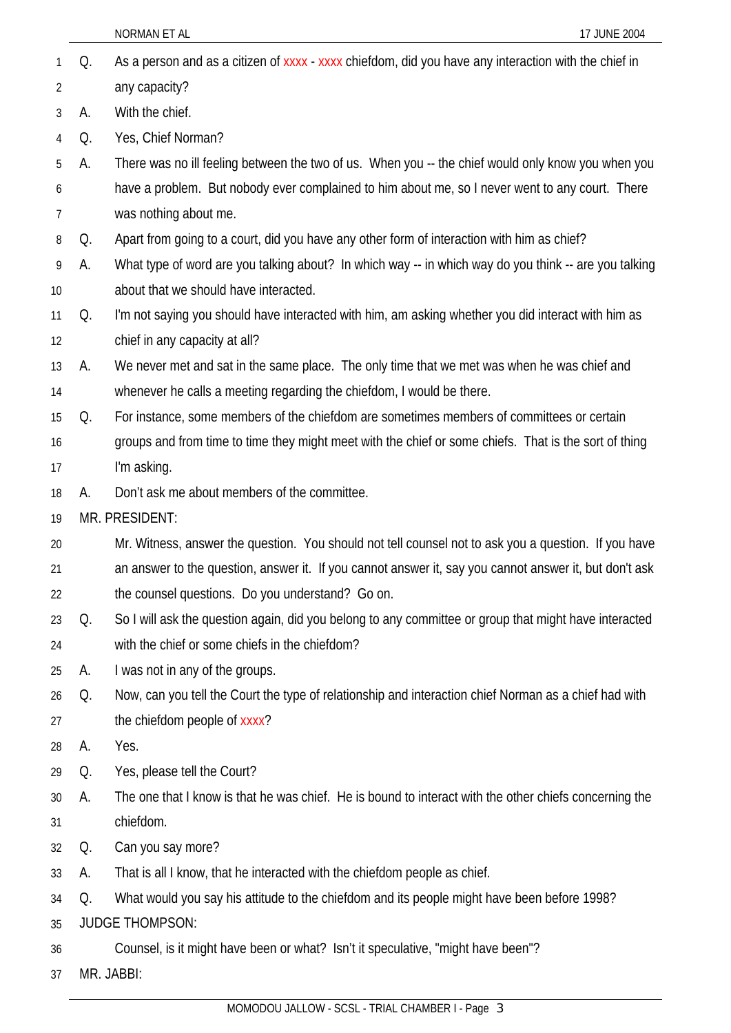Q. As a person and as a citizen of xxxx - xxxx chiefdom, did you have any interaction with the chief in any capacity? 1 2 3 4 5 6 7 8 9 10 11 12 13 14 15 16 17 18 19 20 21 22 23 24 25 26 27 28 29 30 31 32 33 34 35 36 37 A. With the chief. Q. Yes, Chief Norman? A. There was no ill feeling between the two of us. When you -- the chief would only know you when you have a problem. But nobody ever complained to him about me, so I never went to any court. There was nothing about me. Q. Apart from going to a court, did you have any other form of interaction with him as chief? A. What type of word are you talking about? In which way -- in which way do you think -- are you talking about that we should have interacted. Q. I'm not saying you should have interacted with him, am asking whether you did interact with him as chief in any capacity at all? A. We never met and sat in the same place. The only time that we met was when he was chief and whenever he calls a meeting regarding the chiefdom, I would be there. Q. For instance, some members of the chiefdom are sometimes members of committees or certain groups and from time to time they might meet with the chief or some chiefs. That is the sort of thing I'm asking. A. Don't ask me about members of the committee. MR. PRESIDENT: Mr. Witness, answer the question. You should not tell counsel not to ask you a question. If you have an answer to the question, answer it. If you cannot answer it, say you cannot answer it, but don't ask the counsel questions. Do you understand? Go on. Q. So I will ask the question again, did you belong to any committee or group that might have interacted with the chief or some chiefs in the chiefdom? A. I was not in any of the groups. Q. Now, can you tell the Court the type of relationship and interaction chief Norman as a chief had with the chiefdom people of xxxx? A. Yes. Q. Yes, please tell the Court? A. The one that I know is that he was chief. He is bound to interact with the other chiefs concerning the chiefdom. Q. Can you say more? A. That is all I know, that he interacted with the chiefdom people as chief. Q. What would you say his attitude to the chiefdom and its people might have been before 1998? JUDGE THOMPSON: Counsel, is it might have been or what? Isn't it speculative, "might have been"? MR. JABBI: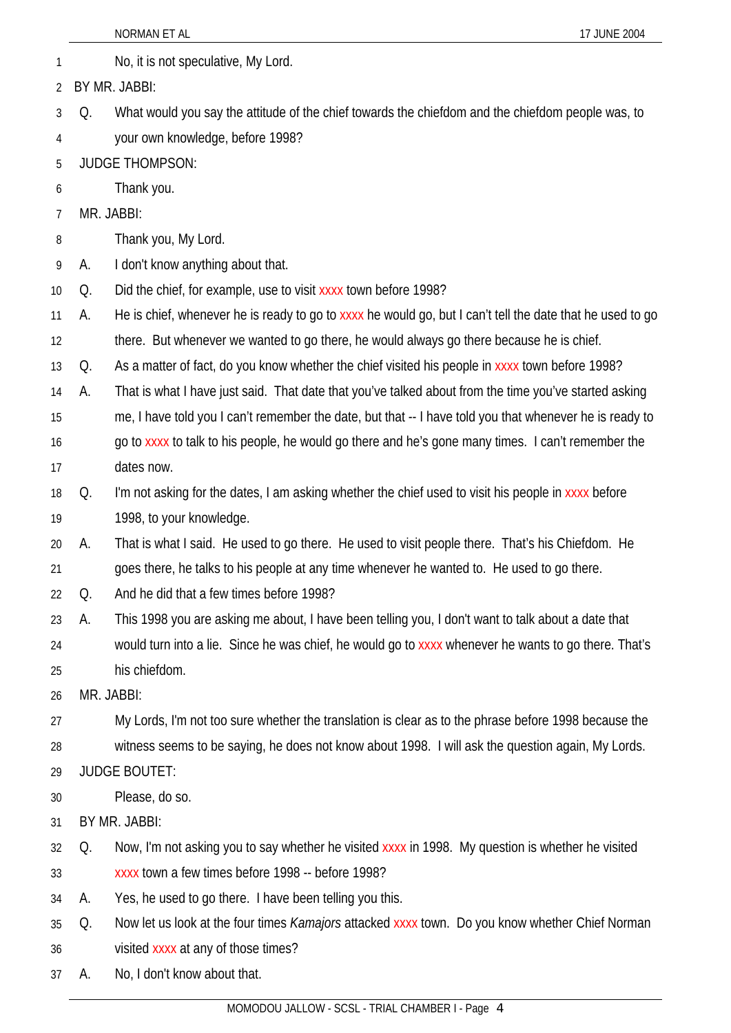|    |            | NORMAN ET AL<br>17 JUNE 2004                                                                              |
|----|------------|-----------------------------------------------------------------------------------------------------------|
| 1  |            | No, it is not speculative, My Lord.                                                                       |
| 2  |            | BY MR. JABBI:                                                                                             |
| 3  | Q.         | What would you say the attitude of the chief towards the chiefdom and the chiefdom people was, to         |
| 4  |            | your own knowledge, before 1998?                                                                          |
| 5  |            | <b>JUDGE THOMPSON:</b>                                                                                    |
| 6  |            | Thank you.                                                                                                |
| 7  | MR. JABBI: |                                                                                                           |
| 8  |            | Thank you, My Lord.                                                                                       |
| 9  | А.         | I don't know anything about that.                                                                         |
| 10 | Q.         | Did the chief, for example, use to visit xxxx town before 1998?                                           |
| 11 | А.         | He is chief, whenever he is ready to go to xxxx he would go, but I can't tell the date that he used to go |
| 12 |            | there. But whenever we wanted to go there, he would always go there because he is chief.                  |
| 13 | Q.         | As a matter of fact, do you know whether the chief visited his people in xxxx town before 1998?           |
| 14 | А.         | That is what I have just said. That date that you've talked about from the time you've started asking     |
| 15 |            | me, I have told you I can't remember the date, but that -- I have told you that whenever he is ready to   |
| 16 |            | go to xxxx to talk to his people, he would go there and he's gone many times. I can't remember the        |
| 17 |            | dates now.                                                                                                |
| 18 | Q.         | I'm not asking for the dates, I am asking whether the chief used to visit his people in xxxx before       |
| 19 |            | 1998, to your knowledge.                                                                                  |
| 20 | А.         | That is what I said. He used to go there. He used to visit people there. That's his Chiefdom. He          |
| 21 |            | goes there, he talks to his people at any time whenever he wanted to. He used to go there.                |
| 22 | Q.         | And he did that a few times before 1998?                                                                  |
| 23 | А.         | This 1998 you are asking me about, I have been telling you, I don't want to talk about a date that        |
| 24 |            | would turn into a lie. Since he was chief, he would go to xxxx whenever he wants to go there. That's      |
| 25 |            | his chiefdom.                                                                                             |
| 26 | MR. JABBI: |                                                                                                           |
| 27 |            | My Lords, I'm not too sure whether the translation is clear as to the phrase before 1998 because the      |
| 28 |            | witness seems to be saying, he does not know about 1998. I will ask the question again, My Lords.         |
| 29 |            | <b>JUDGE BOUTET:</b>                                                                                      |
| 30 |            | Please, do so.                                                                                            |
| 31 |            | BY MR. JABBI:                                                                                             |
| 32 | Q.         | Now, I'm not asking you to say whether he visited xxxx in 1998. My question is whether he visited         |
| 33 |            | xxxx town a few times before 1998 -- before 1998?                                                         |
| 34 | А.         | Yes, he used to go there. I have been telling you this.                                                   |
| 35 | Q.         | Now let us look at the four times <i>Kamajors</i> attacked xxxx town. Do you know whether Chief Norman    |
| 36 |            | visited xxxx at any of those times?                                                                       |
| 37 | А.         | No, I don't know about that.                                                                              |
|    |            |                                                                                                           |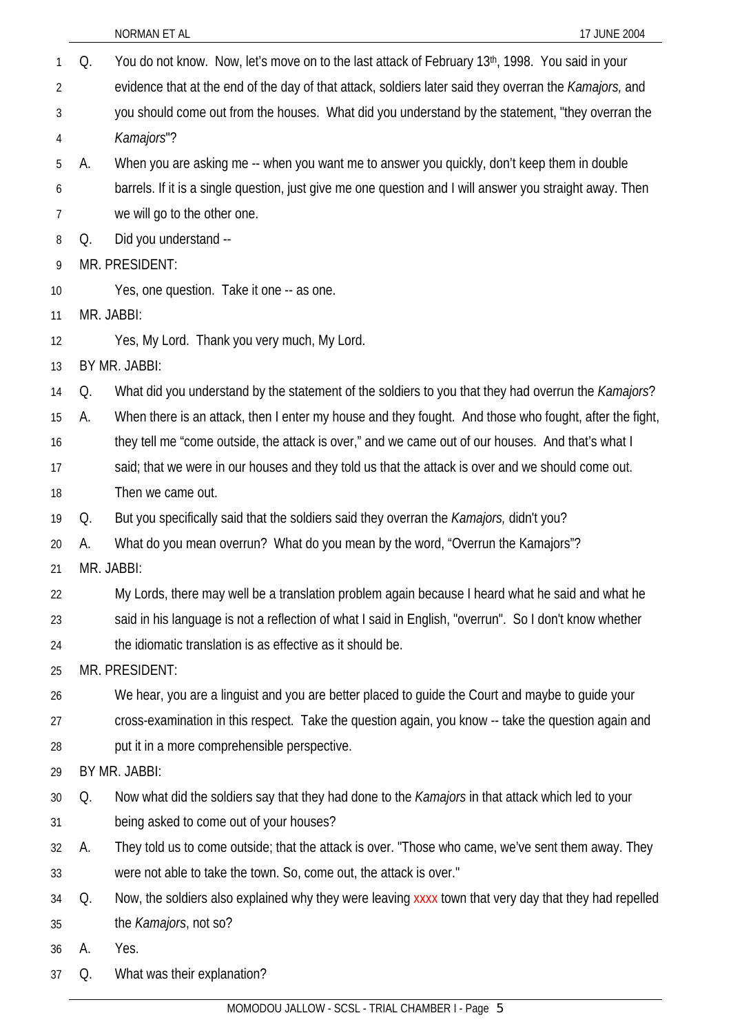|                 |    | NORMAN ET AL<br>17 JUNE 2004                                                                                   |
|-----------------|----|----------------------------------------------------------------------------------------------------------------|
| 1               | Q. | You do not know. Now, let's move on to the last attack of February 13th, 1998. You said in your                |
| $\overline{2}$  |    | evidence that at the end of the day of that attack, soldiers later said they overran the Kamajors, and         |
| $\sqrt{3}$<br>4 |    | you should come out from the houses. What did you understand by the statement, "they overran the<br>Kamajors"? |
| 5               | А. | When you are asking me -- when you want me to answer you quickly, don't keep them in double                    |
| 6               |    | barrels. If it is a single question, just give me one question and I will answer you straight away. Then       |
| 7               |    | we will go to the other one.                                                                                   |
| 8               | Q. | Did you understand --                                                                                          |
| 9               |    | MR. PRESIDENT:                                                                                                 |
| 10              |    | Yes, one question. Take it one -- as one.                                                                      |
| 11              |    | MR. JABBI:                                                                                                     |
| 12              |    | Yes, My Lord. Thank you very much, My Lord.                                                                    |
| 13              |    | BY MR. JABBI:                                                                                                  |
| 14              | Q. | What did you understand by the statement of the soldiers to you that they had overrun the Kamajors?            |
| 15              | А. | When there is an attack, then I enter my house and they fought. And those who fought, after the fight,         |
| 16              |    | they tell me "come outside, the attack is over," and we came out of our houses. And that's what I              |
| 17              |    | said; that we were in our houses and they told us that the attack is over and we should come out.              |
| 18              |    | Then we came out.                                                                                              |
| 19              | Q. | But you specifically said that the soldiers said they overran the Kamajors, didn't you?                        |
| 20              | А. | What do you mean overrun? What do you mean by the word, "Overrun the Kamajors"?                                |
| 21              |    | MR. JABBI:                                                                                                     |
| 22              |    | My Lords, there may well be a translation problem again because I heard what he said and what he               |
| 23              |    | said in his language is not a reflection of what I said in English, "overrun". So I don't know whether         |
| 24              |    | the idiomatic translation is as effective as it should be.                                                     |
| 25              |    | MR. PRESIDENT:                                                                                                 |
| 26              |    | We hear, you are a linguist and you are better placed to guide the Court and maybe to guide your               |
| 27              |    | cross-examination in this respect. Take the question again, you know -- take the question again and            |
| 28              |    | put it in a more comprehensible perspective.                                                                   |
| 29              |    | BY MR. JABBI:                                                                                                  |
| 30              | Q. | Now what did the soldiers say that they had done to the Kamajors in that attack which led to your              |
| 31              |    | being asked to come out of your houses?                                                                        |
| 32              | А. | They told us to come outside; that the attack is over. "Those who came, we've sent them away. They             |
| 33              |    | were not able to take the town. So, come out, the attack is over."                                             |
| 34              | Q. | Now, the soldiers also explained why they were leaving xxxx town that very day that they had repelled          |
| 35              |    | the Kamajors, not so?                                                                                          |
| 36              | А. | Yes.                                                                                                           |
| 37              | Q. | What was their explanation?                                                                                    |
|                 |    | MOMODOU JALLOW - SCSL - TRIAL CHAMBER I - Page 5                                                               |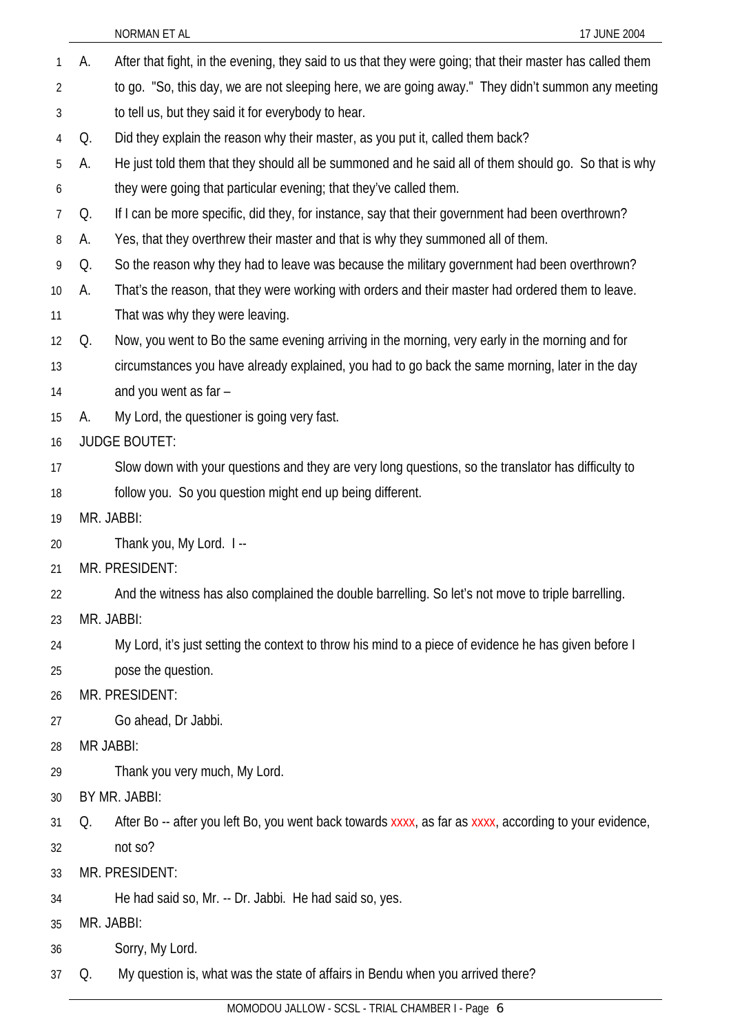|                |    | NORMAN ET AL<br>17 JUNE 2004                                                                              |
|----------------|----|-----------------------------------------------------------------------------------------------------------|
| 1              | А. | After that fight, in the evening, they said to us that they were going; that their master has called them |
| 2              |    | to go. "So, this day, we are not sleeping here, we are going away." They didn't summon any meeting        |
| 3              |    | to tell us, but they said it for everybody to hear.                                                       |
| 4              | Q. | Did they explain the reason why their master, as you put it, called them back?                            |
| 5              | А. | He just told them that they should all be summoned and he said all of them should go. So that is why      |
| 6              |    | they were going that particular evening; that they've called them.                                        |
| $\overline{7}$ | Q. | If I can be more specific, did they, for instance, say that their government had been overthrown?         |
| 8              | A. | Yes, that they overthrew their master and that is why they summoned all of them.                          |
| 9              | Q. | So the reason why they had to leave was because the military government had been overthrown?              |
| 10             | А. | That's the reason, that they were working with orders and their master had ordered them to leave.         |
| 11             |    | That was why they were leaving.                                                                           |
| 12             | Q. | Now, you went to Bo the same evening arriving in the morning, very early in the morning and for           |
| 13             |    | circumstances you have already explained, you had to go back the same morning, later in the day           |
| 14             |    | and you went as far -                                                                                     |
| 15             | А. | My Lord, the questioner is going very fast.                                                               |
| 16             |    | <b>JUDGE BOUTET:</b>                                                                                      |
| 17             |    | Slow down with your questions and they are very long questions, so the translator has difficulty to       |
| 18             |    | follow you. So you question might end up being different.                                                 |
| 19             |    | MR. JABBI:                                                                                                |
| 20             |    | Thank you, My Lord. I --                                                                                  |
| 21             |    | MR. PRESIDENT:                                                                                            |
| 22             |    | And the witness has also complained the double barrelling. So let's not move to triple barrelling.        |
| 23             |    | MR. JABBI:                                                                                                |
| 24             |    | My Lord, it's just setting the context to throw his mind to a piece of evidence he has given before I     |
| 25             |    | pose the question.                                                                                        |
| 26             |    | MR. PRESIDENT:                                                                                            |
| 27             |    | Go ahead, Dr Jabbi.                                                                                       |
| 28             |    | <b>MR JABBI:</b>                                                                                          |
| 29             |    | Thank you very much, My Lord.                                                                             |
| 30             |    | BY MR. JABBI:                                                                                             |
| 31             | Q. | After Bo -- after you left Bo, you went back towards xxxx, as far as xxxx, according to your evidence,    |
| 32             |    | not so?                                                                                                   |
| 33             |    | MR. PRESIDENT:                                                                                            |
| 34             |    | He had said so, Mr. -- Dr. Jabbi. He had said so, yes.                                                    |
| 35             |    | MR. JABBI:                                                                                                |
| 36             |    | Sorry, My Lord.                                                                                           |
| 37             | Q. | My question is, what was the state of affairs in Bendu when you arrived there?                            |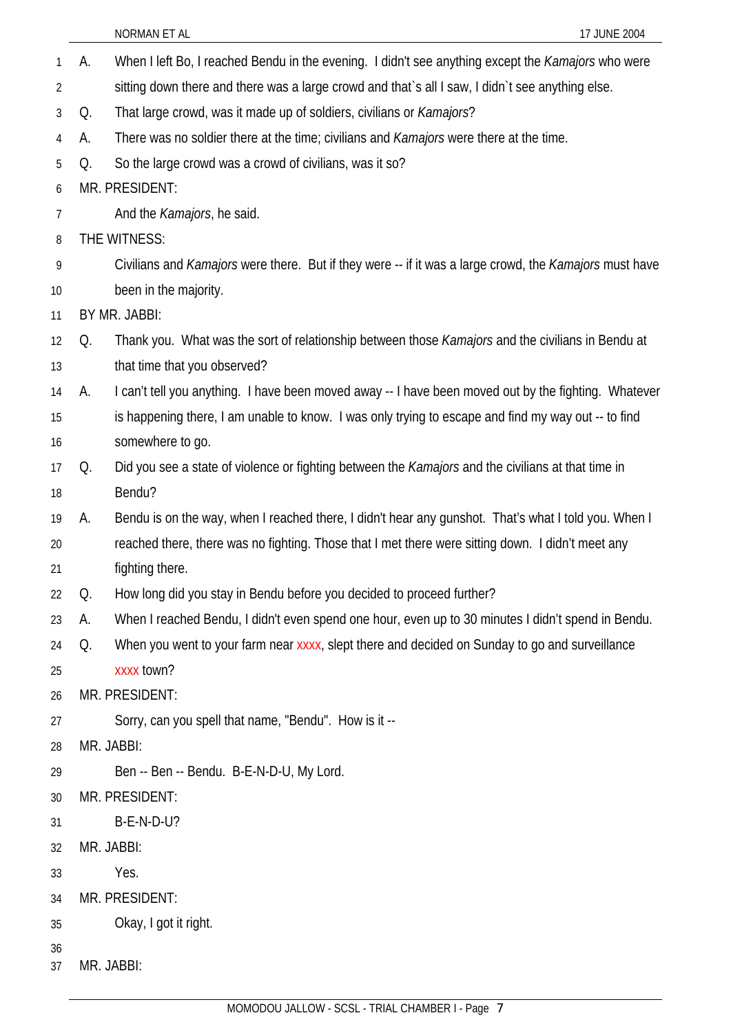| 1              | А. | When I left Bo, I reached Bendu in the evening. I didn't see anything except the Kamajors who were     |
|----------------|----|--------------------------------------------------------------------------------------------------------|
| $\overline{2}$ |    | sitting down there and there was a large crowd and that's all I saw, I didn't see anything else.       |
| $\mathfrak{Z}$ | Q. | That large crowd, was it made up of soldiers, civilians or <i>Kamajors</i> ?                           |
| 4              | А. | There was no soldier there at the time; civilians and <i>Kamajors</i> were there at the time.          |
| 5              | Q. | So the large crowd was a crowd of civilians, was it so?                                                |
| 6              |    | MR. PRESIDENT:                                                                                         |
| 7              |    | And the <i>Kamajors</i> , he said.                                                                     |
| 8              |    | THE WITNESS:                                                                                           |
| 9              |    | Civilians and Kamajors were there. But if they were -- if it was a large crowd, the Kamajors must have |
| 10             |    | been in the majority.                                                                                  |
| 11             |    | BY MR. JABBI:                                                                                          |
| 12             | Q. | Thank you. What was the sort of relationship between those Kamajors and the civilians in Bendu at      |
| 13             |    | that time that you observed?                                                                           |
| 14             | А. | I can't tell you anything. I have been moved away -- I have been moved out by the fighting. Whatever   |
| 15             |    | is happening there, I am unable to know. I was only trying to escape and find my way out -- to find    |
| 16             |    | somewhere to go.                                                                                       |
| 17             | Q. | Did you see a state of violence or fighting between the Kamajors and the civilians at that time in     |
| 18             |    | Bendu?                                                                                                 |
| 19             | А. | Bendu is on the way, when I reached there, I didn't hear any gunshot. That's what I told you. When I   |
| 20             |    | reached there, there was no fighting. Those that I met there were sitting down. I didn't meet any      |
| 21             |    | fighting there.                                                                                        |
| 22             | Q. | How long did you stay in Bendu before you decided to proceed further?                                  |
| 23             | А. | When I reached Bendu, I didn't even spend one hour, even up to 30 minutes I didn't spend in Bendu.     |
| 24             | Q. | When you went to your farm near xxxx, slept there and decided on Sunday to go and surveillance         |
| 25             |    | xxxx town?                                                                                             |
| 26             |    | MR. PRESIDENT:                                                                                         |
| 27             |    | Sorry, can you spell that name, "Bendu". How is it --                                                  |
| 28             |    | MR. JABBI:                                                                                             |
| 29             |    | Ben -- Ben -- Bendu. B-E-N-D-U, My Lord.                                                               |
| 30             |    | MR. PRESIDENT:                                                                                         |
| 31             |    | <b>B-E-N-D-U?</b>                                                                                      |
| 32             |    | MR. JABBI:                                                                                             |
| 33             |    | Yes.                                                                                                   |
| 34             |    | MR. PRESIDENT:                                                                                         |
| 35             |    | Okay, I got it right.                                                                                  |
| 36             |    |                                                                                                        |
| 37             |    | MR. JABBI:                                                                                             |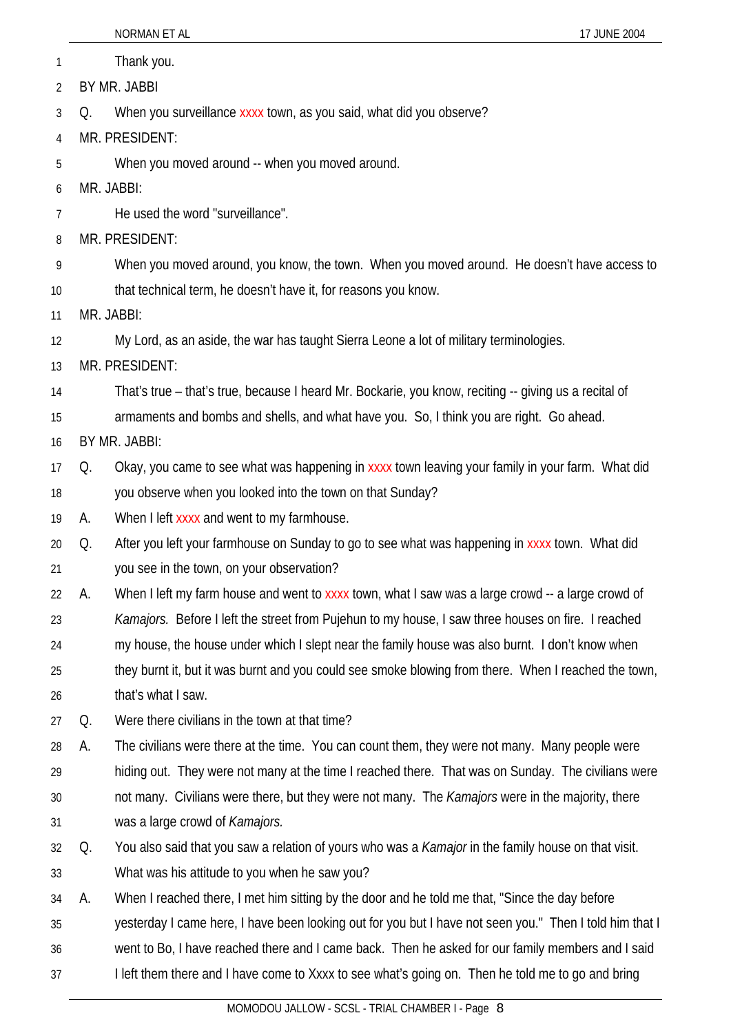|    |    | NORMAN ET AL<br>17 JUNE 2004                                                                            |
|----|----|---------------------------------------------------------------------------------------------------------|
| 1  |    | Thank you.                                                                                              |
| 2  |    | BY MR. JABBI                                                                                            |
| 3  | Q. | When you surveillance xxxx town, as you said, what did you observe?                                     |
| 4  |    | MR. PRESIDENT:                                                                                          |
| 5  |    | When you moved around -- when you moved around.                                                         |
| 6  |    | MR. JABBI:                                                                                              |
| 7  |    | He used the word "surveillance".                                                                        |
| 8  |    | MR. PRESIDENT:                                                                                          |
| 9  |    | When you moved around, you know, the town. When you moved around. He doesn't have access to             |
| 10 |    | that technical term, he doesn't have it, for reasons you know.                                          |
| 11 |    | MR. JABBI:                                                                                              |
| 12 |    | My Lord, as an aside, the war has taught Sierra Leone a lot of military terminologies.                  |
| 13 |    | MR. PRESIDENT:                                                                                          |
| 14 |    | That's true – that's true, because I heard Mr. Bockarie, you know, reciting -- giving us a recital of   |
| 15 |    | armaments and bombs and shells, and what have you. So, I think you are right. Go ahead.                 |
| 16 |    | BY MR. JABBI:                                                                                           |
| 17 | Q. | Okay, you came to see what was happening in xxxx town leaving your family in your farm. What did        |
| 18 |    | you observe when you looked into the town on that Sunday?                                               |
| 19 | А. | When I left xxxx and went to my farmhouse.                                                              |
| 20 | Q. | After you left your farmhouse on Sunday to go to see what was happening in xxxx town. What did          |
| 21 |    | you see in the town, on your observation?                                                               |
| 22 | А. | When I left my farm house and went to xxxx town, what I saw was a large crowd -- a large crowd of       |
| 23 |    | Kamajors. Before I left the street from Pujehun to my house, I saw three houses on fire. I reached      |
| 24 |    | my house, the house under which I slept near the family house was also burnt. I don't know when         |
| 25 |    | they burnt it, but it was burnt and you could see smoke blowing from there. When I reached the town,    |
| 26 |    | that's what I saw.                                                                                      |
| 27 | Q. | Were there civilians in the town at that time?                                                          |
| 28 | А. | The civilians were there at the time. You can count them, they were not many. Many people were          |
| 29 |    | hiding out. They were not many at the time I reached there. That was on Sunday. The civilians were      |
| 30 |    | not many. Civilians were there, but they were not many. The Kamajors were in the majority, there        |
| 31 |    | was a large crowd of Kamajors.                                                                          |
| 32 | Q. | You also said that you saw a relation of yours who was a Kamajor in the family house on that visit.     |
| 33 |    | What was his attitude to you when he saw you?                                                           |
| 34 | А. | When I reached there, I met him sitting by the door and he told me that, "Since the day before          |
| 35 |    | yesterday I came here, I have been looking out for you but I have not seen you." Then I told him that I |
| 36 |    | went to Bo, I have reached there and I came back. Then he asked for our family members and I said       |
| 37 |    | I left them there and I have come to Xxxx to see what's going on. Then he told me to go and bring       |
|    |    |                                                                                                         |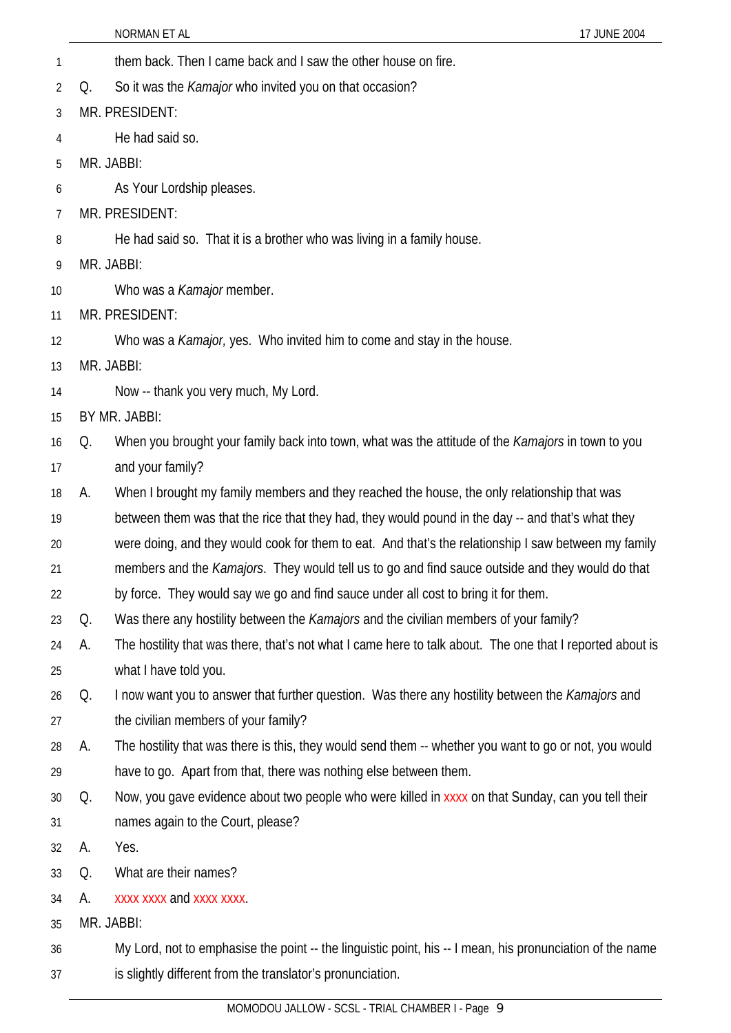NORMAN ET AL 17 JUNE 2004 1 them back. Then I came back and I saw the other house on fire. 2 3 4 5 6 7 8 9 10 11 12 13 14 15 16 17 18 19 20 21 22 23 24 25 26 27 28 29 30 31 32 33 34 35 36 37 Q. So it was the *Kamajor* who invited you on that occasion? MR. PRESIDENT: He had said so. MR. JABBI: As Your Lordship pleases. MR. PRESIDENT: He had said so. That it is a brother who was living in a family house. MR. JABBI: Who was a *Kamajor* member. MR. PRESIDENT: Who was a *Kamajor,* yes. Who invited him to come and stay in the house. MR. JABBI: Now -- thank you very much, My Lord. BY MR. JABBI: Q. When you brought your family back into town, what was the attitude of the *Kamajors* in town to you and your family? A. When I brought my family members and they reached the house, the only relationship that was between them was that the rice that they had, they would pound in the day -- and that's what they were doing, and they would cook for them to eat. And that's the relationship I saw between my family members and the *Kamajors*. They would tell us to go and find sauce outside and they would do that by force. They would say we go and find sauce under all cost to bring it for them. Q. Was there any hostility between the *Kamajors* and the civilian members of your family? A. The hostility that was there, that's not what I came here to talk about. The one that I reported about is what I have told you. Q. I now want you to answer that further question. Was there any hostility between the *Kamajors* and the civilian members of your family? A. The hostility that was there is this, they would send them -- whether you want to go or not, you would have to go. Apart from that, there was nothing else between them. Q. Now, you gave evidence about two people who were killed in xxxx on that Sunday, can you tell their names again to the Court, please? A. Yes. Q. What are their names? A. xxxx xxxx and xxxx xxxx. MR. JABBI: My Lord, not to emphasise the point -- the linguistic point, his -- I mean, his pronunciation of the name is slightly different from the translator's pronunciation.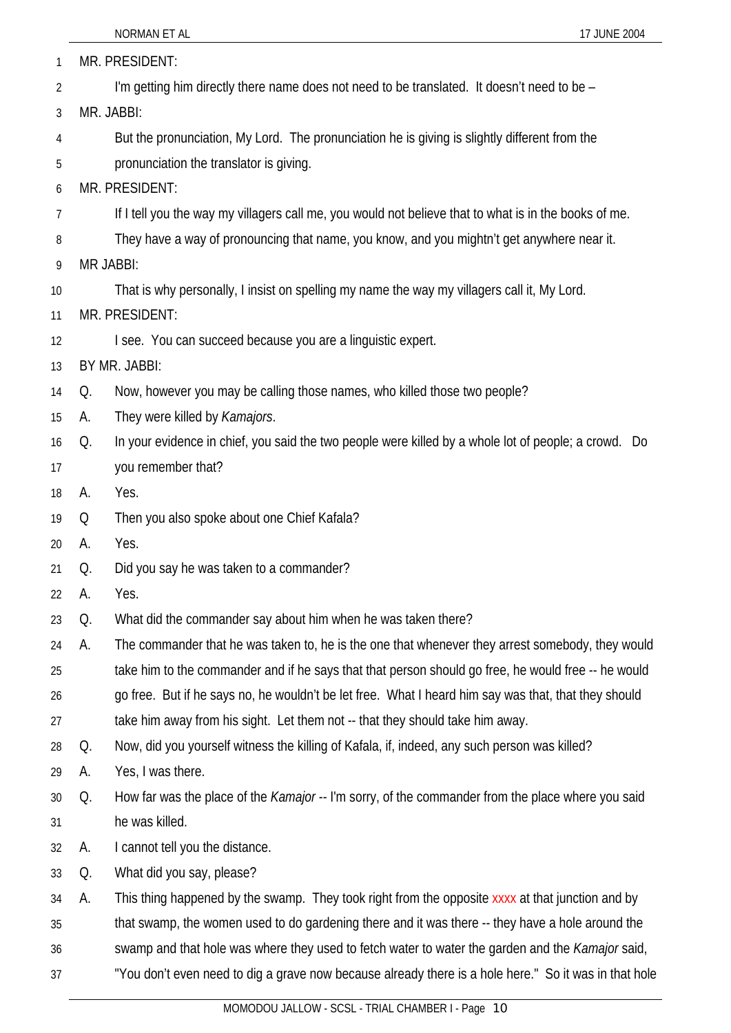| 1  |    | MR. PRESIDENT:                                                                                           |
|----|----|----------------------------------------------------------------------------------------------------------|
| 2  |    | I'm getting him directly there name does not need to be translated. It doesn't need to be -              |
| 3  |    | MR. JABBI:                                                                                               |
| 4  |    | But the pronunciation, My Lord. The pronunciation he is giving is slightly different from the            |
| 5  |    | pronunciation the translator is giving.                                                                  |
| 6  |    | MR. PRESIDENT:                                                                                           |
| 7  |    | If I tell you the way my villagers call me, you would not believe that to what is in the books of me.    |
| 8  |    | They have a way of pronouncing that name, you know, and you mightn't get anywhere near it.               |
| 9  |    | <b>MR JABBI:</b>                                                                                         |
| 10 |    | That is why personally, I insist on spelling my name the way my villagers call it, My Lord.              |
| 11 |    | MR. PRESIDENT:                                                                                           |
| 12 |    | I see. You can succeed because you are a linguistic expert.                                              |
| 13 |    | BY MR. JABBI:                                                                                            |
| 14 | Q. | Now, however you may be calling those names, who killed those two people?                                |
| 15 | А. | They were killed by Kamajors.                                                                            |
| 16 | Q. | In your evidence in chief, you said the two people were killed by a whole lot of people; a crowd. Do     |
| 17 |    | you remember that?                                                                                       |
| 18 | A. | Yes.                                                                                                     |
| 19 | Q  | Then you also spoke about one Chief Kafala?                                                              |
| 20 | А. | Yes.                                                                                                     |
| 21 | Q. | Did you say he was taken to a commander?                                                                 |
| 22 | А. | Yes.                                                                                                     |
| 23 | Q. | What did the commander say about him when he was taken there?                                            |
| 24 | А. | The commander that he was taken to, he is the one that whenever they arrest somebody, they would         |
| 25 |    | take him to the commander and if he says that that person should go free, he would free -- he would      |
| 26 |    | go free. But if he says no, he wouldn't be let free. What I heard him say was that, that they should     |
| 27 |    | take him away from his sight. Let them not -- that they should take him away.                            |
| 28 | Q. | Now, did you yourself witness the killing of Kafala, if, indeed, any such person was killed?             |
| 29 | A. | Yes, I was there.                                                                                        |
| 30 | Q. | How far was the place of the <i>Kamajor</i> -- I'm sorry, of the commander from the place where you said |
| 31 |    | he was killed.                                                                                           |
| 32 | А. | I cannot tell you the distance.                                                                          |
| 33 | Q. | What did you say, please?                                                                                |
| 34 | А. | This thing happened by the swamp. They took right from the opposite xxxx at that junction and by         |
| 35 |    | that swamp, the women used to do gardening there and it was there -- they have a hole around the         |
| 36 |    | swamp and that hole was where they used to fetch water to water the garden and the <i>Kamajor</i> said,  |
| 37 |    | "You don't even need to dig a grave now because already there is a hole here." So it was in that hole    |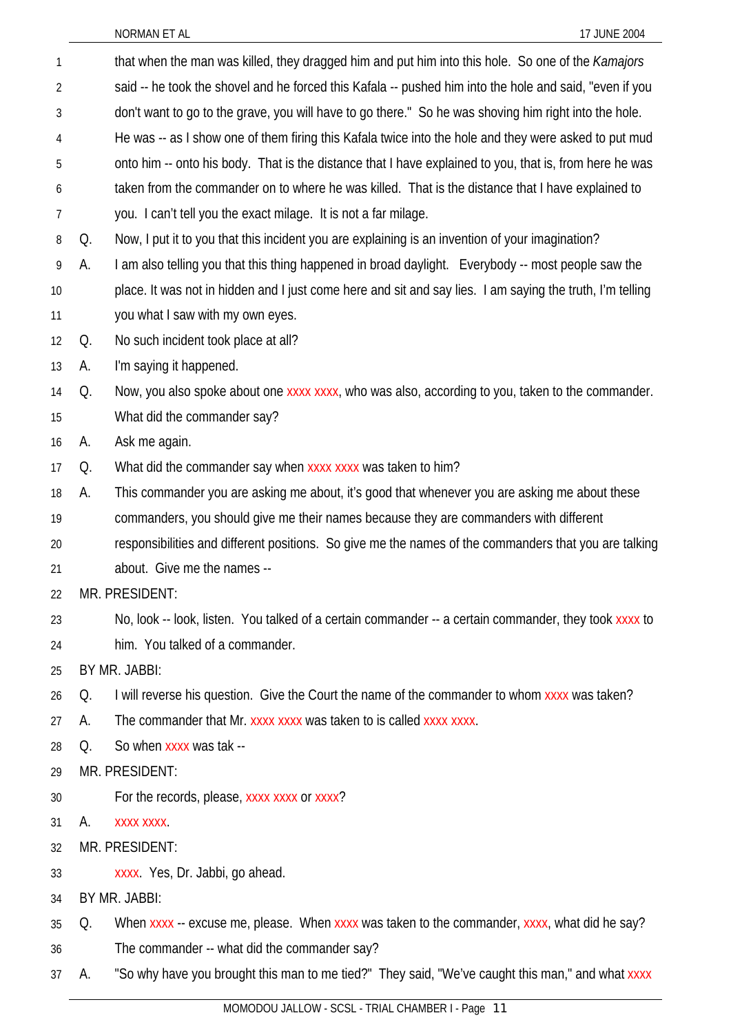| 1  |    | that when the man was killed, they dragged him and put him into this hole. So one of the Kamajors         |
|----|----|-----------------------------------------------------------------------------------------------------------|
| 2  |    | said -- he took the shovel and he forced this Kafala -- pushed him into the hole and said, "even if you   |
| 3  |    | don't want to go to the grave, you will have to go there." So he was shoving him right into the hole.     |
| 4  |    | He was -- as I show one of them firing this Kafala twice into the hole and they were asked to put mud     |
| 5  |    | onto him -- onto his body. That is the distance that I have explained to you, that is, from here he was   |
| 6  |    | taken from the commander on to where he was killed. That is the distance that I have explained to         |
| 7  |    | you. I can't tell you the exact milage. It is not a far milage.                                           |
| 8  | Q. | Now, I put it to you that this incident you are explaining is an invention of your imagination?           |
| 9  | А. | I am also telling you that this thing happened in broad daylight. Everybody -- most people saw the        |
| 10 |    | place. It was not in hidden and I just come here and sit and say lies. I am saying the truth, I'm telling |
| 11 |    | you what I saw with my own eyes.                                                                          |
| 12 | Q. | No such incident took place at all?                                                                       |
| 13 | А. | I'm saying it happened.                                                                                   |
| 14 | Q. | Now, you also spoke about one xxxx xxxx, who was also, according to you, taken to the commander.          |
| 15 |    | What did the commander say?                                                                               |
| 16 | А. | Ask me again.                                                                                             |
| 17 | Q. | What did the commander say when xxxx xxxx was taken to him?                                               |
| 18 | А. | This commander you are asking me about, it's good that whenever you are asking me about these             |
| 19 |    | commanders, you should give me their names because they are commanders with different                     |
| 20 |    | responsibilities and different positions. So give me the names of the commanders that you are talking     |
| 21 |    | about. Give me the names --                                                                               |
| 22 |    | MR. PRESIDENT:                                                                                            |
| 23 |    | No, look -- look, listen. You talked of a certain commander -- a certain commander, they took xxxx to     |
| 24 |    | him. You talked of a commander.                                                                           |
| 25 |    | BY MR. JABBI:                                                                                             |
| 26 | Q. | I will reverse his question. Give the Court the name of the commander to whom xxxx was taken?             |
| 27 | А. | The commander that Mr. xxxx xxxx was taken to is called xxxx xxxx.                                        |
| 28 | Q. | So when xxxx was tak --                                                                                   |
| 29 |    | MR. PRESIDENT:                                                                                            |
| 30 |    | For the records, please, xxxx xxxx or xxxx?                                                               |
| 31 | А. | XXXX XXXX.                                                                                                |
| 32 |    | MR. PRESIDENT:                                                                                            |
| 33 |    | xxxx. Yes, Dr. Jabbi, go ahead.                                                                           |
| 34 |    | BY MR. JABBI:                                                                                             |
| 35 | Q. | When xxxx -- excuse me, please. When xxxx was taken to the commander, xxxx, what did he say?              |
| 36 |    | The commander -- what did the commander say?                                                              |
| 37 | А. | "So why have you brought this man to me tied?" They said, "We've caught this man," and what xxxx          |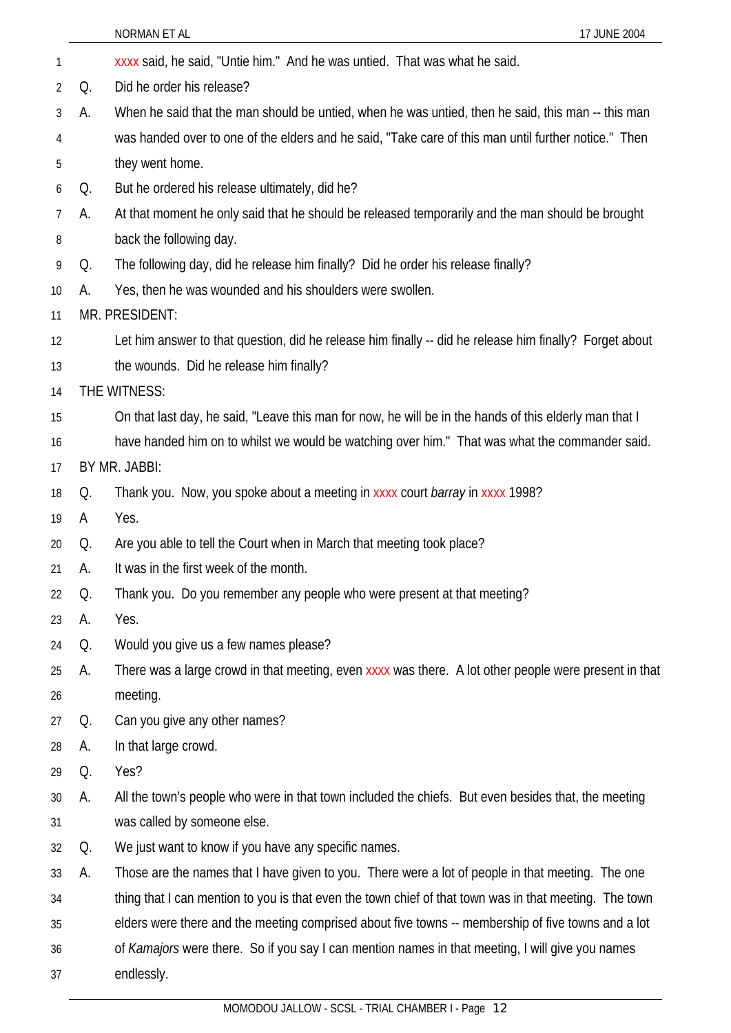|                |    | NORMAN ET AL<br>17 JUNE 2004                                                                            |
|----------------|----|---------------------------------------------------------------------------------------------------------|
| 1              |    | xxxx said, he said, "Untie him." And he was untied. That was what he said.                              |
| $\overline{2}$ | Q. | Did he order his release?                                                                               |
| 3              | А. | When he said that the man should be untied, when he was untied, then he said, this man -- this man      |
| 4              |    | was handed over to one of the elders and he said, "Take care of this man until further notice." Then    |
| 5              |    | they went home.                                                                                         |
| 6              | Q. | But he ordered his release ultimately, did he?                                                          |
| 7              | А. | At that moment he only said that he should be released temporarily and the man should be brought        |
| 8              |    | back the following day.                                                                                 |
| 9              | Q. | The following day, did he release him finally? Did he order his release finally?                        |
| 10             | А. | Yes, then he was wounded and his shoulders were swollen.                                                |
| 11             |    | MR. PRESIDENT:                                                                                          |
| 12             |    | Let him answer to that question, did he release him finally -- did he release him finally? Forget about |
| 13             |    | the wounds. Did he release him finally?                                                                 |
| 14             |    | THE WITNESS:                                                                                            |
| 15             |    | On that last day, he said, "Leave this man for now, he will be in the hands of this elderly man that I  |
| 16             |    | have handed him on to whilst we would be watching over him." That was what the commander said.          |
| 17             |    | BY MR. JABBI:                                                                                           |
| 18             | Q. | Thank you. Now, you spoke about a meeting in xxxx court barray in xxxx 1998?                            |
| 19             | A  | Yes.                                                                                                    |
| 20             | Q. | Are you able to tell the Court when in March that meeting took place?                                   |
| 21             | A. | It was in the first week of the month.                                                                  |
| 22             | Q. | Thank you. Do you remember any people who were present at that meeting?                                 |
| 23             | А. | Yes.                                                                                                    |
| 24             | Q. | Would you give us a few names please?                                                                   |
| 25             | А. | There was a large crowd in that meeting, even xxxx was there. A lot other people were present in that   |
| 26             |    | meeting.                                                                                                |
| 27             | Q. | Can you give any other names?                                                                           |
| 28             | A. | In that large crowd.                                                                                    |
| 29             | Q. | Yes?                                                                                                    |
| 30             | А. | All the town's people who were in that town included the chiefs. But even besides that, the meeting     |
| 31             |    | was called by someone else.                                                                             |
| 32             | Q. | We just want to know if you have any specific names.                                                    |
| 33             | A. | Those are the names that I have given to you. There were a lot of people in that meeting. The one       |
| 34             |    | thing that I can mention to you is that even the town chief of that town was in that meeting. The town  |
| 35             |    | elders were there and the meeting comprised about five towns -- membership of five towns and a lot      |
| 36             |    | of Kamajors were there. So if you say I can mention names in that meeting, I will give you names        |
| 37             |    | endlessly.                                                                                              |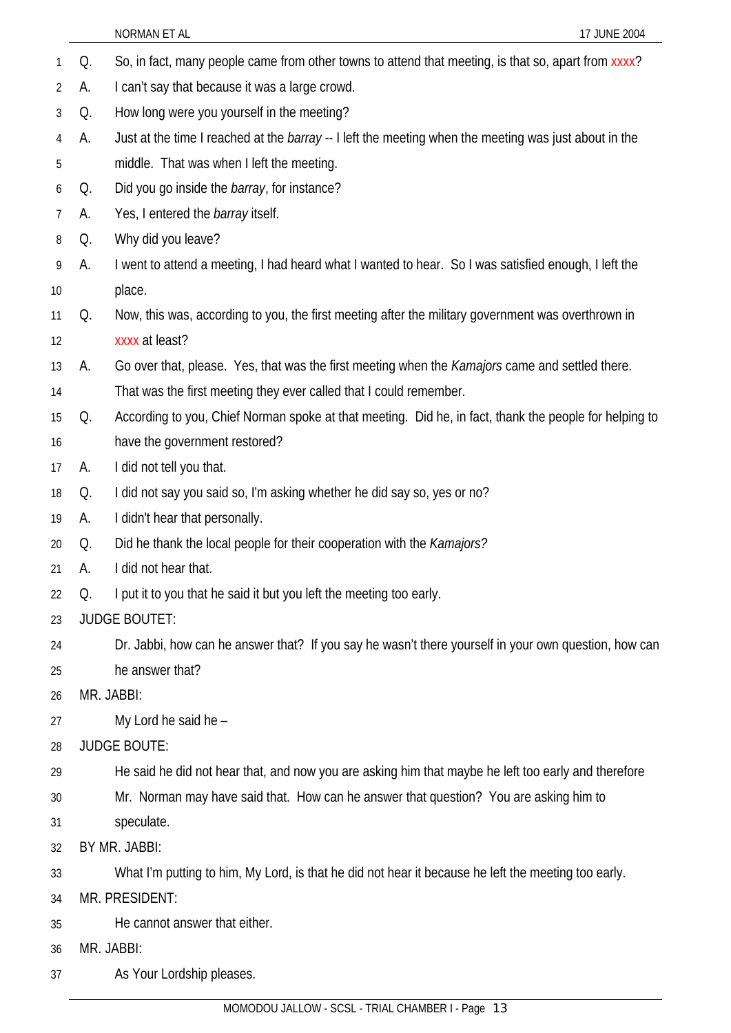1 Q. So, in fact, many people came from other towns to attend that meeting, is that so, apart from xxxx? 2 3 4 5 6 7 8 9 10 11 12 13 14 15 16 17 18 19 20 21  $22$ 23 24 25 26 27 28 29 30 31 32 33 34 35 36 37 A. I can't say that because it was a large crowd. Q. How long were you yourself in the meeting? A. Just at the time I reached at the *barray* -- I left the meeting when the meeting was just about in the middle. That was when I left the meeting. Q. Did you go inside the *barray*, for instance? A. Yes, I entered the *barray* itself. Q. Why did you leave? A. I went to attend a meeting, I had heard what I wanted to hear. So I was satisfied enough, I left the place. Q. Now, this was, according to you, the first meeting after the military government was overthrown in xxxx at least? A. Go over that, please. Yes, that was the first meeting when the *Kamajors* came and settled there. That was the first meeting they ever called that I could remember. Q. According to you, Chief Norman spoke at that meeting. Did he, in fact, thank the people for helping to have the government restored? A. I did not tell you that. Q. I did not say you said so, I'm asking whether he did say so, yes or no? A. I didn't hear that personally. Q. Did he thank the local people for their cooperation with the *Kamajors?* A. I did not hear that. Q. I put it to you that he said it but you left the meeting too early. JUDGE BOUTET: Dr. Jabbi, how can he answer that? If you say he wasn't there yourself in your own question, how can he answer that? MR. JABBI: My Lord he said he -JUDGE BOUTE: He said he did not hear that, and now you are asking him that maybe he left too early and therefore Mr. Norman may have said that. How can he answer that question? You are asking him to speculate. BY MR. JABBI: What I'm putting to him, My Lord, is that he did not hear it because he left the meeting too early. MR. PRESIDENT: He cannot answer that either. MR. JABBI: As Your Lordship pleases.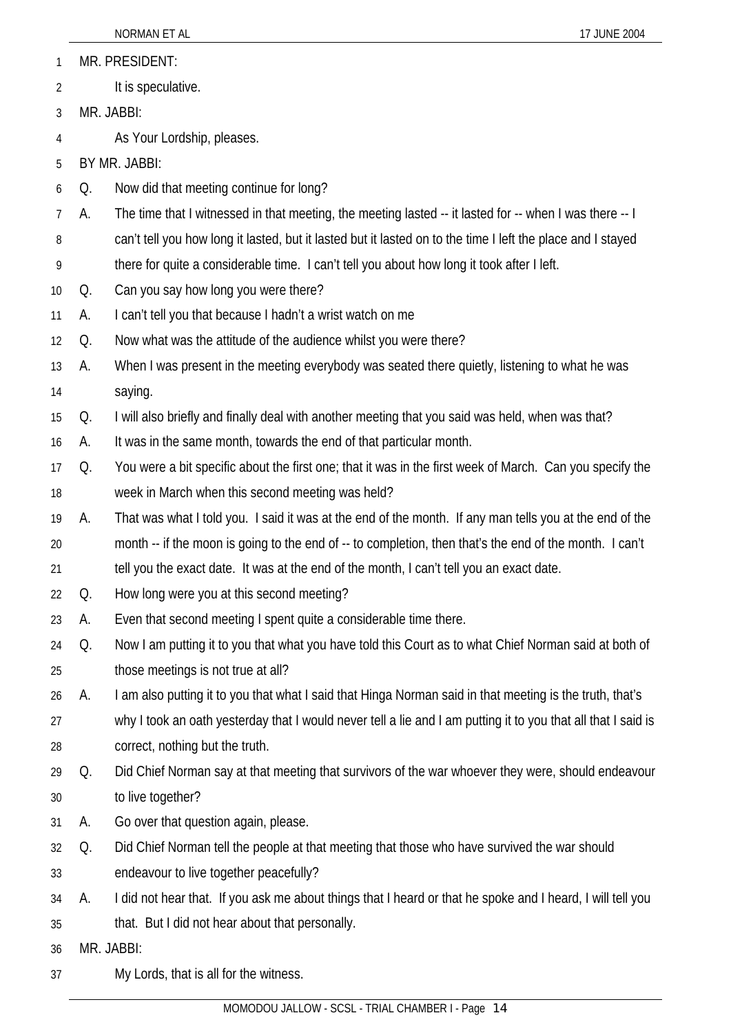- MR. PRESIDENT: 1
- It is speculative. 2
- 3 MR. JABBI:

4 As Your Lordship, pleases.

5 BY MR. JABBI:

- 6 Q. Now did that meeting continue for long?
- 7 A. The time that I witnessed in that meeting, the meeting lasted -- it lasted for -- when I was there -- I
- 8 can't tell you how long it lasted, but it lasted but it lasted on to the time I left the place and I stayed
- 9 there for quite a considerable time. I can't tell you about how long it took after I left.
- 10 Q. Can you say how long you were there?
- 11 A. I can't tell you that because I hadn't a wrist watch on me
- 12 Q. Now what was the attitude of the audience whilst you were there?
- 13 14 A. When I was present in the meeting everybody was seated there quietly, listening to what he was saying.
- 15 Q. I will also briefly and finally deal with another meeting that you said was held, when was that?
- 16 A. It was in the same month, towards the end of that particular month.
- 17 18 Q. You were a bit specific about the first one; that it was in the first week of March. Can you specify the week in March when this second meeting was held?
- 19 20 21 A. That was what I told you. I said it was at the end of the month. If any man tells you at the end of the month -- if the moon is going to the end of -- to completion, then that's the end of the month. I can't tell you the exact date. It was at the end of the month, I can't tell you an exact date.
- 22 Q. How long were you at this second meeting?
- 23 A. Even that second meeting I spent quite a considerable time there.
- 24 25 Q. Now I am putting it to you that what you have told this Court as to what Chief Norman said at both of those meetings is not true at all?
- 26 A. I am also putting it to you that what I said that Hinga Norman said in that meeting is the truth, that's
- 27 28 why I took an oath yesterday that I would never tell a lie and I am putting it to you that all that I said is correct, nothing but the truth.
- 29 30 Q. Did Chief Norman say at that meeting that survivors of the war whoever they were, should endeavour to live together?
- 31 A. Go over that question again, please.
- 32 33 Q. Did Chief Norman tell the people at that meeting that those who have survived the war should endeavour to live together peacefully?
- 34 A. I did not hear that. If you ask me about things that I heard or that he spoke and I heard, I will tell you
- 35 that. But I did not hear about that personally.
- 36 MR. JABBI:
- 37 My Lords, that is all for the witness.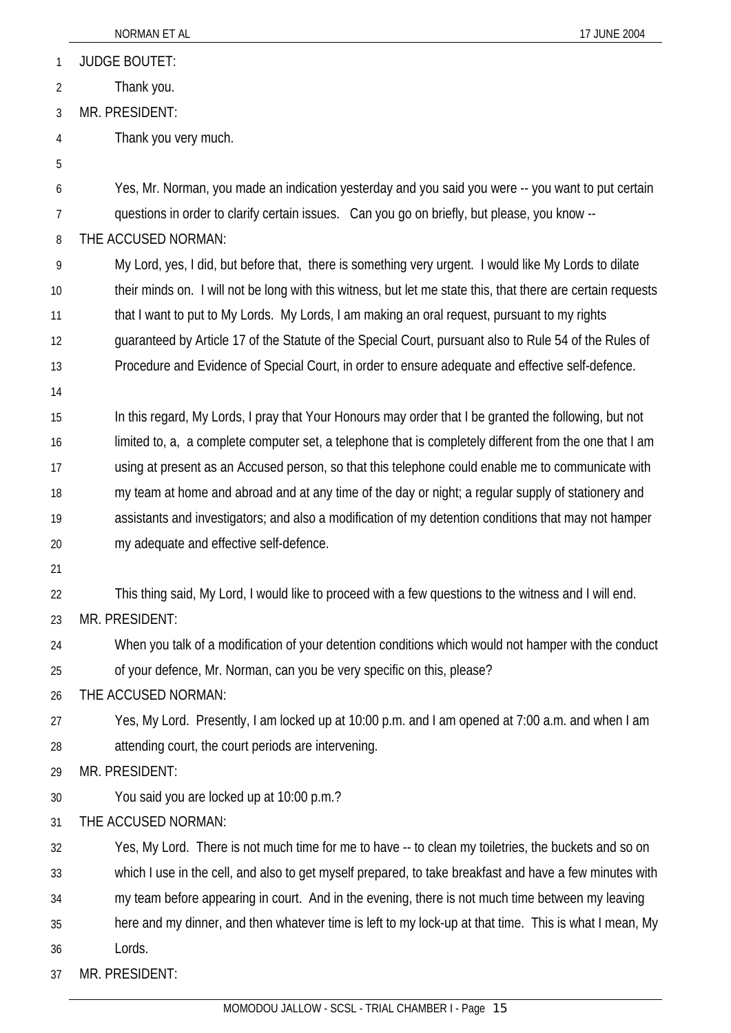|                | NORMAN ET AL<br>17 JUNE 2004                                                                                 |
|----------------|--------------------------------------------------------------------------------------------------------------|
| 1              | <b>JUDGE BOUTET:</b>                                                                                         |
| $\overline{2}$ | Thank you.                                                                                                   |
| 3              | MR. PRESIDENT:                                                                                               |
| 4              | Thank you very much.                                                                                         |
| 5              |                                                                                                              |
| 6              | Yes, Mr. Norman, you made an indication yesterday and you said you were -- you want to put certain           |
| 7              | questions in order to clarify certain issues. Can you go on briefly, but please, you know --                 |
| 8              | THE ACCUSED NORMAN:                                                                                          |
| 9              | My Lord, yes, I did, but before that, there is something very urgent. I would like My Lords to dilate        |
| 10             | their minds on. I will not be long with this witness, but let me state this, that there are certain requests |
| 11             | that I want to put to My Lords. My Lords, I am making an oral request, pursuant to my rights                 |
| 12             | guaranteed by Article 17 of the Statute of the Special Court, pursuant also to Rule 54 of the Rules of       |
| 13             | Procedure and Evidence of Special Court, in order to ensure adequate and effective self-defence.             |
| 14             |                                                                                                              |
| 15             | In this regard, My Lords, I pray that Your Honours may order that I be granted the following, but not        |
| 16             | limited to, a, a complete computer set, a telephone that is completely different from the one that I am      |
| 17             | using at present as an Accused person, so that this telephone could enable me to communicate with            |
| 18             | my team at home and abroad and at any time of the day or night; a regular supply of stationery and           |
| 19             | assistants and investigators; and also a modification of my detention conditions that may not hamper         |
| 20             | my adequate and effective self-defence.                                                                      |
| 21             |                                                                                                              |
| 22             | This thing said, My Lord, I would like to proceed with a few questions to the witness and I will end.        |
| 23             | MR. PRESIDENT:                                                                                               |
| 24             | When you talk of a modification of your detention conditions which would not hamper with the conduct         |
| 25             | of your defence, Mr. Norman, can you be very specific on this, please?                                       |
| 26             | THE ACCUSED NORMAN:                                                                                          |
| 27             | Yes, My Lord. Presently, I am locked up at 10:00 p.m. and I am opened at 7:00 a.m. and when I am             |
| 28             | attending court, the court periods are intervening.                                                          |
| 29             | MR. PRESIDENT:                                                                                               |
| 30             | You said you are locked up at 10:00 p.m.?                                                                    |
| 31             | THE ACCUSED NORMAN:                                                                                          |
| 32             | Yes, My Lord. There is not much time for me to have -- to clean my toiletries, the buckets and so on         |
| 33             | which I use in the cell, and also to get myself prepared, to take breakfast and have a few minutes with      |
| 34             | my team before appearing in court. And in the evening, there is not much time between my leaving             |
| 35             | here and my dinner, and then whatever time is left to my lock-up at that time. This is what I mean, My       |
| 36             | Lords.                                                                                                       |
| 37             | MR. PRESIDENT:                                                                                               |
|                |                                                                                                              |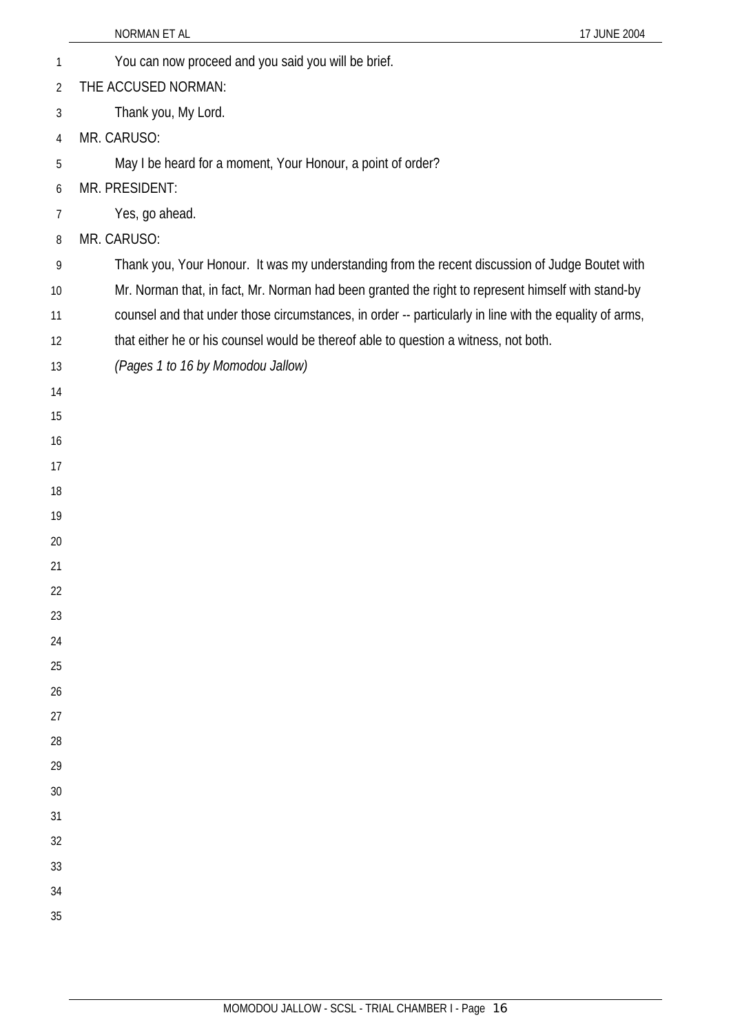| 1              | You can now proceed and you said you will be brief.                                                     |
|----------------|---------------------------------------------------------------------------------------------------------|
| $\overline{2}$ | THE ACCUSED NORMAN:                                                                                     |
| 3              | Thank you, My Lord.                                                                                     |
| 4              | MR. CARUSO:                                                                                             |
| 5              | May I be heard for a moment, Your Honour, a point of order?                                             |
| 6              | MR. PRESIDENT:                                                                                          |
| 7              | Yes, go ahead.                                                                                          |
| 8              | MR. CARUSO:                                                                                             |
| 9              | Thank you, Your Honour. It was my understanding from the recent discussion of Judge Boutet with         |
| 10             | Mr. Norman that, in fact, Mr. Norman had been granted the right to represent himself with stand-by      |
| 11             | counsel and that under those circumstances, in order -- particularly in line with the equality of arms, |
| 12             | that either he or his counsel would be thereof able to question a witness, not both.                    |
| 13             | (Pages 1 to 16 by Momodou Jallow)                                                                       |
| 14             |                                                                                                         |
| 15             |                                                                                                         |
| 16             |                                                                                                         |
| 17             |                                                                                                         |
| 18             |                                                                                                         |
| 19             |                                                                                                         |
| 20             |                                                                                                         |
| 21             |                                                                                                         |
| 22             |                                                                                                         |
| 23<br>24       |                                                                                                         |
| 25             |                                                                                                         |
| 26             |                                                                                                         |
| 27             |                                                                                                         |
| 28             |                                                                                                         |
| 29             |                                                                                                         |
| 30             |                                                                                                         |
| 31             |                                                                                                         |
| 32             |                                                                                                         |
| 33             |                                                                                                         |
| 34             |                                                                                                         |
| 35             |                                                                                                         |
|                |                                                                                                         |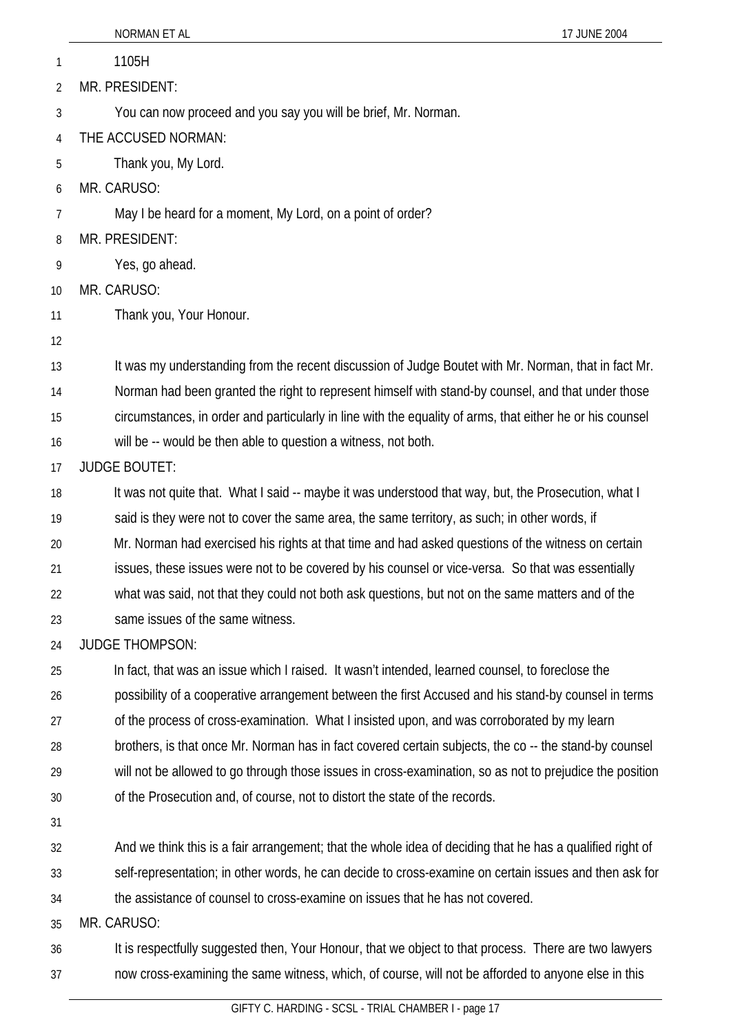|    | NORMAN ET AL<br>17 JUNE 2004                                                                              |
|----|-----------------------------------------------------------------------------------------------------------|
| 1  | 1105H                                                                                                     |
| 2  | MR. PRESIDENT:                                                                                            |
| 3  | You can now proceed and you say you will be brief, Mr. Norman.                                            |
| 4  | THE ACCUSED NORMAN:                                                                                       |
| 5  | Thank you, My Lord.                                                                                       |
| 6  | MR. CARUSO:                                                                                               |
| 7  | May I be heard for a moment, My Lord, on a point of order?                                                |
| 8  | MR. PRESIDENT:                                                                                            |
| 9  | Yes, go ahead.                                                                                            |
| 10 | MR. CARUSO:                                                                                               |
| 11 | Thank you, Your Honour.                                                                                   |
| 12 |                                                                                                           |
| 13 | It was my understanding from the recent discussion of Judge Boutet with Mr. Norman, that in fact Mr.      |
| 14 | Norman had been granted the right to represent himself with stand-by counsel, and that under those        |
| 15 | circumstances, in order and particularly in line with the equality of arms, that either he or his counsel |
| 16 | will be -- would be then able to question a witness, not both.                                            |
| 17 | <b>JUDGE BOUTET:</b>                                                                                      |
| 18 | It was not quite that. What I said -- maybe it was understood that way, but, the Prosecution, what I      |
| 19 | said is they were not to cover the same area, the same territory, as such; in other words, if             |
| 20 | Mr. Norman had exercised his rights at that time and had asked questions of the witness on certain        |
| 21 | issues, these issues were not to be covered by his counsel or vice-versa. So that was essentially         |
| 22 | what was said, not that they could not both ask questions, but not on the same matters and of the         |
| 23 | same issues of the same witness.                                                                          |
| 24 | <b>JUDGE THOMPSON:</b>                                                                                    |
| 25 | In fact, that was an issue which I raised. It wasn't intended, learned counsel, to foreclose the          |
| 26 | possibility of a cooperative arrangement between the first Accused and his stand-by counsel in terms      |
| 27 | of the process of cross-examination. What I insisted upon, and was corroborated by my learn               |
| 28 | brothers, is that once Mr. Norman has in fact covered certain subjects, the co-- the stand-by counsel     |
| 29 | will not be allowed to go through those issues in cross-examination, so as not to prejudice the position  |
| 30 | of the Prosecution and, of course, not to distort the state of the records.                               |
| 31 |                                                                                                           |
| 32 | And we think this is a fair arrangement; that the whole idea of deciding that he has a qualified right of |
| 33 | self-representation; in other words, he can decide to cross-examine on certain issues and then ask for    |
| 34 | the assistance of counsel to cross-examine on issues that he has not covered.                             |
| 35 | MR. CARUSO:                                                                                               |
| 36 | It is respectfully suggested then, Your Honour, that we object to that process. There are two lawyers     |
| 37 | now cross-examining the same witness, which, of course, will not be afforded to anyone else in this       |
|    | GIFTY C. HARDING - SCSL - TRIAL CHAMBER I - page 17                                                       |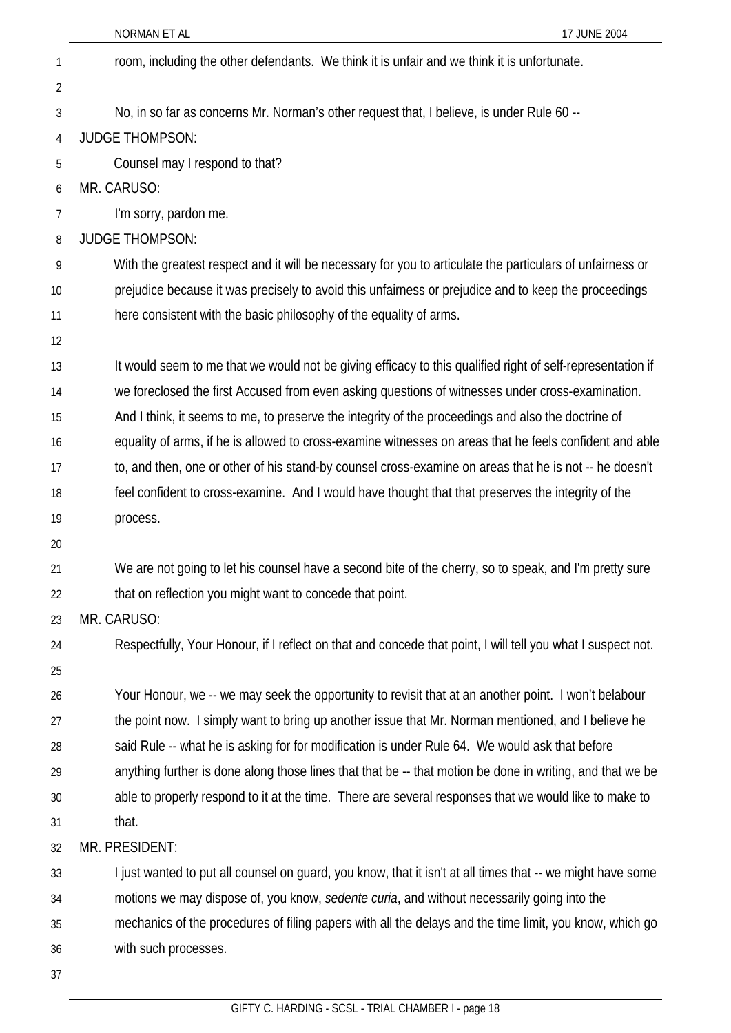| 1              | room, including the other defendants. We think it is unfair and we think it is unfortunate.                 |
|----------------|-------------------------------------------------------------------------------------------------------------|
| $\overline{2}$ |                                                                                                             |
| 3              | No, in so far as concerns Mr. Norman's other request that, I believe, is under Rule 60 --                   |
| 4              | <b>JUDGE THOMPSON:</b>                                                                                      |
| 5              | Counsel may I respond to that?                                                                              |
| 6              | MR. CARUSO:                                                                                                 |
| 7              | I'm sorry, pardon me.                                                                                       |
| 8              | <b>JUDGE THOMPSON:</b>                                                                                      |
| 9              | With the greatest respect and it will be necessary for you to articulate the particulars of unfairness or   |
| 10             | prejudice because it was precisely to avoid this unfairness or prejudice and to keep the proceedings        |
| 11             | here consistent with the basic philosophy of the equality of arms.                                          |
| 12             |                                                                                                             |
| 13             | It would seem to me that we would not be giving efficacy to this qualified right of self-representation if  |
| 14             | we foreclosed the first Accused from even asking questions of witnesses under cross-examination.            |
| 15             | And I think, it seems to me, to preserve the integrity of the proceedings and also the doctrine of          |
| 16             | equality of arms, if he is allowed to cross-examine witnesses on areas that he feels confident and able     |
| 17             | to, and then, one or other of his stand-by counsel cross-examine on areas that he is not -- he doesn't      |
| 18             | feel confident to cross-examine. And I would have thought that that preserves the integrity of the          |
| 19             | process.                                                                                                    |
| 20             |                                                                                                             |
| 21             | We are not going to let his counsel have a second bite of the cherry, so to speak, and I'm pretty sure      |
| 22             | that on reflection you might want to concede that point.                                                    |
| 23             | MR. CARUSO:                                                                                                 |
| 24             | Respectfully, Your Honour, if I reflect on that and concede that point, I will tell you what I suspect not. |
| 25             |                                                                                                             |
| 26             | Your Honour, we -- we may seek the opportunity to revisit that at an another point. I won't belabour        |
| 27             | the point now. I simply want to bring up another issue that Mr. Norman mentioned, and I believe he          |
| 28             | said Rule -- what he is asking for for modification is under Rule 64. We would ask that before              |
| 29             | anything further is done along those lines that that be -- that motion be done in writing, and that we be   |
| 30             | able to properly respond to it at the time. There are several responses that we would like to make to       |
| 31             | that.                                                                                                       |
| 32             | MR. PRESIDENT:                                                                                              |
| 33             | I just wanted to put all counsel on guard, you know, that it isn't at all times that -- we might have some  |
| 34             | motions we may dispose of, you know, sedente curia, and without necessarily going into the                  |
| 35             | mechanics of the procedures of filing papers with all the delays and the time limit, you know, which go     |
| 36             | with such processes.                                                                                        |
| 37             |                                                                                                             |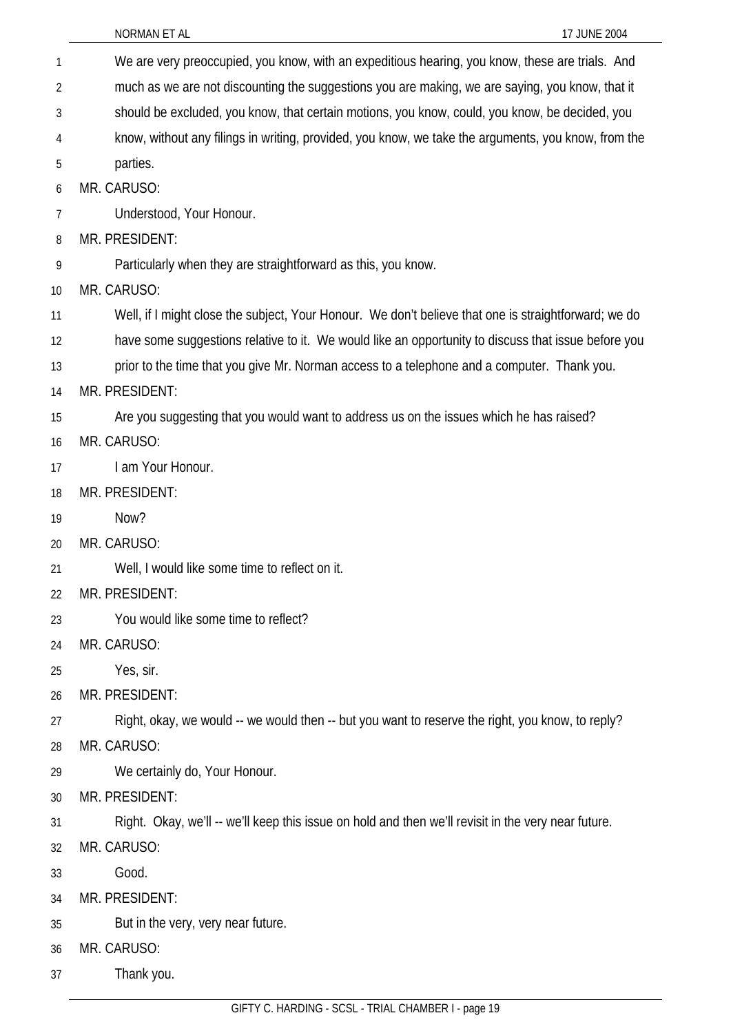| 1  | We are very preoccupied, you know, with an expeditious hearing, you know, these are trials. And      |
|----|------------------------------------------------------------------------------------------------------|
| 2  | much as we are not discounting the suggestions you are making, we are saying, you know, that it      |
| 3  | should be excluded, you know, that certain motions, you know, could, you know, be decided, you       |
| 4  | know, without any filings in writing, provided, you know, we take the arguments, you know, from the  |
| 5  | parties.                                                                                             |
| 6  | MR. CARUSO:                                                                                          |
| 7  | Understood, Your Honour.                                                                             |
| 8  | MR. PRESIDENT:                                                                                       |
| 9  | Particularly when they are straightforward as this, you know.                                        |
| 10 | MR. CARUSO:                                                                                          |
| 11 | Well, if I might close the subject, Your Honour. We don't believe that one is straightforward; we do |
| 12 | have some suggestions relative to it. We would like an opportunity to discuss that issue before you  |
| 13 | prior to the time that you give Mr. Norman access to a telephone and a computer. Thank you.          |
| 14 | MR. PRESIDENT:                                                                                       |
| 15 | Are you suggesting that you would want to address us on the issues which he has raised?              |
| 16 | MR. CARUSO:                                                                                          |
| 17 | I am Your Honour.                                                                                    |
| 18 | MR. PRESIDENT:                                                                                       |
| 19 | Now?                                                                                                 |
| 20 | MR. CARUSO:                                                                                          |
| 21 | Well, I would like some time to reflect on it.                                                       |
| 22 | MR. PRESIDENT:                                                                                       |
| 23 | You would like some time to reflect?                                                                 |
| 24 | MR. CARUSO:                                                                                          |
| 25 | Yes, sir.                                                                                            |
| 26 | MR. PRESIDENT:                                                                                       |
| 27 | Right, okay, we would -- we would then -- but you want to reserve the right, you know, to reply?     |
| 28 | MR. CARUSO:                                                                                          |
| 29 | We certainly do, Your Honour.                                                                        |
| 30 | MR. PRESIDENT:                                                                                       |
| 31 | Right. Okay, we'll -- we'll keep this issue on hold and then we'll revisit in the very near future.  |
| 32 | MR. CARUSO:                                                                                          |
| 33 | Good.                                                                                                |
| 34 | MR. PRESIDENT:                                                                                       |
| 35 | But in the very, very near future.                                                                   |
| 36 | MR. CARUSO:                                                                                          |
| 37 | Thank you.                                                                                           |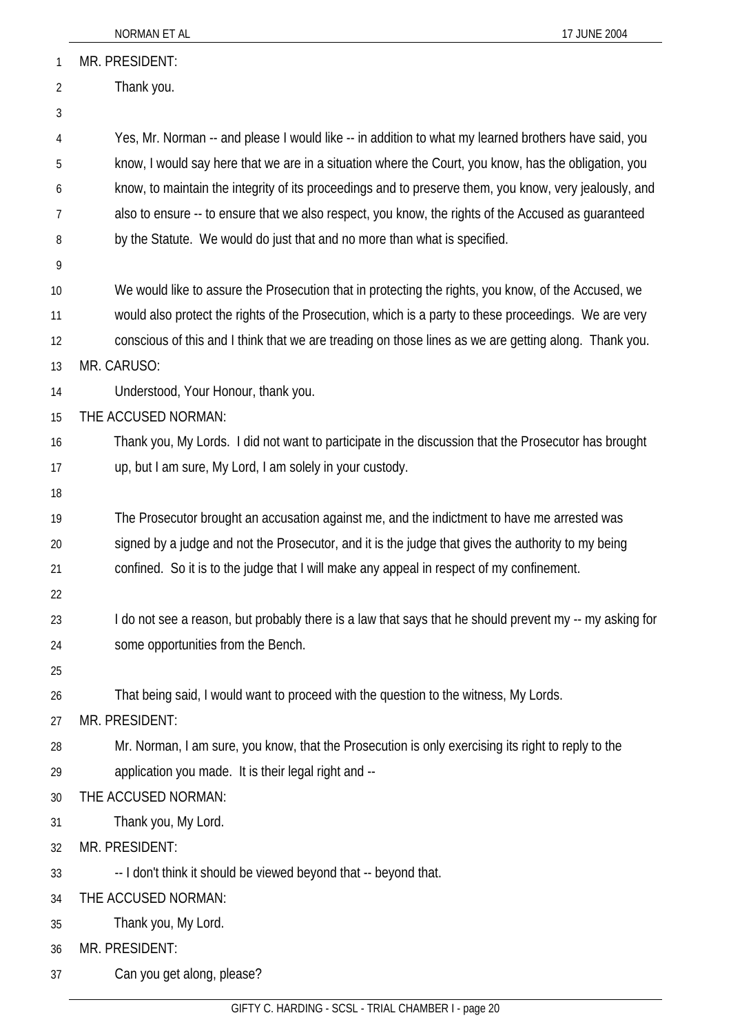|          | NORMAN ET AL<br>17 JUNE 2004                                                                                         |
|----------|----------------------------------------------------------------------------------------------------------------------|
| 1        | MR. PRESIDENT:                                                                                                       |
| 2        | Thank you.                                                                                                           |
| 3        |                                                                                                                      |
| 4        | Yes, Mr. Norman -- and please I would like -- in addition to what my learned brothers have said, you                 |
| 5        | know, I would say here that we are in a situation where the Court, you know, has the obligation, you                 |
| 6        | know, to maintain the integrity of its proceedings and to preserve them, you know, very jealously, and               |
| 7        | also to ensure -- to ensure that we also respect, you know, the rights of the Accused as guaranteed                  |
| 8        | by the Statute. We would do just that and no more than what is specified.                                            |
| 9        |                                                                                                                      |
| 10       | We would like to assure the Prosecution that in protecting the rights, you know, of the Accused, we                  |
| 11       | would also protect the rights of the Prosecution, which is a party to these proceedings. We are very                 |
| 12       | conscious of this and I think that we are treading on those lines as we are getting along. Thank you.                |
| 13       | MR. CARUSO:                                                                                                          |
| 14       | Understood, Your Honour, thank you.                                                                                  |
| 15       | THE ACCUSED NORMAN:                                                                                                  |
| 16       | Thank you, My Lords. I did not want to participate in the discussion that the Prosecutor has brought                 |
| 17       | up, but I am sure, My Lord, I am solely in your custody.                                                             |
| 18       |                                                                                                                      |
| 19       | The Prosecutor brought an accusation against me, and the indictment to have me arrested was                          |
| 20       | signed by a judge and not the Prosecutor, and it is the judge that gives the authority to my being                   |
| 21       | confined. So it is to the judge that I will make any appeal in respect of my confinement.                            |
| 22       |                                                                                                                      |
| 23       | I do not see a reason, but probably there is a law that says that he should prevent my -- my asking for              |
| 24       | some opportunities from the Bench.                                                                                   |
| 25       |                                                                                                                      |
| 26       | That being said, I would want to proceed with the question to the witness, My Lords.                                 |
| 27<br>28 | MR. PRESIDENT:<br>Mr. Norman, I am sure, you know, that the Prosecution is only exercising its right to reply to the |
| 29       | application you made. It is their legal right and --                                                                 |
| 30       | THE ACCUSED NORMAN:                                                                                                  |
| 31       | Thank you, My Lord.                                                                                                  |
| 32       | MR. PRESIDENT:                                                                                                       |
| 33       | -- I don't think it should be viewed beyond that -- beyond that.                                                     |
| 34       | THE ACCUSED NORMAN:                                                                                                  |
| 35       | Thank you, My Lord.                                                                                                  |
| 36       | MR. PRESIDENT:                                                                                                       |
| 37       | Can you get along, please?                                                                                           |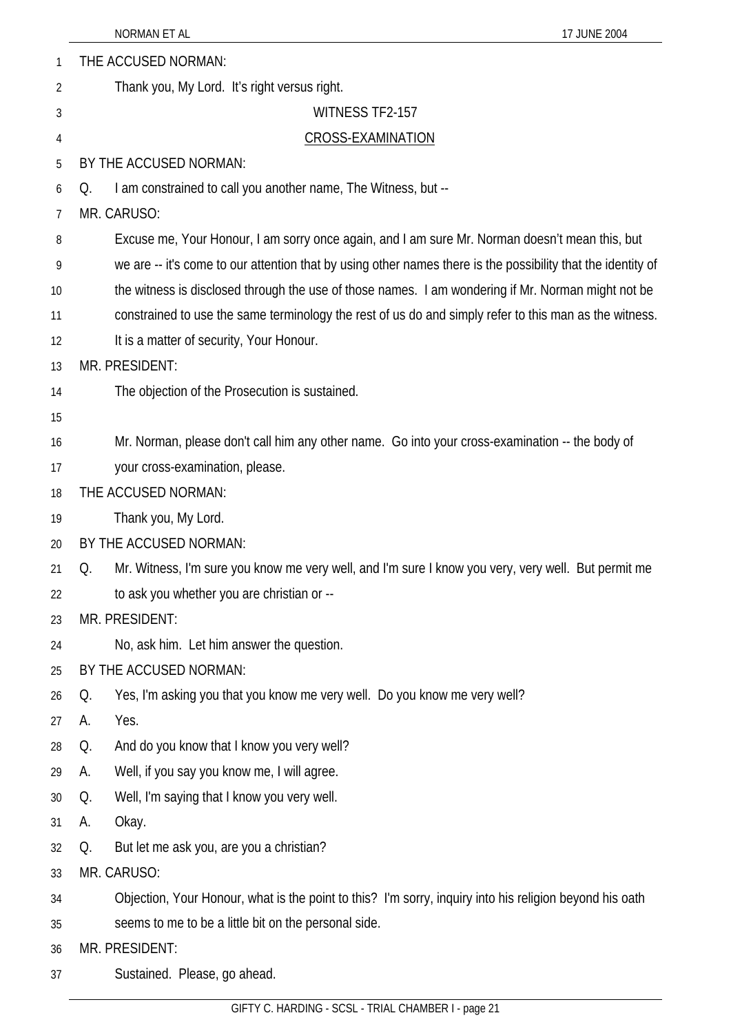| 1  | THE ACCUSED NORMAN:                                                                                          |  |
|----|--------------------------------------------------------------------------------------------------------------|--|
| 2  | Thank you, My Lord. It's right versus right.                                                                 |  |
| 3  | WITNESS TF2-157                                                                                              |  |
| 4  | CROSS-EXAMINATION                                                                                            |  |
| 5  | BY THE ACCUSED NORMAN:                                                                                       |  |
| 6  | I am constrained to call you another name, The Witness, but --<br>Q.                                         |  |
| 7  | MR. CARUSO:                                                                                                  |  |
| 8  | Excuse me, Your Honour, I am sorry once again, and I am sure Mr. Norman doesn't mean this, but               |  |
| 9  | we are -- it's come to our attention that by using other names there is the possibility that the identity of |  |
| 10 | the witness is disclosed through the use of those names. I am wondering if Mr. Norman might not be           |  |
| 11 | constrained to use the same terminology the rest of us do and simply refer to this man as the witness.       |  |
| 12 | It is a matter of security, Your Honour.                                                                     |  |
| 13 | MR. PRESIDENT:                                                                                               |  |
| 14 | The objection of the Prosecution is sustained.                                                               |  |
| 15 |                                                                                                              |  |
| 16 | Mr. Norman, please don't call him any other name. Go into your cross-examination -- the body of              |  |
| 17 | your cross-examination, please.                                                                              |  |
| 18 | THE ACCUSED NORMAN:                                                                                          |  |
| 19 | Thank you, My Lord.                                                                                          |  |
| 20 | BY THE ACCUSED NORMAN:                                                                                       |  |
| 21 | Mr. Witness, I'm sure you know me very well, and I'm sure I know you very, very well. But permit me<br>Q.    |  |
| 22 | to ask you whether you are christian or --                                                                   |  |
| 23 | MR. PRESIDENT:                                                                                               |  |
| 24 | No, ask him. Let him answer the question.                                                                    |  |
| 25 | BY THE ACCUSED NORMAN:                                                                                       |  |
| 26 | Yes, I'm asking you that you know me very well. Do you know me very well?<br>Q.                              |  |
| 27 | Yes.<br>А.                                                                                                   |  |
| 28 | And do you know that I know you very well?<br>Q.                                                             |  |
| 29 | Well, if you say you know me, I will agree.<br>А.                                                            |  |
| 30 | Well, I'm saying that I know you very well.<br>Q.                                                            |  |
| 31 | Okay.<br>А.                                                                                                  |  |
| 32 | But let me ask you, are you a christian?<br>Q.                                                               |  |
| 33 | MR. CARUSO:                                                                                                  |  |
| 34 | Objection, Your Honour, what is the point to this? I'm sorry, inquiry into his religion beyond his oath      |  |
| 35 | seems to me to be a little bit on the personal side.                                                         |  |
| 36 | MR. PRESIDENT:                                                                                               |  |

37 Sustained. Please, go ahead.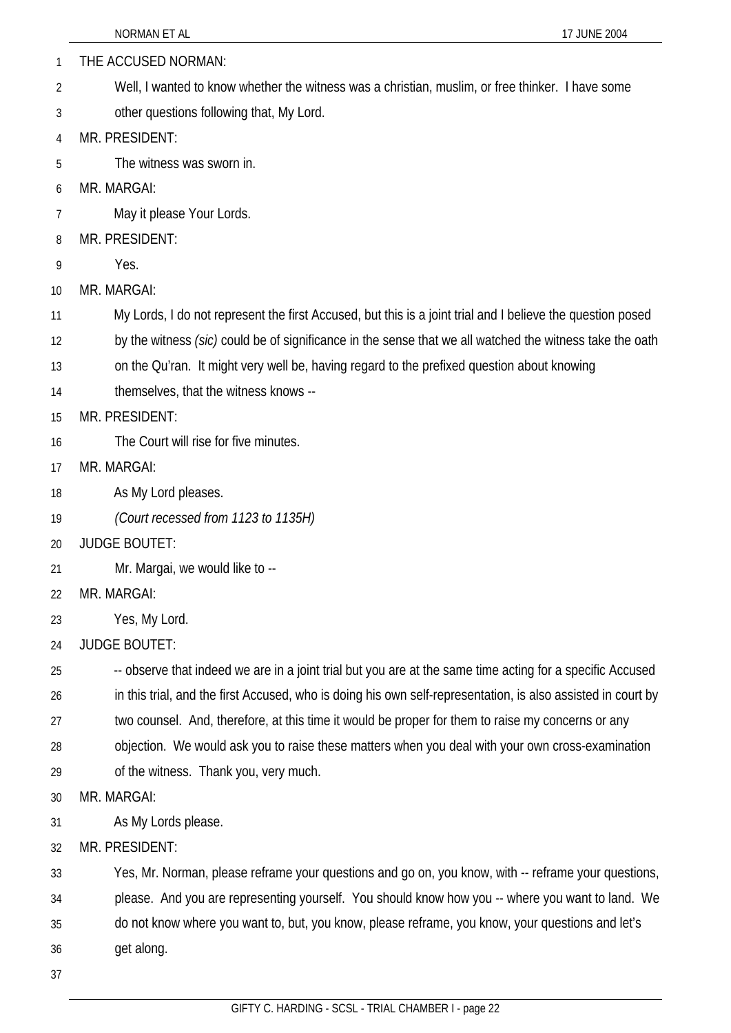- THE ACCUSED NORMAN: 1
- Well, I wanted to know whether the witness was a christian, muslim, or free thinker. I have some 2
- other questions following that, My Lord. 3
- 4 MR. PRESIDENT:
- 5 The witness was sworn in.
- 6 MR. MARGAI:
- 7 May it please Your Lords.
- 8 MR. PRESIDENT:
- 9 Yes.
- 10 MR. MARGAI:
- 11 My Lords, I do not represent the first Accused, but this is a joint trial and I believe the question posed
- 12 by the witness *(sic)* could be of significance in the sense that we all watched the witness take the oath
- 13 on the Qu'ran. It might very well be, having regard to the prefixed question about knowing
- 14 themselves, that the witness knows --
- 15 MR. PRESIDENT:
- 16 The Court will rise for five minutes.
- 17 MR. MARGAI:
- 18 As My Lord pleases.
- 19 *(Court recessed from 1123 to 1135H)*
- 20 JUDGE BOUTET:
- 21 Mr. Margai, we would like to --
- 22 MR. MARGAI:
- 23 Yes, My Lord.
- 24 JUDGE BOUTET:
- 25 -- observe that indeed we are in a joint trial but you are at the same time acting for a specific Accused
- 26 in this trial, and the first Accused, who is doing his own self-representation, is also assisted in court by
- 27 two counsel. And, therefore, at this time it would be proper for them to raise my concerns or any
- 28 objection. We would ask you to raise these matters when you deal with your own cross-examination
- 29 of the witness. Thank you, very much.

30 MR. MARGAI:

- 31 As My Lords please.
- 32 MR. PRESIDENT:

33 Yes, Mr. Norman, please reframe your questions and go on, you know, with -- reframe your questions,

- 34 please. And you are representing yourself. You should know how you -- where you want to land. We
- 35 do not know where you want to, but, you know, please reframe, you know, your questions and let's
- 36 get along.
- 37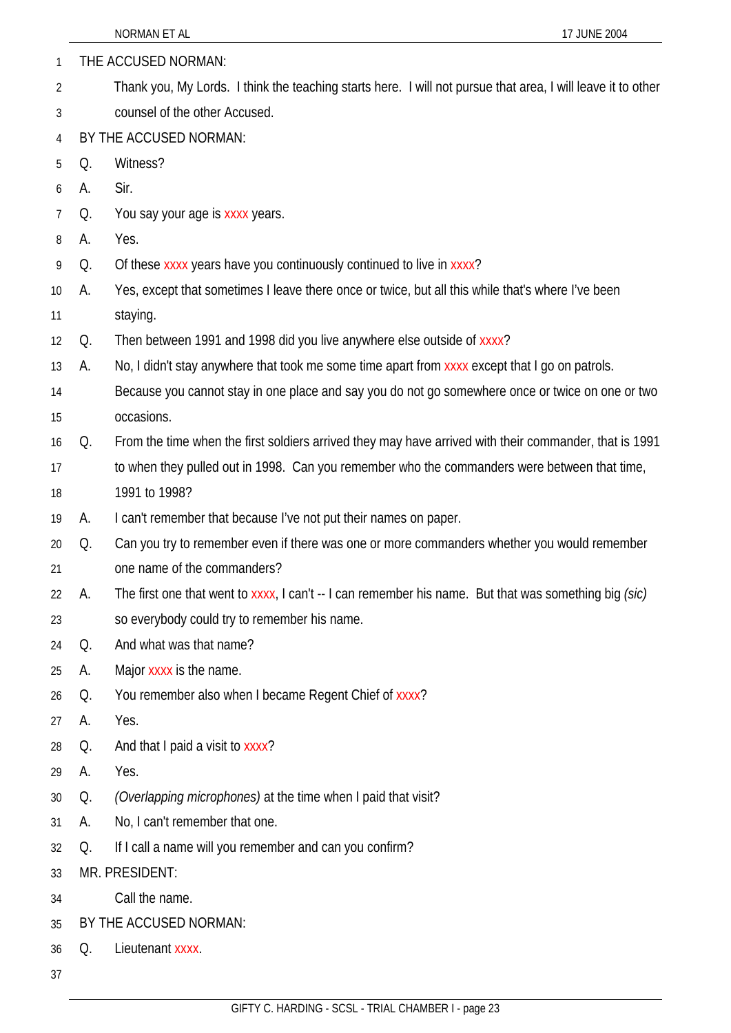| 1              |    | THE ACCUSED NORMAN:                                                                                          |
|----------------|----|--------------------------------------------------------------------------------------------------------------|
| $\overline{2}$ |    | Thank you, My Lords. I think the teaching starts here. I will not pursue that area, I will leave it to other |
| 3              |    | counsel of the other Accused.                                                                                |
| 4              |    | BY THE ACCUSED NORMAN:                                                                                       |
| 5              | Q. | Witness?                                                                                                     |
| 6              | Α. | Sir.                                                                                                         |
| $\overline{7}$ | Q. | You say your age is xxxx years.                                                                              |
| 8              | А. | Yes.                                                                                                         |
| 9              | Q. | Of these xxxx years have you continuously continued to live in xxxx?                                         |
| 10             | А. | Yes, except that sometimes I leave there once or twice, but all this while that's where I've been            |
| 11             |    | staying.                                                                                                     |
| 12             | Q. | Then between 1991 and 1998 did you live anywhere else outside of xxxx?                                       |
| 13             | А. | No, I didn't stay anywhere that took me some time apart from xxxx except that I go on patrols.               |
| 14             |    | Because you cannot stay in one place and say you do not go somewhere once or twice on one or two             |
| 15             |    | occasions.                                                                                                   |
| 16             | Q. | From the time when the first soldiers arrived they may have arrived with their commander, that is 1991       |
| 17             |    | to when they pulled out in 1998. Can you remember who the commanders were between that time,                 |
| 18             |    | 1991 to 1998?                                                                                                |
| 19             | А. | I can't remember that because I've not put their names on paper.                                             |
| 20             | Q. | Can you try to remember even if there was one or more commanders whether you would remember                  |
| 21             |    | one name of the commanders?                                                                                  |
| 22             | А. | The first one that went to $x$ xxx, I can't -- I can remember his name. But that was something big (sic)     |
| 23             |    | so everybody could try to remember his name.                                                                 |
| 24             | Q. | And what was that name?                                                                                      |
| 25             | A. | Major xxxx is the name.                                                                                      |
| 26             | Q. | You remember also when I became Regent Chief of xxxx?                                                        |
| 27             | А. | Yes.                                                                                                         |
| 28             | Q. | And that I paid a visit to xxxx?                                                                             |
| 29             | А. | Yes.                                                                                                         |
| 30             | Q. | (Overlapping microphones) at the time when I paid that visit?                                                |
| 31             | А. | No, I can't remember that one.                                                                               |
| 32             | Q. | If I call a name will you remember and can you confirm?                                                      |
| 33             |    | MR. PRESIDENT:                                                                                               |
| 34             |    | Call the name.                                                                                               |
| 35             |    | BY THE ACCUSED NORMAN:                                                                                       |
| 36             | Q. | Lieutenant xxxx.                                                                                             |
| 37             |    |                                                                                                              |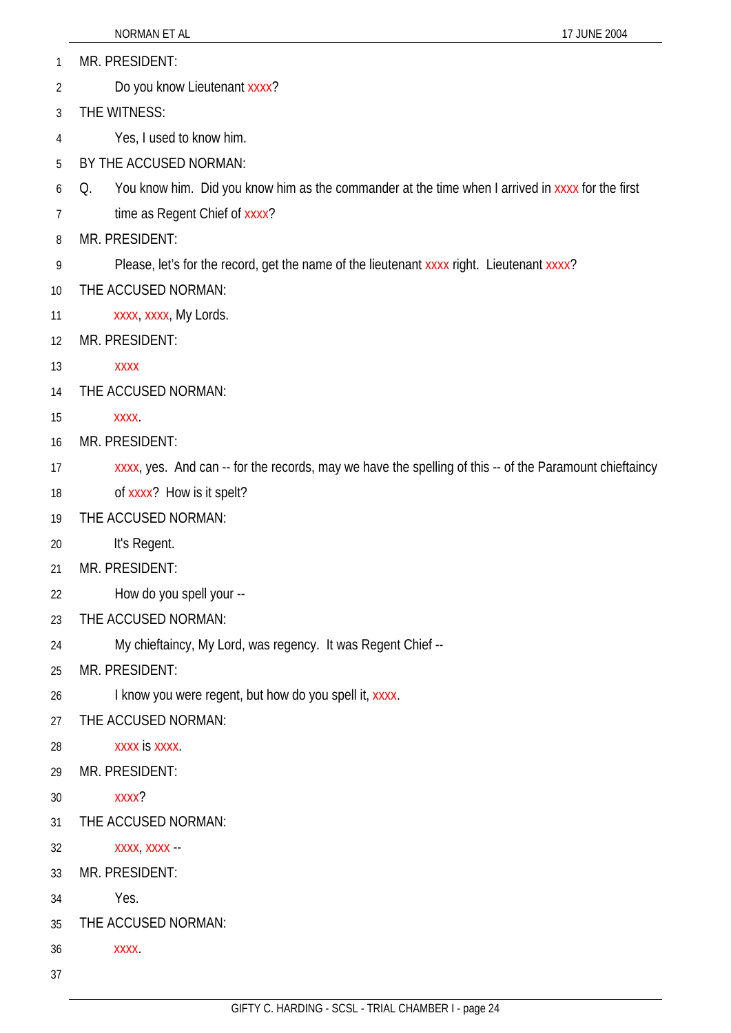- MR. PRESIDENT: 1
- Do you know Lieutenant xxxx? 2
- 3 THE WITNESS:
- 4 Yes, I used to know him.
- 5 BY THE ACCUSED NORMAN:
- 6 Q. You know him. Did you know him as the commander at the time when I arrived in xxxx for the first
- 7 time as Regent Chief of xxxx?
- 8 MR. PRESIDENT:
- 9 Please, let's for the record, get the name of the lieutenant xxxx right. Lieutenant xxxx?
- 10 THE ACCUSED NORMAN:
- 11 xxxx, xxxx, My Lords.
- 12 MR. PRESIDENT:
- 13 xxxx
- 14 THE ACCUSED NORMAN:
- 15 xxxx.
- 16 MR. PRESIDENT:
- 17 xxxx, yes. And can -- for the records, may we have the spelling of this -- of the Paramount chieftaincy
- 18 of xxxx? How is it spelt?
- 19 THE ACCUSED NORMAN:
- 20 It's Regent.
- 21 MR. PRESIDENT:
- 22 How do you spell your --
- 23 THE ACCUSED NORMAN:
- 24 My chieftaincy, My Lord, was regency. It was Regent Chief --
- 25 MR. PRESIDENT:
- 26 I know you were regent, but how do you spell it, xxxx.
- 27 THE ACCUSED NORMAN:
- 28 xxxx is xxxx.
- 29 MR. PRESIDENT:
- 30 xxxx?
- 31 THE ACCUSED NORMAN:
- 32 xxxx, xxxx --
- 33 MR. PRESIDENT:
- 34 Yes.
- 35 THE ACCUSED NORMAN:
- 36 xxxx.
- 37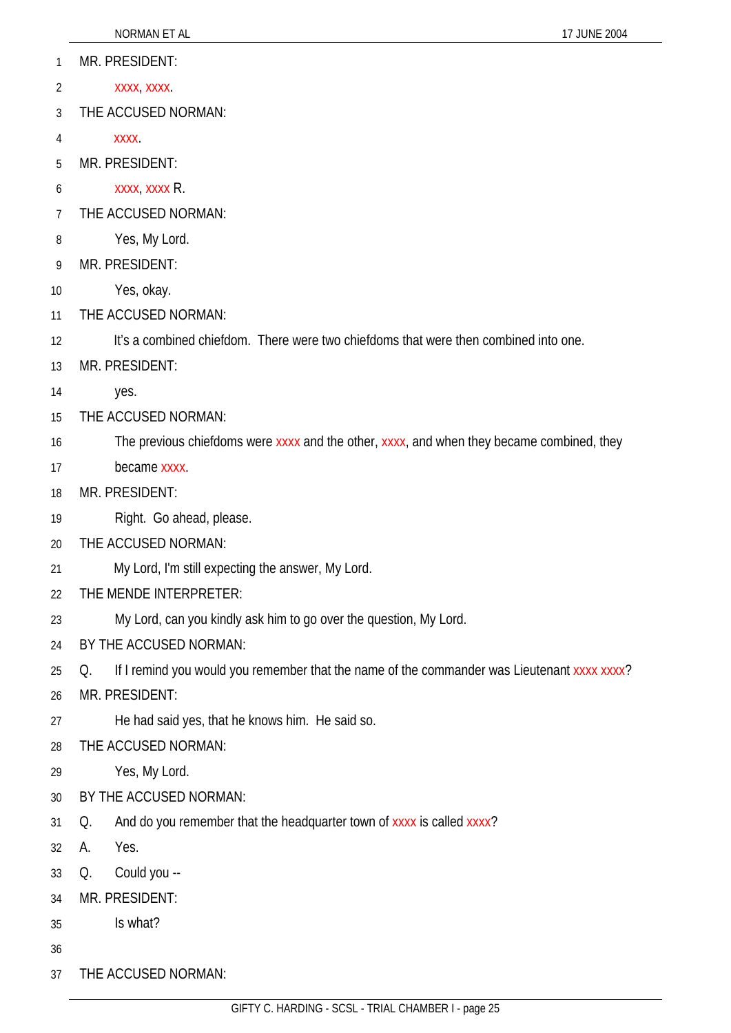- xxxx, xxxx. 2
- 3 THE ACCUSED NORMAN:
- 4 xxxx.
- 5 MR. PRESIDENT:
- 6 xxxx, xxxx R.
- 7 THE ACCUSED NORMAN:
- 8 Yes, My Lord.
- 9 MR. PRESIDENT:
- 10 Yes, okay.
- 11 THE ACCUSED NORMAN:
- 12 It's a combined chiefdom. There were two chiefdoms that were then combined into one.
- 13 MR. PRESIDENT:
- 14 yes.
- 15 THE ACCUSED NORMAN:
- 16 The previous chiefdoms were xxxx and the other, xxxx, and when they became combined, they
- 17 became xxxx.
- 18 MR. PRESIDENT:
- 19 Right. Go ahead, please.
- 20 THE ACCUSED NORMAN:
- 21 My Lord, I'm still expecting the answer, My Lord.
- 22 THE MENDE INTERPRETER:
- 23 My Lord, can you kindly ask him to go over the question, My Lord.
- 24 BY THE ACCUSED NORMAN:
- 25 Q. If I remind you would you remember that the name of the commander was Lieutenant xxxx xxxx?
- 26 MR. PRESIDENT:
- 27 He had said yes, that he knows him. He said so.
- 28 THE ACCUSED NORMAN:
- 29 Yes, My Lord.
- 30 BY THE ACCUSED NORMAN:
- 31 Q. And do you remember that the headquarter town of xxxx is called xxxx?
- 32 A. Yes.
- 33 Q. Could you --
- 34 MR. PRESIDENT:
- 35 Is what?
- 36
- 37 THE ACCUSED NORMAN: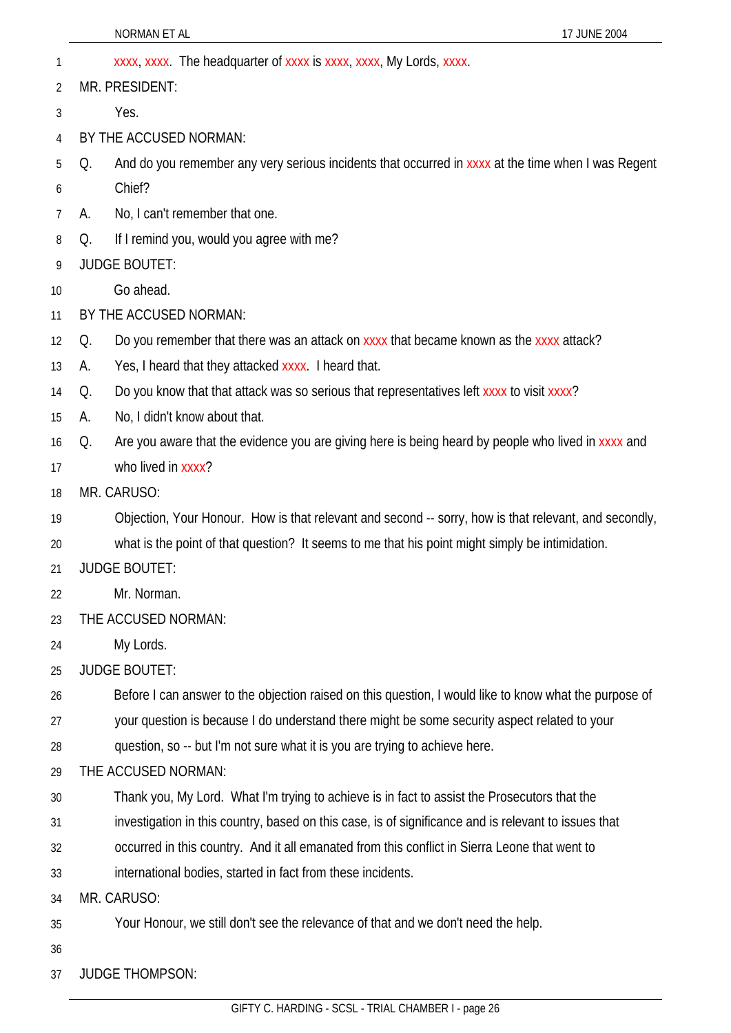|    | NORMAN ET AL<br>17 JUNE 2004                                                                             |
|----|----------------------------------------------------------------------------------------------------------|
| 1  | xxxx, xxxx. The headquarter of xxxx is xxxx, xxxx, My Lords, xxxx.                                       |
| 2  | MR. PRESIDENT:                                                                                           |
| 3  | Yes.                                                                                                     |
| 4  | BY THE ACCUSED NORMAN:                                                                                   |
| 5  | And do you remember any very serious incidents that occurred in xxxx at the time when I was Regent<br>Q. |
| 6  | Chief?                                                                                                   |
| 7  | No, I can't remember that one.<br>А.                                                                     |
| 8  | If I remind you, would you agree with me?<br>Q.                                                          |
| 9  | <b>JUDGE BOUTET:</b>                                                                                     |
| 10 | Go ahead.                                                                                                |
| 11 | BY THE ACCUSED NORMAN:                                                                                   |
| 12 | Do you remember that there was an attack on xxxx that became known as the xxxx attack?<br>Q.             |
| 13 | Yes, I heard that they attacked xxxx. I heard that.<br>А.                                                |
| 14 | Do you know that that attack was so serious that representatives left xxxx to visit xxxx?<br>Q.          |
| 15 | No, I didn't know about that.<br>А.                                                                      |
| 16 | Are you aware that the evidence you are giving here is being heard by people who lived in xxxx and<br>Q. |
| 17 | who lived in xxxx?                                                                                       |
| 18 | MR. CARUSO:                                                                                              |
| 19 | Objection, Your Honour. How is that relevant and second -- sorry, how is that relevant, and secondly,    |
| 20 | what is the point of that question? It seems to me that his point might simply be intimidation.          |
| 21 | <b>JUDGE BOUTET:</b>                                                                                     |
| 22 | Mr. Norman.                                                                                              |
| 23 | THE ACCUSED NORMAN:                                                                                      |
| 24 | My Lords.                                                                                                |
| 25 | <b>JUDGE BOUTET:</b>                                                                                     |
| 26 | Before I can answer to the objection raised on this question, I would like to know what the purpose of   |
| 27 | your question is because I do understand there might be some security aspect related to your             |
| 28 | question, so -- but I'm not sure what it is you are trying to achieve here.                              |
| 29 | THE ACCUSED NORMAN:                                                                                      |
| 30 | Thank you, My Lord. What I'm trying to achieve is in fact to assist the Prosecutors that the             |
| 31 | investigation in this country, based on this case, is of significance and is relevant to issues that     |
| 32 | occurred in this country. And it all emanated from this conflict in Sierra Leone that went to            |
| 33 | international bodies, started in fact from these incidents.                                              |
| 34 | MR. CARUSO:                                                                                              |
| 35 | Your Honour, we still don't see the relevance of that and we don't need the help.                        |
| 36 |                                                                                                          |
| 37 | <b>JUDGE THOMPSON:</b>                                                                                   |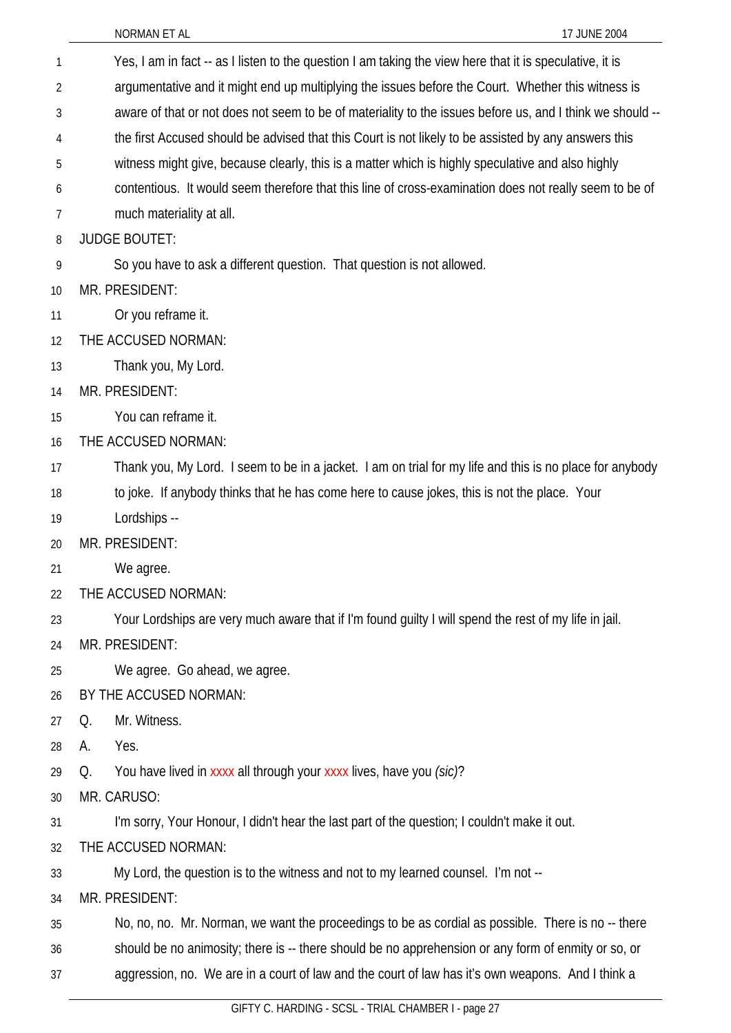| 1  | Yes, I am in fact -- as I listen to the question I am taking the view here that it is speculative, it is  |
|----|-----------------------------------------------------------------------------------------------------------|
| 2  | argumentative and it might end up multiplying the issues before the Court. Whether this witness is        |
| 3  | aware of that or not does not seem to be of materiality to the issues before us, and I think we should -- |
| 4  | the first Accused should be advised that this Court is not likely to be assisted by any answers this      |
| 5  | witness might give, because clearly, this is a matter which is highly speculative and also highly         |
| 6  | contentious. It would seem therefore that this line of cross-examination does not really seem to be of    |
| 7  | much materiality at all.                                                                                  |
| 8  | <b>JUDGE BOUTET:</b>                                                                                      |
| 9  | So you have to ask a different question. That question is not allowed.                                    |
| 10 | MR. PRESIDENT:                                                                                            |
| 11 | Or you reframe it.                                                                                        |
| 12 | THE ACCUSED NORMAN:                                                                                       |
| 13 | Thank you, My Lord.                                                                                       |
| 14 | MR. PRESIDENT:                                                                                            |
| 15 | You can reframe it.                                                                                       |
| 16 | THE ACCUSED NORMAN:                                                                                       |
| 17 | Thank you, My Lord. I seem to be in a jacket. I am on trial for my life and this is no place for anybody  |
| 18 | to joke. If anybody thinks that he has come here to cause jokes, this is not the place. Your              |
| 19 | Lordships --                                                                                              |
| 20 | MR. PRESIDENT:                                                                                            |
| 21 | We agree.                                                                                                 |
| 22 | THE ACCUSED NORMAN:                                                                                       |
| 23 | Your Lordships are very much aware that if I'm found guilty I will spend the rest of my life in jail.     |
| 24 | MR. PRESIDENT:                                                                                            |
| 25 | We agree. Go ahead, we agree.                                                                             |
| 26 | BY THE ACCUSED NORMAN:                                                                                    |
| 27 | Mr. Witness.<br>Q.                                                                                        |
| 28 | Yes.<br>А.                                                                                                |
| 29 | You have lived in xxxx all through your xxxx lives, have you (sic)?<br>Q.                                 |
| 30 | MR. CARUSO:                                                                                               |
| 31 | I'm sorry, Your Honour, I didn't hear the last part of the question; I couldn't make it out.              |
| 32 | THE ACCUSED NORMAN:                                                                                       |
| 33 | My Lord, the question is to the witness and not to my learned counsel. I'm not --                         |
| 34 | MR. PRESIDENT:                                                                                            |
| 35 | No, no, no. Mr. Norman, we want the proceedings to be as cordial as possible. There is no -- there        |
|    | should be no enjmeethy there is there should be no enprehension or eny ferm of enmity or                  |

36 should be no animosity; there is -- there should be no apprehension or any form of enmity or so, or

37 aggression, no. We are in a court of law and the court of law has it's own weapons. And I think a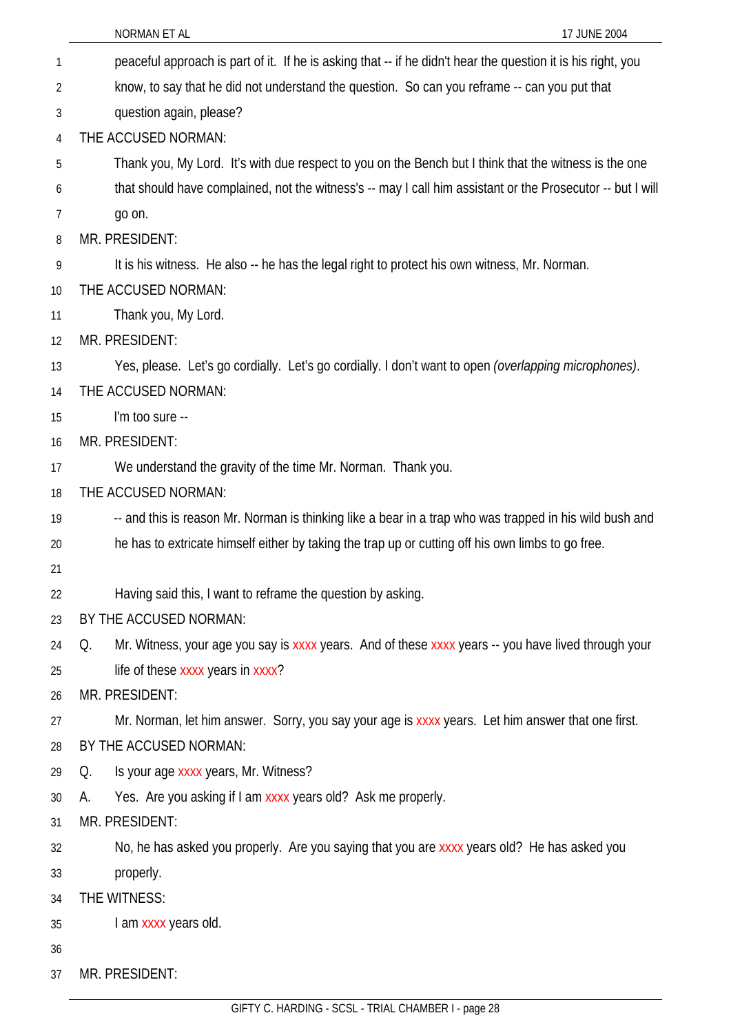|    | NORMAN ET AL<br>17 JUNE 2004                                                                                 |
|----|--------------------------------------------------------------------------------------------------------------|
| 1  | peaceful approach is part of it. If he is asking that -- if he didn't hear the question it is his right, you |
| 2  | know, to say that he did not understand the question. So can you reframe -- can you put that                 |
| 3  | question again, please?                                                                                      |
| 4  | THE ACCUSED NORMAN:                                                                                          |
| 5  | Thank you, My Lord. It's with due respect to you on the Bench but I think that the witness is the one        |
| 6  | that should have complained, not the witness's -- may I call him assistant or the Prosecutor -- but I will   |
| 7  | go on.                                                                                                       |
| 8  | MR. PRESIDENT:                                                                                               |
| 9  | It is his witness. He also -- he has the legal right to protect his own witness, Mr. Norman.                 |
| 10 | THE ACCUSED NORMAN:                                                                                          |
| 11 | Thank you, My Lord.                                                                                          |
| 12 | MR. PRESIDENT:                                                                                               |
| 13 | Yes, please. Let's go cordially. Let's go cordially. I don't want to open (overlapping microphones).         |
| 14 | THE ACCUSED NORMAN:                                                                                          |
| 15 | I'm too sure --                                                                                              |
| 16 | MR. PRESIDENT:                                                                                               |
| 17 | We understand the gravity of the time Mr. Norman. Thank you.                                                 |
| 18 | THE ACCUSED NORMAN:                                                                                          |
| 19 | -- and this is reason Mr. Norman is thinking like a bear in a trap who was trapped in his wild bush and      |
| 20 | he has to extricate himself either by taking the trap up or cutting off his own limbs to go free.            |
| 21 |                                                                                                              |
| 22 | Having said this, I want to reframe the question by asking.                                                  |
| 23 | BY THE ACCUSED NORMAN:                                                                                       |
| 24 | Mr. Witness, your age you say is xxxx years. And of these xxxx years -- you have lived through your<br>Q.    |
| 25 | life of these xxxx years in xxxx?                                                                            |
| 26 | MR. PRESIDENT:                                                                                               |
| 27 | Mr. Norman, let him answer. Sorry, you say your age is xxxx years. Let him answer that one first.            |
| 28 | BY THE ACCUSED NORMAN:                                                                                       |
| 29 | Is your age xxxx years, Mr. Witness?<br>Q.                                                                   |
| 30 | Yes. Are you asking if I am xxxx years old? Ask me properly.<br>А.                                           |
| 31 | MR. PRESIDENT:                                                                                               |
| 32 | No, he has asked you properly. Are you saying that you are xxxx years old? He has asked you                  |
| 33 | properly.                                                                                                    |
| 34 | THE WITNESS:                                                                                                 |
| 35 | I am xxxx years old.                                                                                         |
| 36 |                                                                                                              |
| 37 | MR. PRESIDENT:                                                                                               |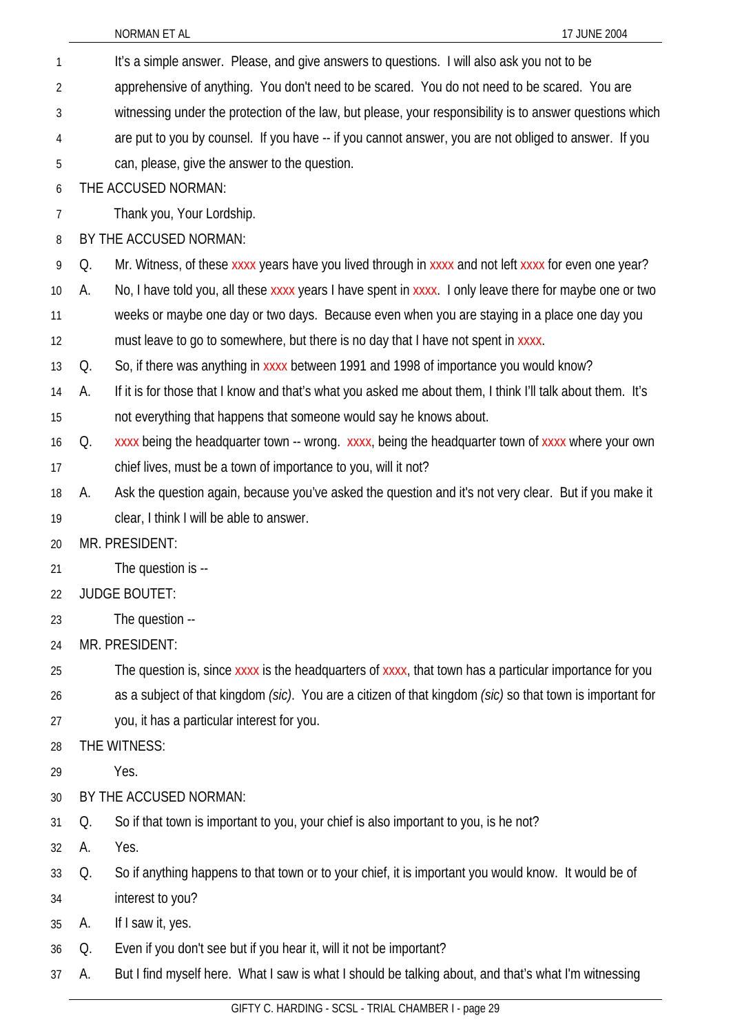|                |    | NORMAN ET AL<br>17 JUNE 2004                                                                               |
|----------------|----|------------------------------------------------------------------------------------------------------------|
| 1              |    | It's a simple answer. Please, and give answers to questions. I will also ask you not to be                 |
| $\overline{2}$ |    | apprehensive of anything. You don't need to be scared. You do not need to be scared. You are               |
| 3              |    | witnessing under the protection of the law, but please, your responsibility is to answer questions which   |
| 4              |    | are put to you by counsel. If you have -- if you cannot answer, you are not obliged to answer. If you      |
| 5              |    | can, please, give the answer to the question.                                                              |
| 6              |    | THE ACCUSED NORMAN:                                                                                        |
| 7              |    | Thank you, Your Lordship.                                                                                  |
| 8              |    | BY THE ACCUSED NORMAN:                                                                                     |
| 9              | Q. | Mr. Witness, of these xxxx years have you lived through in xxxx and not left xxxx for even one year?       |
| $10$           | А. | No, I have told you, all these xxxx years I have spent in xxxx. I only leave there for maybe one or two    |
| 11             |    | weeks or maybe one day or two days. Because even when you are staying in a place one day you               |
| 12             |    | must leave to go to somewhere, but there is no day that I have not spent in xxxx.                          |
| 13             | Q. | So, if there was anything in xxxx between 1991 and 1998 of importance you would know?                      |
| 14             | А. | If it is for those that I know and that's what you asked me about them, I think I'll talk about them. It's |
| 15             |    | not everything that happens that someone would say he knows about.                                         |
| 16             | Q. | xxxx being the headquarter town -- wrong. xxxx, being the headquarter town of xxxx where your own          |
| 17             |    | chief lives, must be a town of importance to you, will it not?                                             |
| 18             | А. | Ask the question again, because you've asked the question and it's not very clear. But if you make it      |
| 19             |    | clear, I think I will be able to answer.                                                                   |
| 20             |    | MR. PRESIDENT:                                                                                             |
| 21             |    | The question is --                                                                                         |
| 22             |    | <b>JUDGE BOUTET:</b>                                                                                       |
| 23             |    | The question --                                                                                            |
| 24             |    | MR. PRESIDENT:                                                                                             |
| 25             |    | The question is, since xxxx is the headquarters of xxxx, that town has a particular importance for you     |
| 26             |    | as a subject of that kingdom (sic). You are a citizen of that kingdom (sic) so that town is important for  |
| 27             |    | you, it has a particular interest for you.                                                                 |
| 28             |    | THE WITNESS:                                                                                               |
| 29             |    | Yes.                                                                                                       |
| 30             |    | BY THE ACCUSED NORMAN:                                                                                     |
| 31             | Q. | So if that town is important to you, your chief is also important to you, is he not?                       |
| 32             | А. | Yes.                                                                                                       |
| 33             | Q. | So if anything happens to that town or to your chief, it is important you would know. It would be of       |
| 34             |    | interest to you?                                                                                           |
| 35             | А. | If I saw it, yes.                                                                                          |
| 36             | Q. | Even if you don't see but if you hear it, will it not be important?                                        |

A. But I find myself here. What I saw is what I should be talking about, and that's what I'm witnessing

37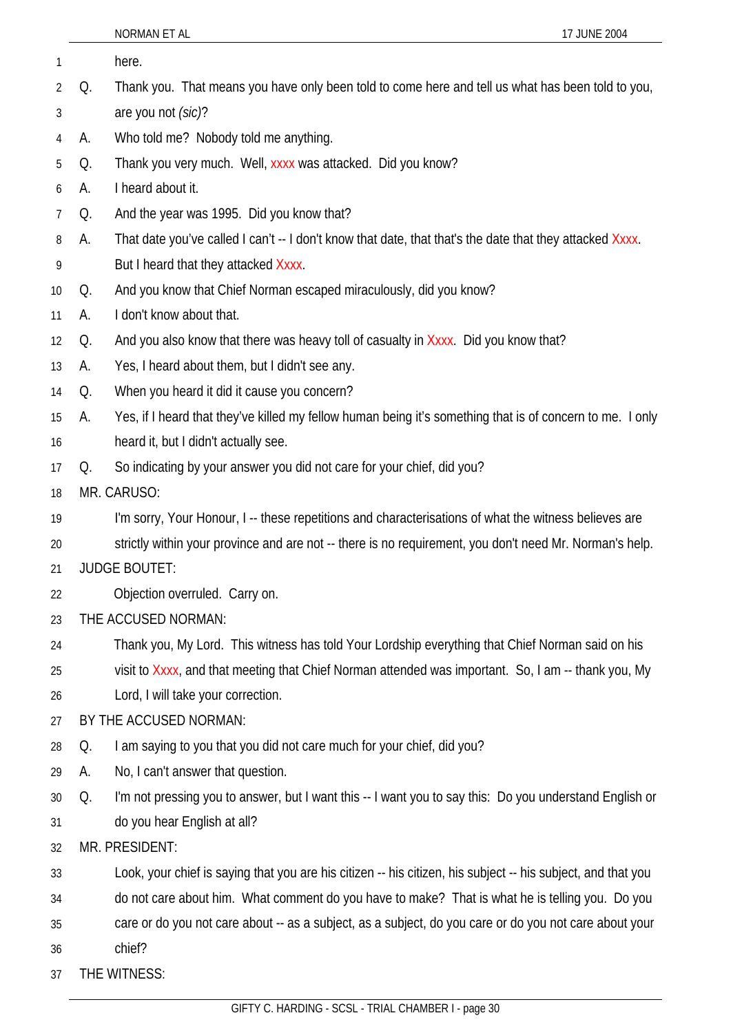|                 |    | NORMAN ET AL<br>17 JUNE 2004                                                                                 |
|-----------------|----|--------------------------------------------------------------------------------------------------------------|
| 1               |    | here.                                                                                                        |
| $\overline{2}$  | Q. | Thank you. That means you have only been told to come here and tell us what has been told to you,            |
| 3               |    | are you not (sic)?                                                                                           |
| 4               | А. | Who told me? Nobody told me anything.                                                                        |
| 5               | Q. | Thank you very much. Well, xxxx was attacked. Did you know?                                                  |
| 6               | А. | I heard about it.                                                                                            |
| 7               | Q. | And the year was 1995. Did you know that?                                                                    |
| 8               | А. | That date you've called I can't -- I don't know that date, that that's the date that they attacked Xxxx.     |
| 9               |    | But I heard that they attacked Xxxx.                                                                         |
| 10 <sup>°</sup> | Q. | And you know that Chief Norman escaped miraculously, did you know?                                           |
| 11              | А. | I don't know about that.                                                                                     |
| 12              | Q. | And you also know that there was heavy toll of casualty in Xxxx. Did you know that?                          |
| 13              | А. | Yes, I heard about them, but I didn't see any.                                                               |
| 14              | Q. | When you heard it did it cause you concern?                                                                  |
| 15              | А. | Yes, if I heard that they've killed my fellow human being it's something that is of concern to me. I only    |
| 16              |    | heard it, but I didn't actually see.                                                                         |
| 17              | Q. | So indicating by your answer you did not care for your chief, did you?                                       |
| 18              |    | MR. CARUSO:                                                                                                  |
| 19              |    | I'm sorry, Your Honour, I -- these repetitions and characterisations of what the witness believes are        |
| 20              |    | strictly within your province and are not -- there is no requirement, you don't need Mr. Norman's help.      |
| 21              |    | <b>JUDGE BOUTET:</b>                                                                                         |
| 22              |    | Objection overruled. Carry on.                                                                               |
| 23              |    | THE ACCUSED NORMAN:                                                                                          |
| 24              |    | Thank you, My Lord. This witness has told Your Lordship everything that Chief Norman said on his             |
| 25              |    | visit to Xxxx, and that meeting that Chief Norman attended was important. So, I am -- thank you, My          |
| 26              |    | Lord, I will take your correction.                                                                           |
| 27              |    | BY THE ACCUSED NORMAN:                                                                                       |
| 28              | Q. | I am saying to you that you did not care much for your chief, did you?                                       |
| 29              | А. | No, I can't answer that question.                                                                            |
| 30              | Q. | I'm not pressing you to answer, but I want this -- I want you to say this: Do you understand English or      |
| 31              |    | do you hear English at all?                                                                                  |
| 32              |    | MR. PRESIDENT:                                                                                               |
| 33              |    | Look, your chief is saying that you are his citizen -- his citizen, his subject -- his subject, and that you |
| 34              |    | do not care about him. What comment do you have to make? That is what he is telling you. Do you              |
| 35              |    | care or do you not care about -- as a subject, as a subject, do you care or do you not care about your       |
| 36              |    | chief?                                                                                                       |
| 37              |    | THE WITNESS:                                                                                                 |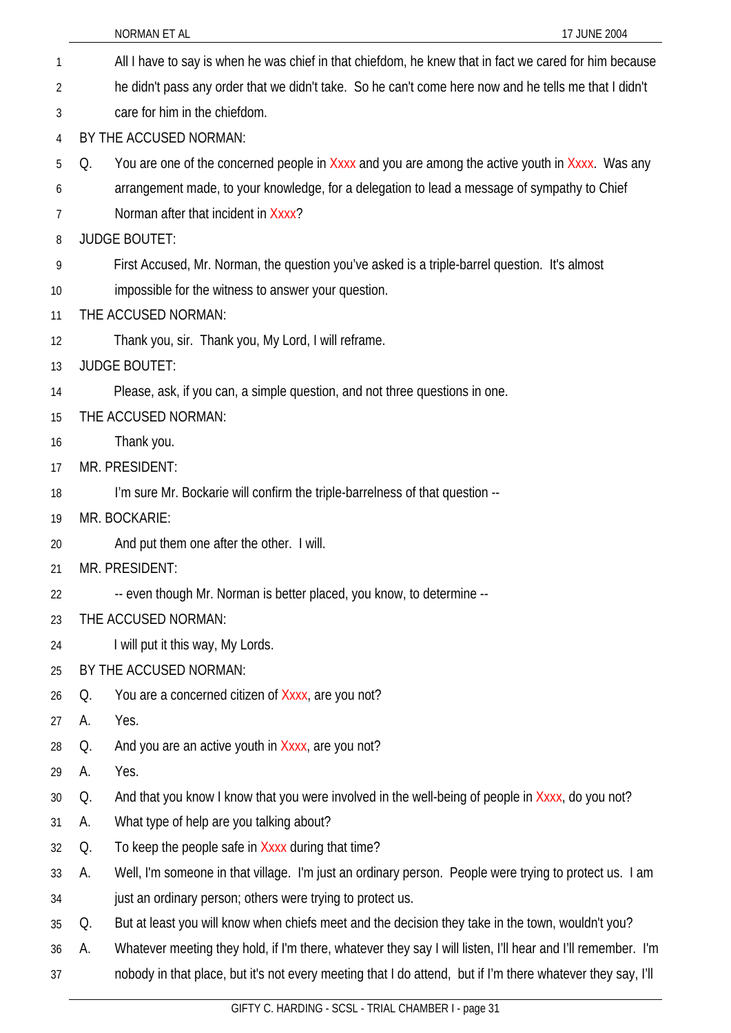|    |    | 17 JUNE 2004<br>NORMAN ET AL                                                                                |
|----|----|-------------------------------------------------------------------------------------------------------------|
| 1  |    | All I have to say is when he was chief in that chiefdom, he knew that in fact we cared for him because      |
| 2  |    | he didn't pass any order that we didn't take. So he can't come here now and he tells me that I didn't       |
| 3  |    | care for him in the chiefdom.                                                                               |
| 4  |    | BY THE ACCUSED NORMAN:                                                                                      |
| 5  | Q. | You are one of the concerned people in Xxxx and you are among the active youth in Xxxx. Was any             |
| 6  |    | arrangement made, to your knowledge, for a delegation to lead a message of sympathy to Chief                |
| 7  |    | Norman after that incident in Xxxx?                                                                         |
| 8  |    | <b>JUDGE BOUTET:</b>                                                                                        |
| 9  |    | First Accused, Mr. Norman, the question you've asked is a triple-barrel question. It's almost               |
| 10 |    | impossible for the witness to answer your question.                                                         |
| 11 |    | THE ACCUSED NORMAN:                                                                                         |
| 12 |    | Thank you, sir. Thank you, My Lord, I will reframe.                                                         |
| 13 |    | <b>JUDGE BOUTET:</b>                                                                                        |
| 14 |    | Please, ask, if you can, a simple question, and not three questions in one.                                 |
| 15 |    | THE ACCUSED NORMAN:                                                                                         |
| 16 |    | Thank you.                                                                                                  |
| 17 |    | MR. PRESIDENT:                                                                                              |
| 18 |    | I'm sure Mr. Bockarie will confirm the triple-barrelness of that question --                                |
| 19 |    | MR. BOCKARIE:                                                                                               |
| 20 |    | And put them one after the other. I will.                                                                   |
| 21 |    | MR. PRESIDENT:                                                                                              |
| 22 |    | -- even though Mr. Norman is better placed, you know, to determine --                                       |
| 23 |    | THE ACCUSED NORMAN:                                                                                         |
| 24 |    | I will put it this way, My Lords.                                                                           |
| 25 |    | BY THE ACCUSED NORMAN:                                                                                      |
| 26 | Q. | You are a concerned citizen of Xxxx, are you not?                                                           |
| 27 | А. | Yes.                                                                                                        |
| 28 | Q. | And you are an active youth in Xxxx, are you not?                                                           |
| 29 | А. | Yes.                                                                                                        |
| 30 | Q. | And that you know I know that you were involved in the well-being of people in Xxxx, do you not?            |
| 31 | А. | What type of help are you talking about?                                                                    |
| 32 | Q. | To keep the people safe in Xxxx during that time?                                                           |
| 33 | А. | Well, I'm someone in that village. I'm just an ordinary person. People were trying to protect us. I am      |
| 34 |    | just an ordinary person; others were trying to protect us.                                                  |
| 35 | Q. | But at least you will know when chiefs meet and the decision they take in the town, wouldn't you?           |
| 36 | А. | Whatever meeting they hold, if I'm there, whatever they say I will listen, I'll hear and I'll remember. I'm |
| 37 |    | nobody in that place, but it's not every meeting that I do attend, but if I'm there whatever they say, I'll |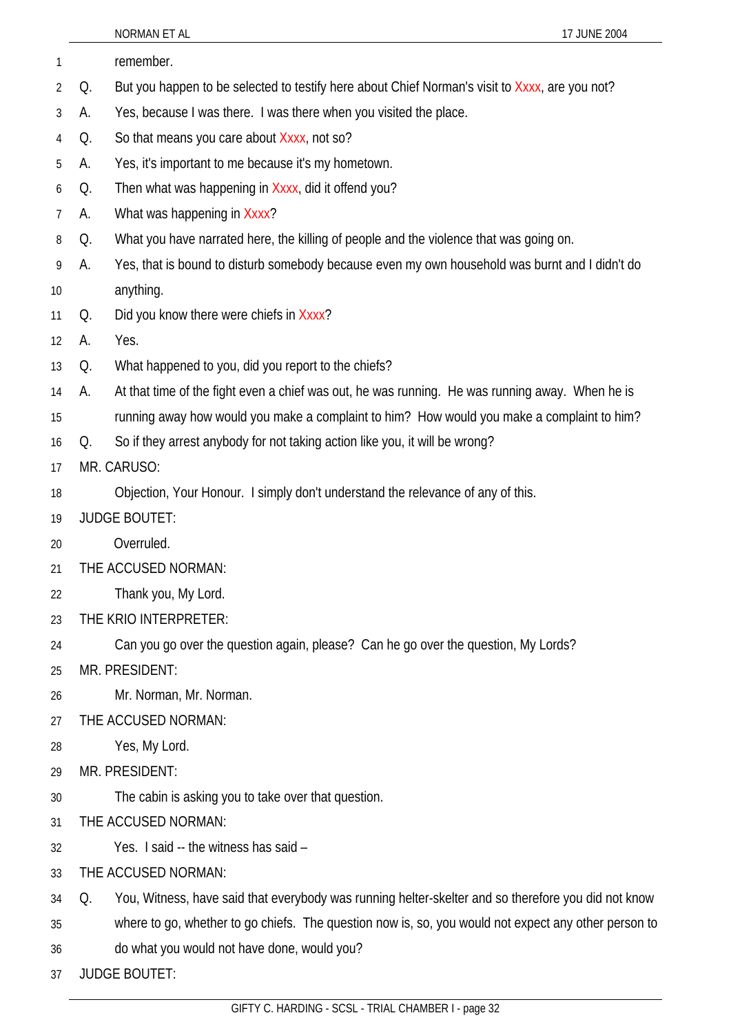|                |    | NORMAN ET AL<br>17 JUNE 2004                                                                         |
|----------------|----|------------------------------------------------------------------------------------------------------|
| 1              |    | remember.                                                                                            |
| 2              | Q. | But you happen to be selected to testify here about Chief Norman's visit to Xxxx, are you not?       |
| 3              | А. | Yes, because I was there. I was there when you visited the place.                                    |
| 4              | Q. | So that means you care about Xxxx, not so?                                                           |
| 5              | А. | Yes, it's important to me because it's my hometown.                                                  |
| 6              | Q. | Then what was happening in Xxxx, did it offend you?                                                  |
| $\overline{7}$ | А. | What was happening in Xxxx?                                                                          |
| 8              | Q. | What you have narrated here, the killing of people and the violence that was going on.               |
| 9              | А. | Yes, that is bound to disturb somebody because even my own household was burnt and I didn't do       |
| 10             |    | anything.                                                                                            |
| 11             | Q. | Did you know there were chiefs in Xxxx?                                                              |
| 12             | А. | Yes.                                                                                                 |
| 13             | Q. | What happened to you, did you report to the chiefs?                                                  |
| 14             | А. | At that time of the fight even a chief was out, he was running. He was running away. When he is      |
| 15             |    | running away how would you make a complaint to him? How would you make a complaint to him?           |
| 16             | Q. | So if they arrest anybody for not taking action like you, it will be wrong?                          |
| 17             |    | MR. CARUSO:                                                                                          |
| 18             |    | Objection, Your Honour. I simply don't understand the relevance of any of this.                      |
| 19             |    | <b>JUDGE BOUTET:</b>                                                                                 |
| 20             |    | Overruled.                                                                                           |
| 21             |    | THE ACCUSED NORMAN:                                                                                  |
| 22             |    | Thank you, My Lord.                                                                                  |
| 23             |    | THE KRIO INTERPRETER:                                                                                |
| 24             |    | Can you go over the question again, please? Can he go over the question, My Lords?                   |
| 25             |    | MR. PRESIDENT:                                                                                       |
| 26             |    | Mr. Norman, Mr. Norman.                                                                              |
| 27             |    | THE ACCUSED NORMAN:                                                                                  |
| 28             |    | Yes, My Lord.                                                                                        |
| 29             |    | MR. PRESIDENT:                                                                                       |
| 30             |    | The cabin is asking you to take over that question.                                                  |
| 31             |    | THE ACCUSED NORMAN:                                                                                  |
| 32             |    | Yes. I said -- the witness has said -                                                                |
| 33             |    | THE ACCUSED NORMAN:                                                                                  |
| 34             | Q. | You, Witness, have said that everybody was running helter-skelter and so therefore you did not know  |
| 35             |    | where to go, whether to go chiefs. The question now is, so, you would not expect any other person to |
| 36             |    | do what you would not have done, would you?                                                          |
| 37             |    | <b>JUDGE BOUTET:</b>                                                                                 |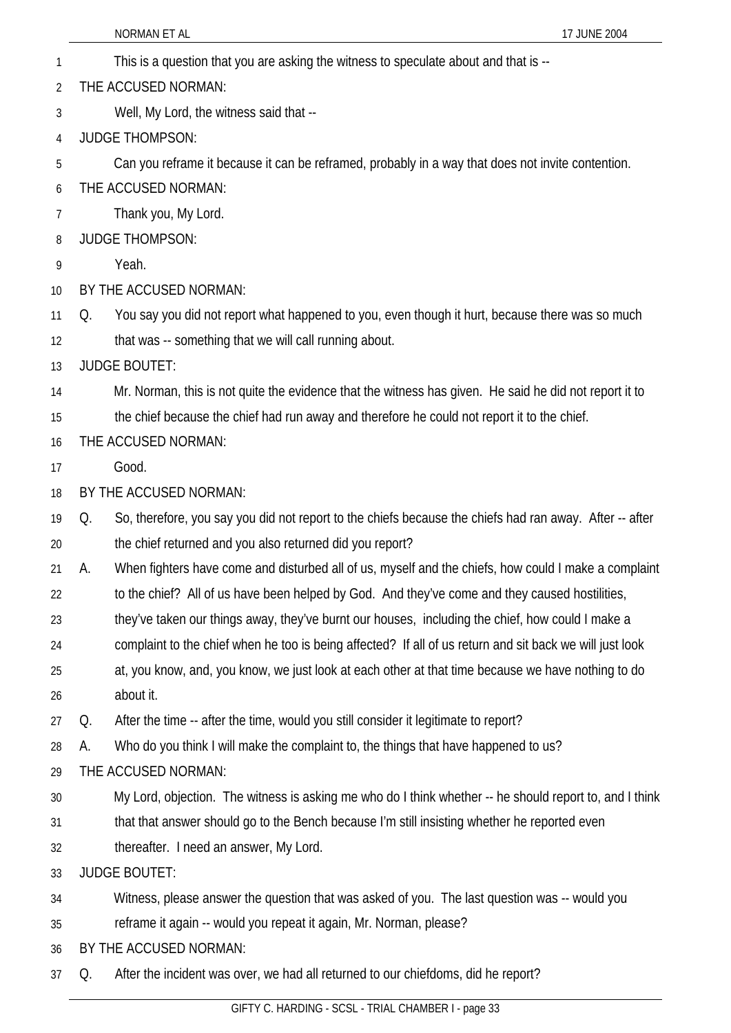NORMAN ET AL 17 JUNE 2004 1 This is a question that you are asking the witness to speculate about and that is -- 2 3 4 5 6 7 8 9 10 11 12 13 14 15 16 17 18 19 20 21 22 23 24 25 26 27 28 29 30 31 32 33 34 35 36 37 THE ACCUSED NORMAN: Well, My Lord, the witness said that -- JUDGE THOMPSON: Can you reframe it because it can be reframed, probably in a way that does not invite contention. THE ACCUSED NORMAN: Thank you, My Lord. JUDGE THOMPSON: Yeah. BY THE ACCUSED NORMAN: Q. You say you did not report what happened to you, even though it hurt, because there was so much that was -- something that we will call running about. JUDGE BOUTET: Mr. Norman, this is not quite the evidence that the witness has given. He said he did not report it to the chief because the chief had run away and therefore he could not report it to the chief. THE ACCUSED NORMAN: Good. BY THE ACCUSED NORMAN: Q. So, therefore, you say you did not report to the chiefs because the chiefs had ran away. After -- after the chief returned and you also returned did you report? A. When fighters have come and disturbed all of us, myself and the chiefs, how could I make a complaint to the chief? All of us have been helped by God. And they've come and they caused hostilities, they've taken our things away, they've burnt our houses, including the chief, how could I make a complaint to the chief when he too is being affected? If all of us return and sit back we will just look at, you know, and, you know, we just look at each other at that time because we have nothing to do about it. Q. After the time -- after the time, would you still consider it legitimate to report? A. Who do you think I will make the complaint to, the things that have happened to us? THE ACCUSED NORMAN: My Lord, objection. The witness is asking me who do I think whether -- he should report to, and I think that that answer should go to the Bench because I'm still insisting whether he reported even thereafter. I need an answer, My Lord. JUDGE BOUTET: Witness, please answer the question that was asked of you. The last question was -- would you reframe it again -- would you repeat it again, Mr. Norman, please? BY THE ACCUSED NORMAN: Q. After the incident was over, we had all returned to our chiefdoms, did he report?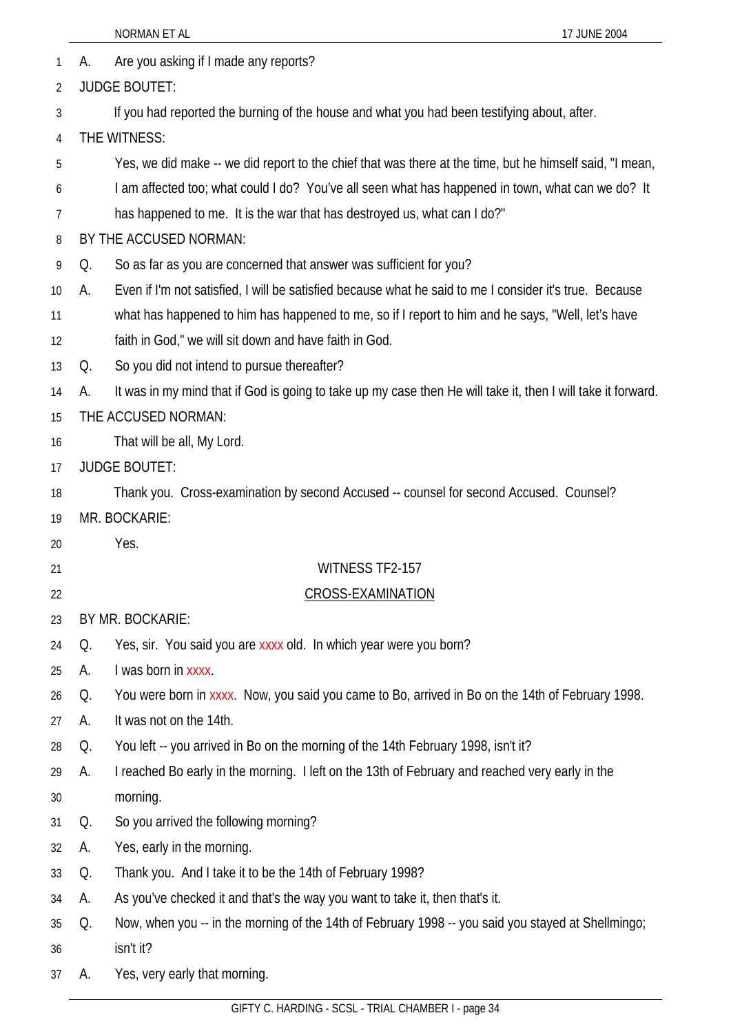- 1 A. Are you asking if I made any reports?
- 2 JUDGE BOUTET:
- 3 If you had reported the burning of the house and what you had been testifying about, after.
- 4 THE WITNESS:
- 5 Yes, we did make -- we did report to the chief that was there at the time, but he himself said, "I mean,
- 6 I am affected too; what could I do? You've all seen what has happened in town, what can we do? It
- 7 has happened to me. It is the war that has destroyed us, what can I do?"
- 8 BY THE ACCUSED NORMAN:
- 9 Q. So as far as you are concerned that answer was sufficient for you?
- 10 A. Even if I'm not satisfied, I will be satisfied because what he said to me I consider it's true. Because
- 11 what has happened to him has happened to me, so if I report to him and he says, "Well, let's have
- 12 faith in God," we will sit down and have faith in God.
- 13 Q. So you did not intend to pursue thereafter?
- 14 A. It was in my mind that if God is going to take up my case then He will take it, then I will take it forward.
- 15 THE ACCUSED NORMAN:
- 16 That will be all, My Lord.
- 17 JUDGE BOUTET:
- 18 Thank you. Cross-examination by second Accused -- counsel for second Accused. Counsel?
- 19 MR. BOCKARIE:
- 20

21

- WITNESS TF2-157
- 22 CROSS-EXAMINATION
- 23 BY MR. BOCKARIE:

Yes.

- 24 Q. Yes, sir. You said you are xxxx old. In which year were you born?
- 25 A. I was born in xxxx.
- 26 Q. You were born in xxxx. Now, you said you came to Bo, arrived in Bo on the 14th of February 1998.
- 27 A. It was not on the 14th.
- 28 Q. You left -- you arrived in Bo on the morning of the 14th February 1998, isn't it?
- 29 A. I reached Bo early in the morning. I left on the 13th of February and reached very early in the
- 30 morning.
- 31 Q. So you arrived the following morning?
- 32 A. Yes, early in the morning.
- 33 Q. Thank you. And I take it to be the 14th of February 1998?
- 34 A. As you've checked it and that's the way you want to take it, then that's it.
- 35 36 Q. Now, when you -- in the morning of the 14th of February 1998 -- you said you stayed at Shellmingo; isn't it?
- 37 A. Yes, very early that morning.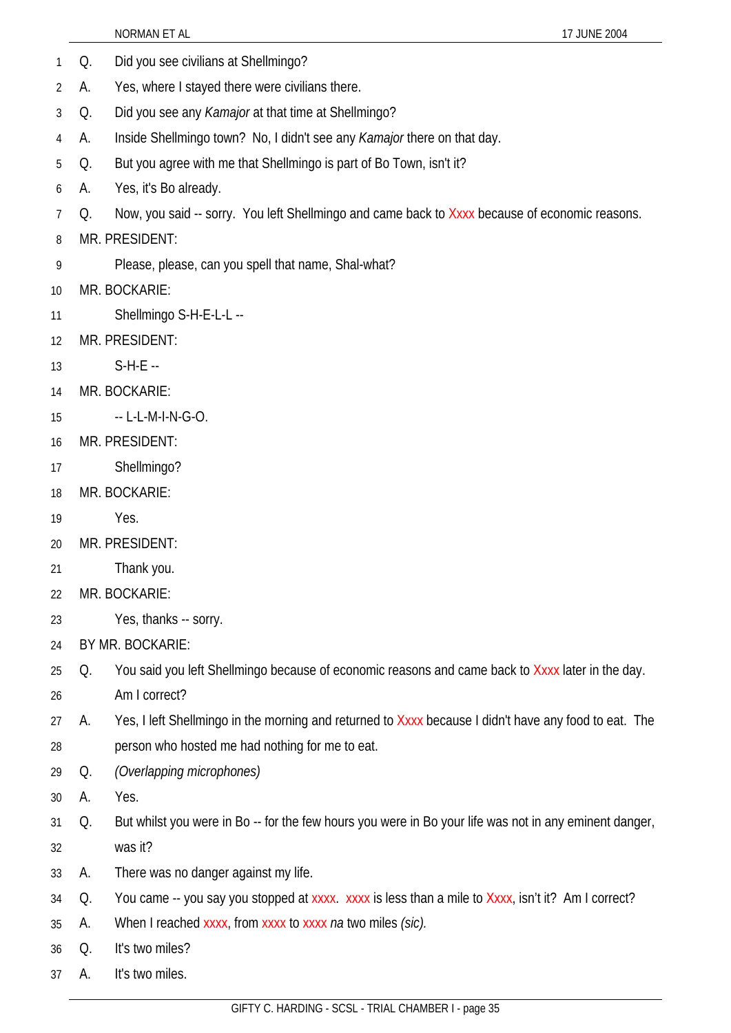- 1 Q. Did you see civilians at Shellmingo?
- 2 A. Yes, where I stayed there were civilians there.
- 3 Q. Did you see any *Kamajor* at that time at Shellmingo?
- 4 A. Inside Shellmingo town? No, I didn't see any *Kamajor* there on that day.
- 5 Q. But you agree with me that Shellmingo is part of Bo Town, isn't it?
- 6 A. Yes, it's Bo already.
- 7 Q. Now, you said -- sorry. You left Shellmingo and came back to Xxxx because of economic reasons.
- 8 MR. PRESIDENT:
- 9 Please, please, can you spell that name, Shal-what?
- 10 MR. BOCKARIE:
- 11 Shellmingo S-H-E-L-L --
- 12 MR. PRESIDENT:
- 13 S-H-E --
- 14 MR. BOCKARIE:
- 15 -- L-L-M-I-N-G-O.
- 16 MR. PRESIDENT:
- 17 Shellmingo?
- 18 MR. BOCKARIE:
- 19 Yes.
- 20 MR. PRESIDENT:
- 21 Thank you.
- 22 MR. BOCKARIE:
- 23 Yes, thanks -- sorry.
- 24 BY MR. BOCKARIE:
- 25 Q. You said you left Shellmingo because of economic reasons and came back to Xxxx later in the day.
- 26 Am I correct?
- 27 28 A. Yes, I left Shellmingo in the morning and returned to Xxxx because I didn't have any food to eat. The person who hosted me had nothing for me to eat.
- 29 Q. *(Overlapping microphones)*
- 30 A. Yes.
- 31 32 Q. But whilst you were in Bo -- for the few hours you were in Bo your life was not in any eminent danger, was it?
- 33 A. There was no danger against my life.
- 34 Q. You came -- you say you stopped at xxxx. xxxx is less than a mile to Xxxx, isn't it? Am I correct?
- 35 A. When I reached xxxx, from xxxx to xxxx *na* two miles *(sic).*
- 36 Q. It's two miles?
- 37 A. It's two miles.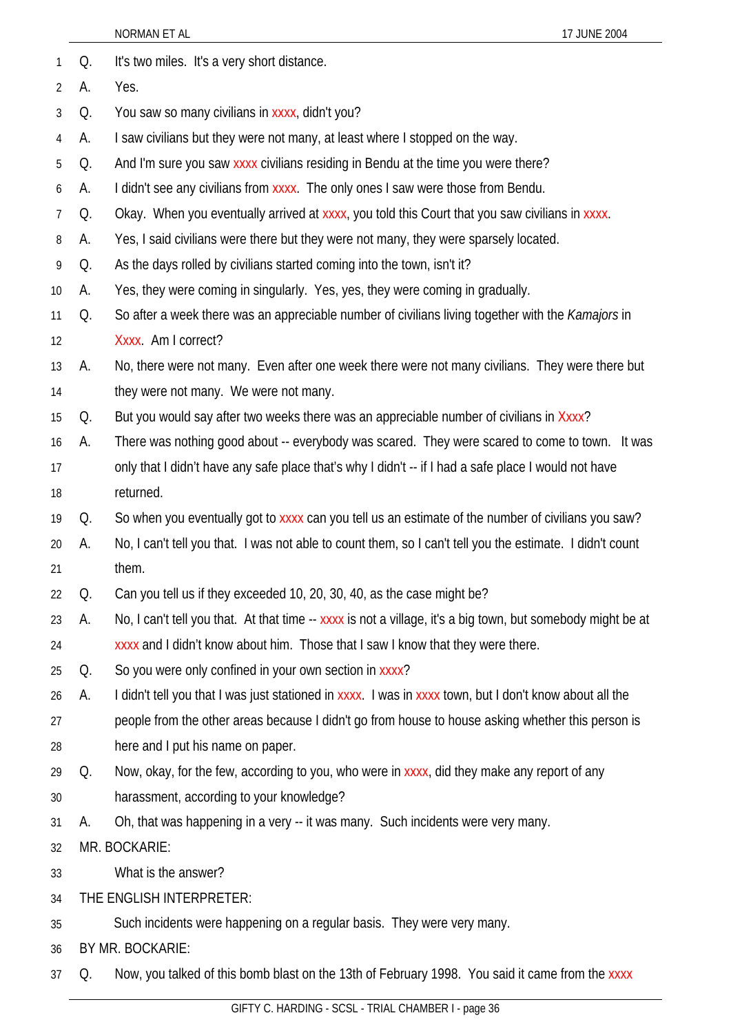|    |                          | NORMAN ET AL<br>17 JUNE 2004                                                                                |  |  |
|----|--------------------------|-------------------------------------------------------------------------------------------------------------|--|--|
| 1  | Q.                       | It's two miles. It's a very short distance.                                                                 |  |  |
| 2  | А.                       | Yes.                                                                                                        |  |  |
| 3  | Q.                       | You saw so many civilians in xxxx, didn't you?                                                              |  |  |
| 4  | А.                       | I saw civilians but they were not many, at least where I stopped on the way.                                |  |  |
| 5  | Q.                       | And I'm sure you saw xxxx civilians residing in Bendu at the time you were there?                           |  |  |
| 6  | А.                       | I didn't see any civilians from xxxx. The only ones I saw were those from Bendu.                            |  |  |
| 7  | Q.                       | Okay. When you eventually arrived at xxxx, you told this Court that you saw civilians in xxxx.              |  |  |
| 8  | А.                       | Yes, I said civilians were there but they were not many, they were sparsely located.                        |  |  |
| 9  | Q.                       | As the days rolled by civilians started coming into the town, isn't it?                                     |  |  |
| 10 | А.                       | Yes, they were coming in singularly. Yes, yes, they were coming in gradually.                               |  |  |
| 11 | Q.                       | So after a week there was an appreciable number of civilians living together with the <i>Kamajors</i> in    |  |  |
| 12 | Xxxx. Am I correct?      |                                                                                                             |  |  |
| 13 | А.                       | No, there were not many. Even after one week there were not many civilians. They were there but             |  |  |
| 14 |                          | they were not many. We were not many.                                                                       |  |  |
| 15 | Q.                       | But you would say after two weeks there was an appreciable number of civilians in Xxxx?                     |  |  |
| 16 | А.                       | There was nothing good about -- everybody was scared. They were scared to come to town. It was              |  |  |
| 17 |                          | only that I didn't have any safe place that's why I didn't -- if I had a safe place I would not have        |  |  |
| 18 |                          | returned.                                                                                                   |  |  |
| 19 | Q.                       | So when you eventually got to xxxx can you tell us an estimate of the number of civilians you saw?          |  |  |
| 20 | А.                       | No, I can't tell you that. I was not able to count them, so I can't tell you the estimate. I didn't count   |  |  |
| 21 |                          | them.                                                                                                       |  |  |
| 22 | Q.                       | Can you tell us if they exceeded 10, 20, 30, 40, as the case might be?                                      |  |  |
| 23 | А.                       | No, I can't tell you that. At that time -- xxxx is not a village, it's a big town, but somebody might be at |  |  |
| 24 |                          | xxxx and I didn't know about him. Those that I saw I know that they were there.                             |  |  |
| 25 | Q.                       | So you were only confined in your own section in xxxx?                                                      |  |  |
| 26 | А.                       | I didn't tell you that I was just stationed in xxxx. I was in xxxx town, but I don't know about all the     |  |  |
| 27 |                          | people from the other areas because I didn't go from house to house asking whether this person is           |  |  |
| 28 |                          | here and I put his name on paper.                                                                           |  |  |
| 29 | Q.                       | Now, okay, for the few, according to you, who were in xxxx, did they make any report of any                 |  |  |
| 30 |                          | harassment, according to your knowledge?                                                                    |  |  |
| 31 | А.                       | Oh, that was happening in a very -- it was many. Such incidents were very many.                             |  |  |
| 32 |                          | MR. BOCKARIE:                                                                                               |  |  |
| 33 |                          | What is the answer?                                                                                         |  |  |
| 34 | THE ENGLISH INTERPRETER: |                                                                                                             |  |  |
| 35 |                          | Such incidents were happening on a regular basis. They were very many.                                      |  |  |
| 36 |                          | BY MR. BOCKARIE:                                                                                            |  |  |
| 37 | Q.                       | Now, you talked of this bomb blast on the 13th of February 1998. You said it came from the xxxx             |  |  |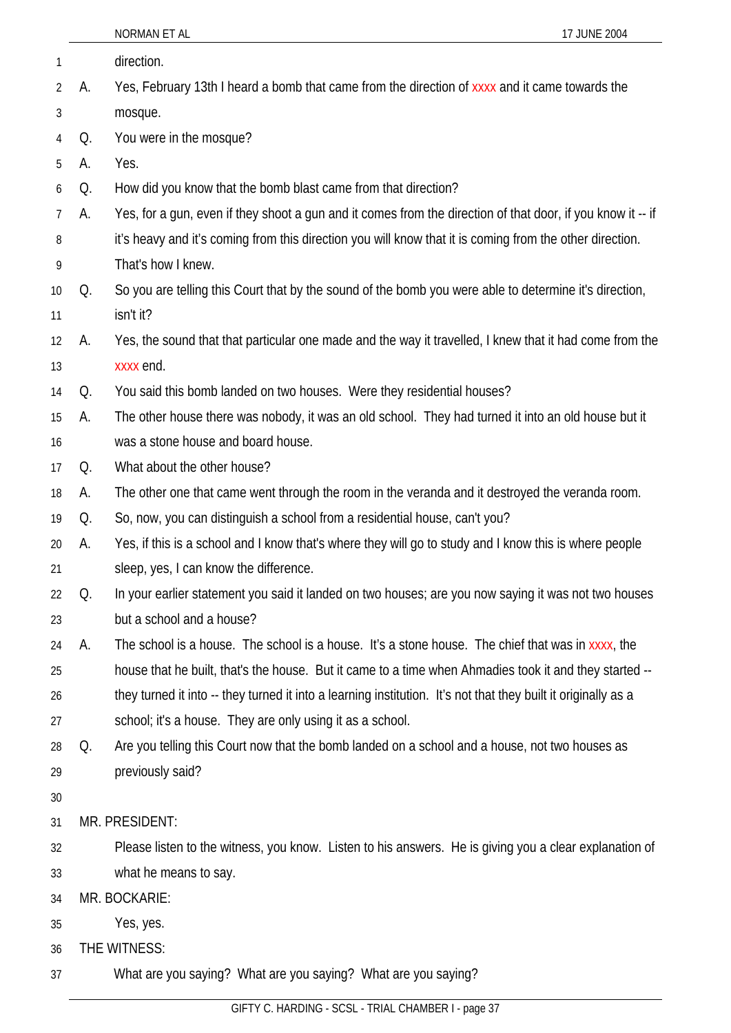|    |    | NORMAN ET AL<br>17 JUNE 2004                                                                                   |  |  |
|----|----|----------------------------------------------------------------------------------------------------------------|--|--|
| 1  |    | direction.                                                                                                     |  |  |
| 2  | А. | Yes, February 13th I heard a bomb that came from the direction of xxxx and it came towards the                 |  |  |
| 3  |    | mosque.                                                                                                        |  |  |
| 4  | Q. | You were in the mosque?                                                                                        |  |  |
| 5  | А. | Yes.                                                                                                           |  |  |
| 6  | Q. | How did you know that the bomb blast came from that direction?                                                 |  |  |
| 7  | А. | Yes, for a gun, even if they shoot a gun and it comes from the direction of that door, if you know it -- if    |  |  |
| 8  |    | it's heavy and it's coming from this direction you will know that it is coming from the other direction.       |  |  |
| 9  |    | That's how I knew.                                                                                             |  |  |
| 10 | Q. | So you are telling this Court that by the sound of the bomb you were able to determine it's direction,         |  |  |
| 11 |    | isn't it?                                                                                                      |  |  |
| 12 | А. | Yes, the sound that that particular one made and the way it travelled, I knew that it had come from the        |  |  |
| 13 |    | xxxx end.                                                                                                      |  |  |
| 14 | Q. | You said this bomb landed on two houses. Were they residential houses?                                         |  |  |
| 15 | А. | The other house there was nobody, it was an old school. They had turned it into an old house but it            |  |  |
| 16 |    | was a stone house and board house.                                                                             |  |  |
| 17 | Q. | What about the other house?                                                                                    |  |  |
| 18 | А. | The other one that came went through the room in the veranda and it destroyed the veranda room.                |  |  |
| 19 | Q. | So, now, you can distinguish a school from a residential house, can't you?                                     |  |  |
| 20 | А. | Yes, if this is a school and I know that's where they will go to study and I know this is where people         |  |  |
| 21 |    | sleep, yes, I can know the difference.                                                                         |  |  |
| 22 | Q. | In your earlier statement you said it landed on two houses; are you now saying it was not two houses           |  |  |
| 23 |    | but a school and a house?                                                                                      |  |  |
| 24 | А. | The school is a house. The school is a house. It's a stone house. The chief that was in xxxx, the              |  |  |
| 25 |    | house that he built, that's the house. But it came to a time when Ahmadies took it and they started --         |  |  |
| 26 |    | they turned it into -- they turned it into a learning institution. It's not that they built it originally as a |  |  |
| 27 |    | school; it's a house. They are only using it as a school.                                                      |  |  |
| 28 | Q. | Are you telling this Court now that the bomb landed on a school and a house, not two houses as                 |  |  |
| 29 |    | previously said?                                                                                               |  |  |
| 30 |    |                                                                                                                |  |  |
| 31 |    | MR. PRESIDENT:                                                                                                 |  |  |
| 32 |    | Please listen to the witness, you know. Listen to his answers. He is giving you a clear explanation of         |  |  |
| 33 |    | what he means to say.                                                                                          |  |  |
| 34 |    | MR. BOCKARIE:                                                                                                  |  |  |
| 35 |    | Yes, yes.                                                                                                      |  |  |
| 36 |    | THE WITNESS:                                                                                                   |  |  |
| 37 |    | What are you saying? What are you saying? What are you saying?                                                 |  |  |
|    |    |                                                                                                                |  |  |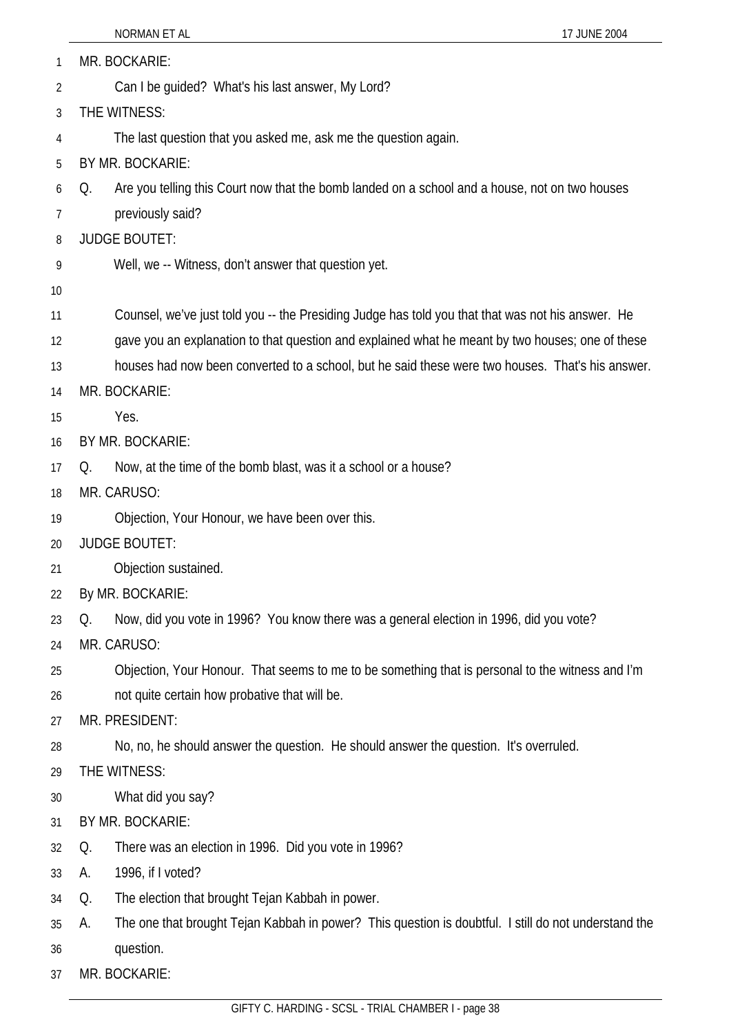| 1  | MR. BOCKARIE:                                                                                              |  |  |
|----|------------------------------------------------------------------------------------------------------------|--|--|
| 2  | Can I be guided? What's his last answer, My Lord?                                                          |  |  |
| 3  | THE WITNESS:                                                                                               |  |  |
| 4  | The last question that you asked me, ask me the question again.                                            |  |  |
| 5  | BY MR. BOCKARIE:                                                                                           |  |  |
| 6  | Are you telling this Court now that the bomb landed on a school and a house, not on two houses<br>Q.       |  |  |
| 7  | previously said?                                                                                           |  |  |
| 8  | <b>JUDGE BOUTET:</b>                                                                                       |  |  |
| 9  | Well, we -- Witness, don't answer that question yet.                                                       |  |  |
| 10 |                                                                                                            |  |  |
| 11 | Counsel, we've just told you -- the Presiding Judge has told you that that was not his answer. He          |  |  |
| 12 | gave you an explanation to that question and explained what he meant by two houses; one of these           |  |  |
| 13 | houses had now been converted to a school, but he said these were two houses. That's his answer.           |  |  |
| 14 | MR. BOCKARIE:                                                                                              |  |  |
| 15 | Yes.                                                                                                       |  |  |
| 16 | BY MR. BOCKARIE:                                                                                           |  |  |
| 17 | Now, at the time of the bomb blast, was it a school or a house?<br>O.                                      |  |  |
| 18 | MR. CARUSO:                                                                                                |  |  |
| 19 | Objection, Your Honour, we have been over this.                                                            |  |  |
| 20 | <b>JUDGE BOUTET:</b>                                                                                       |  |  |
| 21 | Objection sustained.                                                                                       |  |  |
| 22 | By MR. BOCKARIE:                                                                                           |  |  |
| 23 | Now, did you vote in 1996? You know there was a general election in 1996, did you vote?<br>Q.              |  |  |
| 24 | MR. CARUSO:                                                                                                |  |  |
| 25 | Objection, Your Honour. That seems to me to be something that is personal to the witness and I'm           |  |  |
| 26 | not quite certain how probative that will be.                                                              |  |  |
| 27 | MR. PRESIDENT:                                                                                             |  |  |
| 28 | No, no, he should answer the question. He should answer the question. It's overruled.                      |  |  |
| 29 | THE WITNESS:                                                                                               |  |  |
| 30 | What did you say?                                                                                          |  |  |
| 31 | BY MR. BOCKARIE:                                                                                           |  |  |
| 32 | There was an election in 1996. Did you vote in 1996?<br>Q.                                                 |  |  |
| 33 | 1996, if I voted?<br>А.                                                                                    |  |  |
| 34 | The election that brought Tejan Kabbah in power.<br>Q.                                                     |  |  |
| 35 | The one that brought Tejan Kabbah in power? This question is doubtful. I still do not understand the<br>А. |  |  |
| 36 | question.                                                                                                  |  |  |
| 37 | MR. BOCKARIE:                                                                                              |  |  |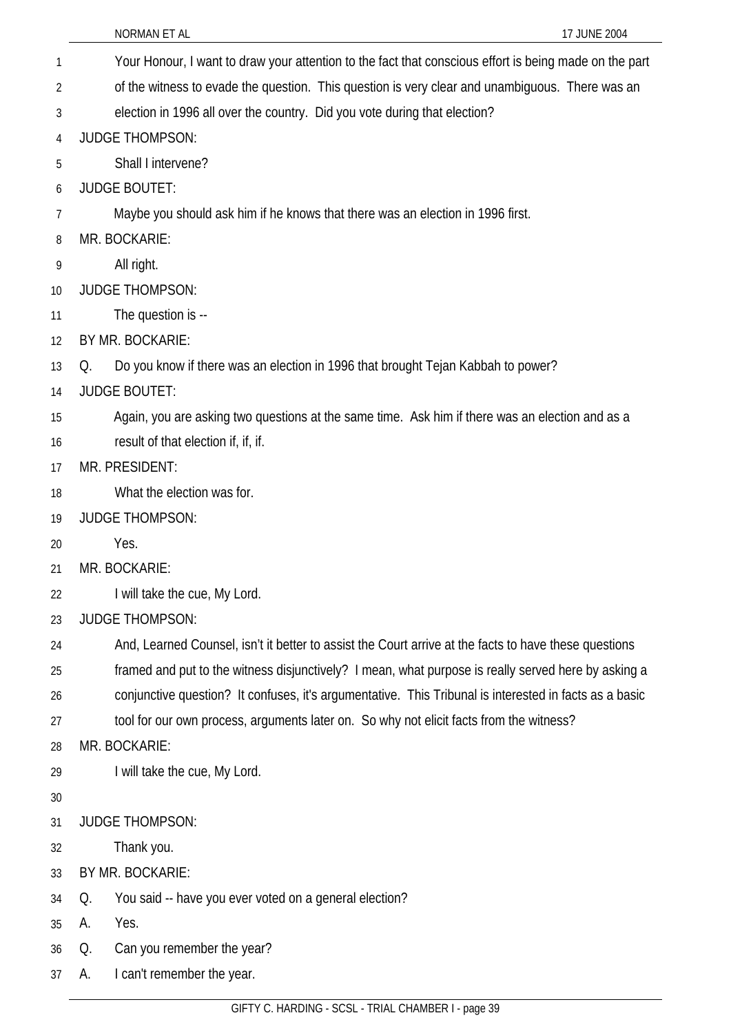|                | 17 JUNE 2004<br>NORMAN ET AL                                                                           |
|----------------|--------------------------------------------------------------------------------------------------------|
| 1              | Your Honour, I want to draw your attention to the fact that conscious effort is being made on the part |
| $\overline{2}$ | of the witness to evade the question. This question is very clear and unambiguous. There was an        |
| 3              | election in 1996 all over the country. Did you vote during that election?                              |
| $\overline{4}$ | <b>JUDGE THOMPSON:</b>                                                                                 |
| 5              | Shall I intervene?                                                                                     |
| 6              | <b>JUDGE BOUTET:</b>                                                                                   |
| 7              | Maybe you should ask him if he knows that there was an election in 1996 first.                         |
| 8              | MR. BOCKARIE:                                                                                          |
| 9              | All right.                                                                                             |
| 10             | <b>JUDGE THOMPSON:</b>                                                                                 |
| 11             | The question is --                                                                                     |
| 12             | BY MR. BOCKARIE:                                                                                       |
| 13             | Do you know if there was an election in 1996 that brought Tejan Kabbah to power?<br>Q.                 |
| 14             | <b>JUDGE BOUTET:</b>                                                                                   |
| 15             | Again, you are asking two questions at the same time. Ask him if there was an election and as a        |
| 16             | result of that election if, if, if.                                                                    |
| 17             | MR. PRESIDENT:                                                                                         |
| 18             | What the election was for.                                                                             |
| 19             | <b>JUDGE THOMPSON:</b>                                                                                 |
| 20             | Yes.                                                                                                   |
| 21             | MR. BOCKARIE:                                                                                          |
| 22             | I will take the cue, My Lord.                                                                          |
| 23             | <b>JUDGE THOMPSON:</b>                                                                                 |
| 24             | And, Learned Counsel, isn't it better to assist the Court arrive at the facts to have these questions  |
| 25             | framed and put to the witness disjunctively? I mean, what purpose is really served here by asking a    |
| 26             | conjunctive question? It confuses, it's argumentative. This Tribunal is interested in facts as a basic |
| 27             | tool for our own process, arguments later on. So why not elicit facts from the witness?                |
| 28             | MR. BOCKARIE:                                                                                          |
| 29             | I will take the cue, My Lord.                                                                          |
| 30             |                                                                                                        |
| 31             | <b>JUDGE THOMPSON:</b>                                                                                 |
| 32             | Thank you.                                                                                             |
| 33             | BY MR. BOCKARIE:                                                                                       |
| 34             | You said -- have you ever voted on a general election?<br>Q.                                           |
| 35             | Yes.<br>А.                                                                                             |
| 36             | Can you remember the year?<br>Q.                                                                       |
| 37             | I can't remember the year.<br>А.                                                                       |
|                | GIFTY C. HARDING - SCSL - TRIAL CHAMBER I - page 39                                                    |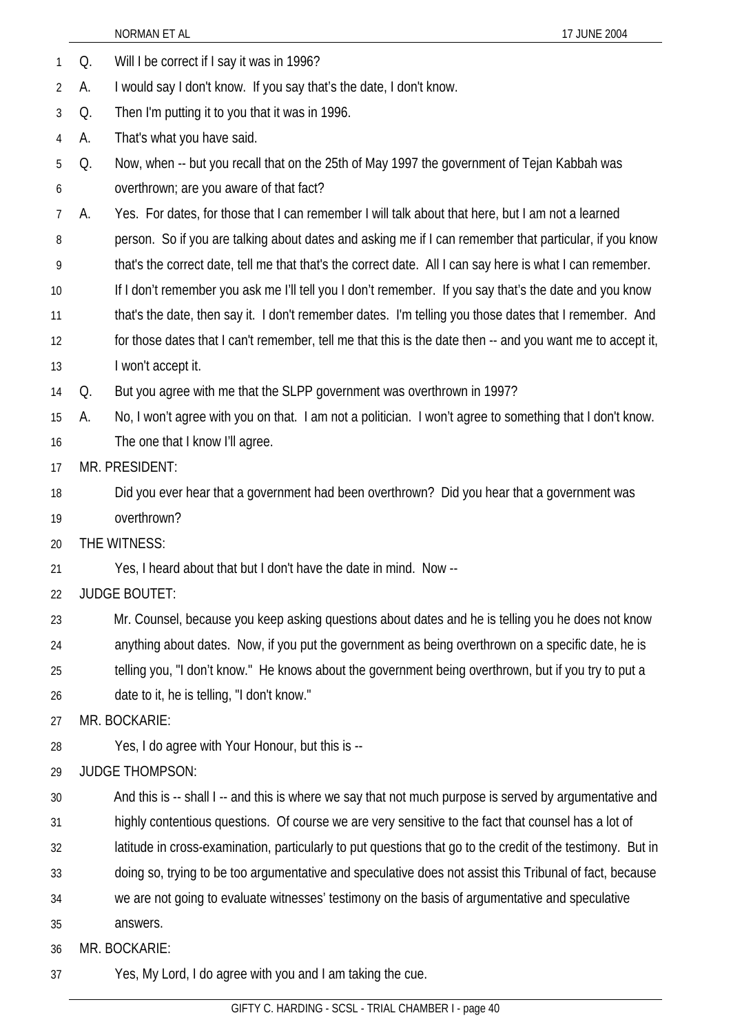|    |    | NORMAN ET AL<br>17 JUNE 2004                                                                                |  |  |
|----|----|-------------------------------------------------------------------------------------------------------------|--|--|
| 1  | Q. | Will I be correct if I say it was in 1996?                                                                  |  |  |
| 2  | А. | I would say I don't know. If you say that's the date, I don't know.                                         |  |  |
| 3  | Q. | Then I'm putting it to you that it was in 1996.                                                             |  |  |
| 4  | А. | That's what you have said.                                                                                  |  |  |
| 5  | Q. | Now, when -- but you recall that on the 25th of May 1997 the government of Tejan Kabbah was                 |  |  |
| 6  |    | overthrown; are you aware of that fact?                                                                     |  |  |
| 7  | А. | Yes. For dates, for those that I can remember I will talk about that here, but I am not a learned           |  |  |
| 8  |    | person. So if you are talking about dates and asking me if I can remember that particular, if you know      |  |  |
| 9  |    | that's the correct date, tell me that that's the correct date. All I can say here is what I can remember.   |  |  |
| 10 |    | If I don't remember you ask me I'll tell you I don't remember. If you say that's the date and you know      |  |  |
| 11 |    | that's the date, then say it. I don't remember dates. I'm telling you those dates that I remember. And      |  |  |
| 12 |    | for those dates that I can't remember, tell me that this is the date then -- and you want me to accept it,  |  |  |
| 13 |    | I won't accept it.                                                                                          |  |  |
| 14 | Q. | But you agree with me that the SLPP government was overthrown in 1997?                                      |  |  |
| 15 | А. | No, I won't agree with you on that. I am not a politician. I won't agree to something that I don't know.    |  |  |
| 16 |    | The one that I know I'll agree.                                                                             |  |  |
| 17 |    | MR. PRESIDENT:                                                                                              |  |  |
| 18 |    | Did you ever hear that a government had been overthrown? Did you hear that a government was                 |  |  |
| 19 |    | overthrown?                                                                                                 |  |  |
| 20 |    | THE WITNESS:                                                                                                |  |  |
| 21 |    | Yes, I heard about that but I don't have the date in mind. Now --                                           |  |  |
| 22 |    | <b>JUDGE BOUTET:</b>                                                                                        |  |  |
| 23 |    | Mr. Counsel, because you keep asking questions about dates and he is telling you he does not know           |  |  |
| 24 |    | anything about dates. Now, if you put the government as being overthrown on a specific date, he is          |  |  |
| 25 |    | telling you, "I don't know." He knows about the government being overthrown, but if you try to put a        |  |  |
| 26 |    | date to it, he is telling, "I don't know."                                                                  |  |  |
| 27 |    | MR. BOCKARIE:                                                                                               |  |  |
| 28 |    | Yes, I do agree with Your Honour, but this is --                                                            |  |  |
| 29 |    | <b>JUDGE THOMPSON:</b>                                                                                      |  |  |
| 30 |    | And this is -- shall I -- and this is where we say that not much purpose is served by argumentative and     |  |  |
| 31 |    | highly contentious questions. Of course we are very sensitive to the fact that counsel has a lot of         |  |  |
| 32 |    | latitude in cross-examination, particularly to put questions that go to the credit of the testimony. But in |  |  |
| 33 |    | doing so, trying to be too argumentative and speculative does not assist this Tribunal of fact, because     |  |  |
| 34 |    | we are not going to evaluate witnesses' testimony on the basis of argumentative and speculative             |  |  |
| 35 |    | answers.                                                                                                    |  |  |
| 36 |    | MR. BOCKARIE:                                                                                               |  |  |
| 37 |    | Yes, My Lord, I do agree with you and I am taking the cue.                                                  |  |  |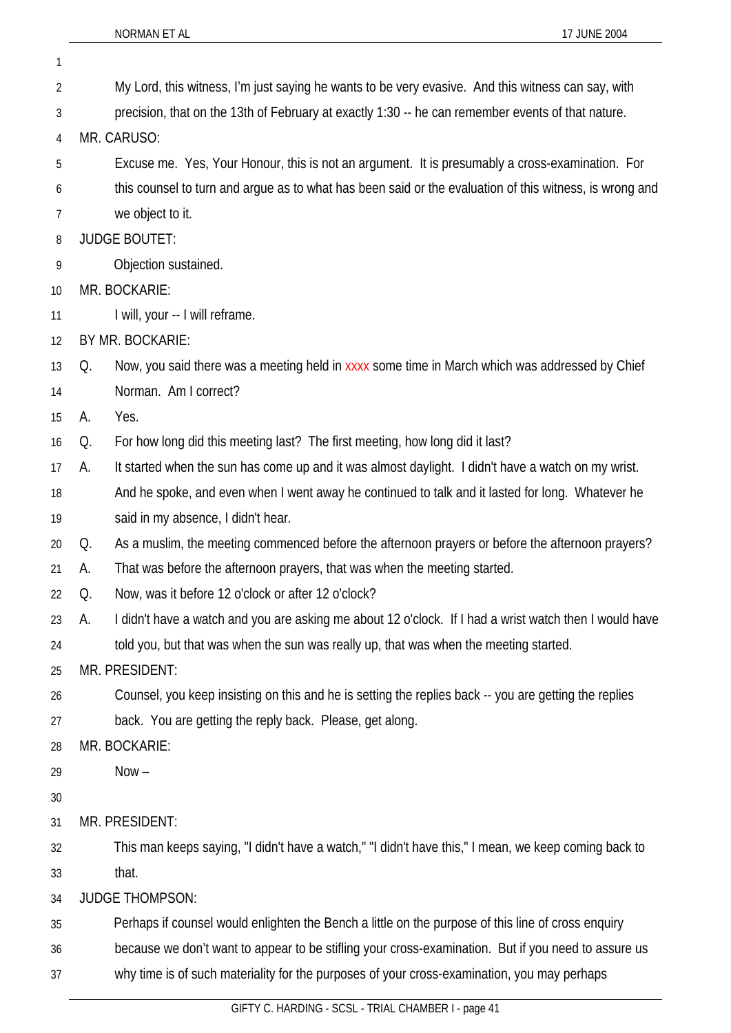1

| 2  |                                                                                                         | My Lord, this witness, I'm just saying he wants to be very evasive. And this witness can say, with    |  |
|----|---------------------------------------------------------------------------------------------------------|-------------------------------------------------------------------------------------------------------|--|
| 3  | precision, that on the 13th of February at exactly 1:30 -- he can remember events of that nature.       |                                                                                                       |  |
| 4  | MR. CARUSO:                                                                                             |                                                                                                       |  |
| 5  | Excuse me. Yes, Your Honour, this is not an argument. It is presumably a cross-examination. For         |                                                                                                       |  |
| 6  | this counsel to turn and argue as to what has been said or the evaluation of this witness, is wrong and |                                                                                                       |  |
| 7  |                                                                                                         | we object to it.                                                                                      |  |
| 8  |                                                                                                         | <b>JUDGE BOUTET:</b>                                                                                  |  |
| 9  |                                                                                                         | Objection sustained.                                                                                  |  |
| 10 |                                                                                                         | MR. BOCKARIE:                                                                                         |  |
| 11 |                                                                                                         | I will, your -- I will reframe.                                                                       |  |
| 12 |                                                                                                         | BY MR. BOCKARIE:                                                                                      |  |
| 13 | Q.                                                                                                      | Now, you said there was a meeting held in xxxx some time in March which was addressed by Chief        |  |
| 14 |                                                                                                         | Norman. Am I correct?                                                                                 |  |
| 15 | А.                                                                                                      | Yes.                                                                                                  |  |
| 16 | Q.                                                                                                      | For how long did this meeting last? The first meeting, how long did it last?                          |  |
| 17 | А.                                                                                                      | It started when the sun has come up and it was almost daylight. I didn't have a watch on my wrist.    |  |
| 18 |                                                                                                         | And he spoke, and even when I went away he continued to talk and it lasted for long. Whatever he      |  |
| 19 |                                                                                                         | said in my absence, I didn't hear.                                                                    |  |
| 20 | Q.                                                                                                      | As a muslim, the meeting commenced before the afternoon prayers or before the afternoon prayers?      |  |
| 21 | А.                                                                                                      | That was before the afternoon prayers, that was when the meeting started.                             |  |
| 22 | Q.                                                                                                      | Now, was it before 12 o'clock or after 12 o'clock?                                                    |  |
| 23 | А.                                                                                                      | didn't have a watch and you are asking me about 12 o'clock. If I had a wrist watch then I would have  |  |
| 24 |                                                                                                         | told you, but that was when the sun was really up, that was when the meeting started.                 |  |
| 25 |                                                                                                         | MR. PRESIDENT:                                                                                        |  |
| 26 |                                                                                                         | Counsel, you keep insisting on this and he is setting the replies back -- you are getting the replies |  |
| 27 |                                                                                                         | back. You are getting the reply back. Please, get along.                                              |  |
| 28 |                                                                                                         | MR. BOCKARIE:                                                                                         |  |
| 29 |                                                                                                         | $Now -$                                                                                               |  |
| 30 |                                                                                                         |                                                                                                       |  |
| 31 |                                                                                                         | MR. PRESIDENT:                                                                                        |  |
| 32 |                                                                                                         | This man keeps saying, "I didn't have a watch," "I didn't have this," I mean, we keep coming back to  |  |
| 33 |                                                                                                         | that.                                                                                                 |  |
| 34 |                                                                                                         | <b>JUDGE THOMPSON:</b>                                                                                |  |
| 35 |                                                                                                         | Perhaps if counsel would enlighten the Bench a little on the purpose of this line of cross enquiry    |  |
| 36 |                                                                                                         | because we don't want to appear to be stifling your cross-examination. But if you need to assure us   |  |
| 37 |                                                                                                         | why time is of such materiality for the purposes of your cross-examination, you may perhaps           |  |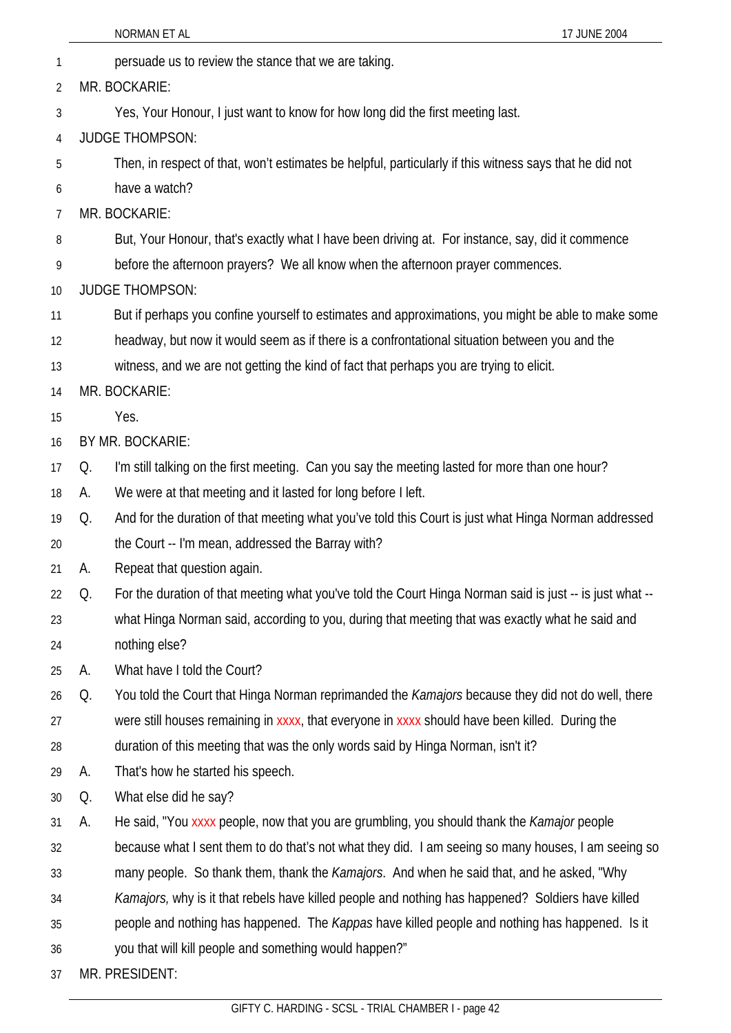- 1 persuade us to review the stance that we are taking.
- 2 MR. BOCKARIE:
- 3 Yes, Your Honour, I just want to know for how long did the first meeting last.
- 4 JUDGE THOMPSON:
- 5 Then, in respect of that, won't estimates be helpful, particularly if this witness says that he did not
- 6 have a watch?
- 7 MR. BOCKARIE:
- 8 But, Your Honour, that's exactly what I have been driving at. For instance, say, did it commence
- 9 before the afternoon prayers? We all know when the afternoon prayer commences.
- 10 JUDGE THOMPSON:
- 11 But if perhaps you confine yourself to estimates and approximations, you might be able to make some
- 12 headway, but now it would seem as if there is a confrontational situation between you and the
- 13 witness, and we are not getting the kind of fact that perhaps you are trying to elicit.
- 14 MR. BOCKARIE:
- 15 Yes.
- 16 BY MR. BOCKARIE:
- 17 Q. I'm still talking on the first meeting. Can you say the meeting lasted for more than one hour?
- 18 A. We were at that meeting and it lasted for long before I left.
- 19 Q. And for the duration of that meeting what you've told this Court is just what Hinga Norman addressed
- 20 the Court -- I'm mean, addressed the Barray with?
- 21 A. Repeat that question again.
- 22 Q. For the duration of that meeting what you've told the Court Hinga Norman said is just -- is just what --
- 23 24 what Hinga Norman said, according to you, during that meeting that was exactly what he said and nothing else?
- 25 A. What have I told the Court?
- 26 27 28 Q. You told the Court that Hinga Norman reprimanded the *Kamajors* because they did not do well, there were still houses remaining in xxxx, that everyone in xxxx should have been killed. During the duration of this meeting that was the only words said by Hinga Norman, isn't it?
- 29 A. That's how he started his speech.
- 30 Q. What else did he say?
- 31 A. He said, "You xxxx people, now that you are grumbling, you should thank the *Kamajor* people
- 32 because what I sent them to do that's not what they did. I am seeing so many houses, I am seeing so
- 33 many people. So thank them, thank the *Kamajors*. And when he said that, and he asked, "Why
- 34 *Kamajors,* why is it that rebels have killed people and nothing has happened? Soldiers have killed
- 35 people and nothing has happened. The *Kappas* have killed people and nothing has happened. Is it
- 36 you that will kill people and something would happen?"
- 37 MR. PRESIDENT: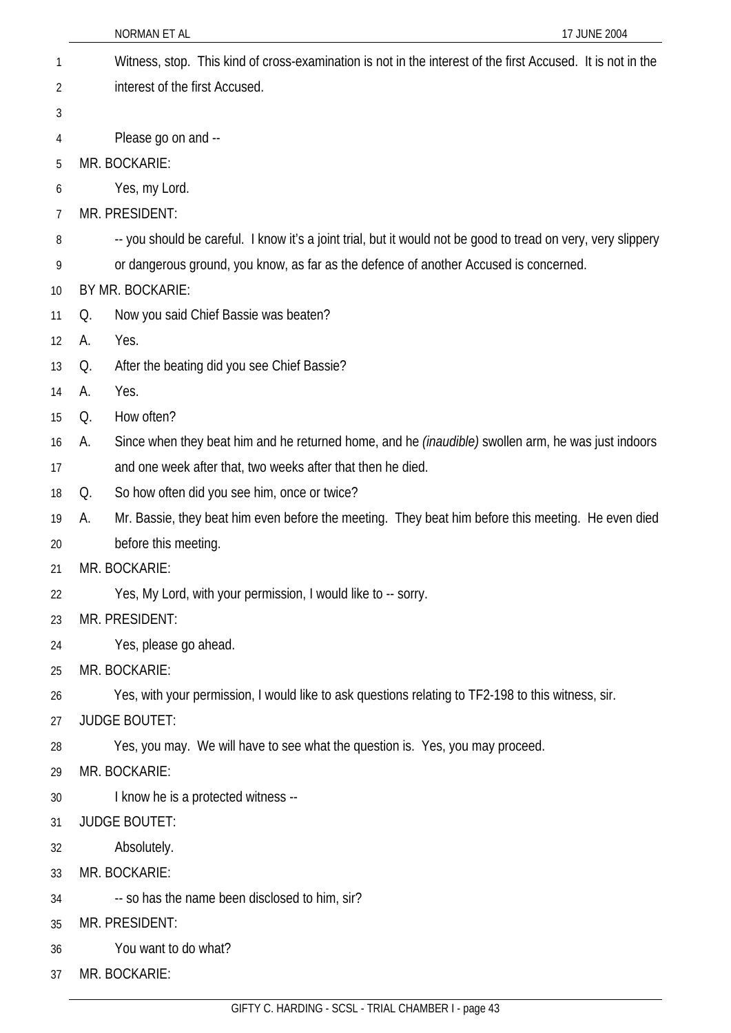|    | NORMAN ET AL<br>17 JUNE 2004                                                                                    |
|----|-----------------------------------------------------------------------------------------------------------------|
| 1  | Witness, stop. This kind of cross-examination is not in the interest of the first Accused. It is not in the     |
| 2  | interest of the first Accused.                                                                                  |
| 3  |                                                                                                                 |
| 4  | Please go on and --                                                                                             |
| 5  | MR. BOCKARIE:                                                                                                   |
| 6  | Yes, my Lord.                                                                                                   |
| 7  | MR. PRESIDENT:                                                                                                  |
| 8  | -- you should be careful. I know it's a joint trial, but it would not be good to tread on very, very slippery   |
| 9  | or dangerous ground, you know, as far as the defence of another Accused is concerned.                           |
| 10 | BY MR. BOCKARIE:                                                                                                |
| 11 | Now you said Chief Bassie was beaten?<br>Q.                                                                     |
| 12 | Yes.<br>А.                                                                                                      |
| 13 | After the beating did you see Chief Bassie?<br>Q.                                                               |
| 14 | Yes.<br>А.                                                                                                      |
| 15 | How often?<br>Q.                                                                                                |
| 16 | Since when they beat him and he returned home, and he <i>(inaudible)</i> swollen arm, he was just indoors<br>А. |
| 17 | and one week after that, two weeks after that then he died.                                                     |
| 18 | So how often did you see him, once or twice?<br>Q.                                                              |
| 19 | Mr. Bassie, they beat him even before the meeting. They beat him before this meeting. He even died<br>A.        |
| 20 | before this meeting.                                                                                            |
| 21 | MR. BOCKARIE:                                                                                                   |
| 22 | Yes, My Lord, with your permission, I would like to -- sorry.                                                   |
| 23 | MR. PRESIDENT:                                                                                                  |
| 24 | Yes, please go ahead.                                                                                           |
| 25 | MR. BOCKARIE:                                                                                                   |
| 26 | Yes, with your permission, I would like to ask questions relating to TF2-198 to this witness, sir.              |
| 27 | <b>JUDGE BOUTET:</b>                                                                                            |
| 28 | Yes, you may. We will have to see what the question is. Yes, you may proceed.                                   |
| 29 | MR. BOCKARIE:                                                                                                   |
| 30 | I know he is a protected witness --                                                                             |
| 31 | <b>JUDGE BOUTET:</b>                                                                                            |
| 32 | Absolutely.                                                                                                     |
| 33 | MR. BOCKARIE:                                                                                                   |
| 34 | -- so has the name been disclosed to him, sir?                                                                  |
| 35 | MR. PRESIDENT:                                                                                                  |
| 36 | You want to do what?                                                                                            |
| 37 | MR. BOCKARIE:                                                                                                   |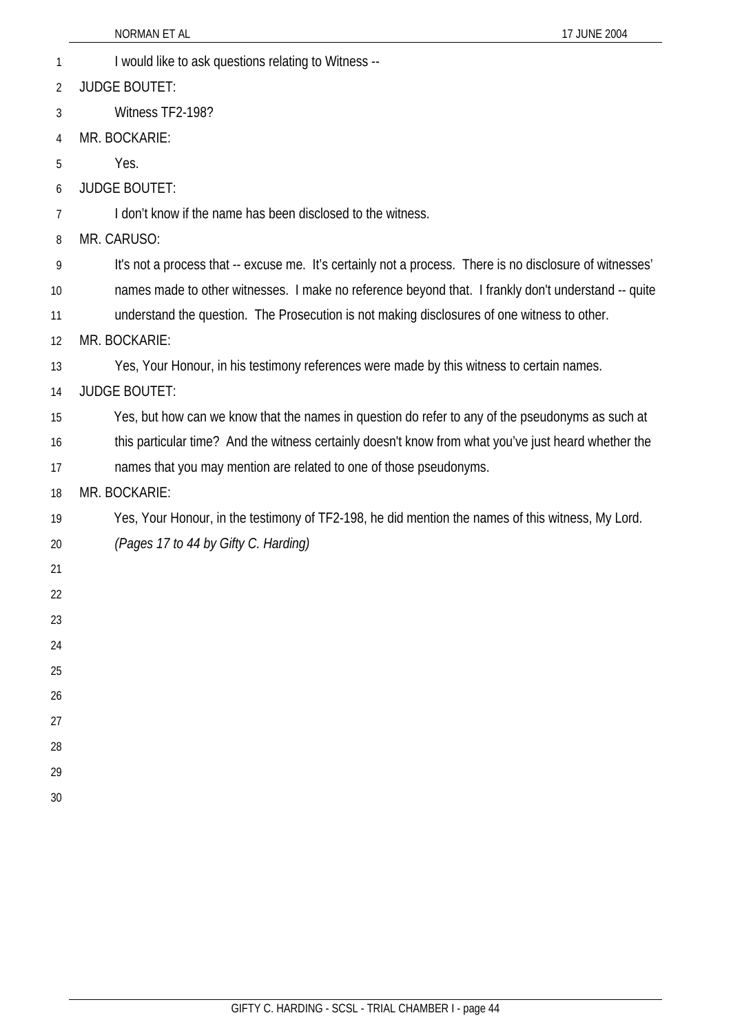|                | 17 JUNE 2004<br>NORMAN ET AL                                                                             |
|----------------|----------------------------------------------------------------------------------------------------------|
| 1              | I would like to ask questions relating to Witness --                                                     |
| $\overline{2}$ | <b>JUDGE BOUTET:</b>                                                                                     |
| 3              | Witness TF2-198?                                                                                         |
| 4              | MR. BOCKARIE:                                                                                            |
| 5              | Yes.                                                                                                     |
| 6              | <b>JUDGE BOUTET:</b>                                                                                     |
| 7              | I don't know if the name has been disclosed to the witness.                                              |
| 8              | MR. CARUSO:                                                                                              |
| 9              | It's not a process that -- excuse me. It's certainly not a process. There is no disclosure of witnesses' |
| 10             | names made to other witnesses. I make no reference beyond that. I frankly don't understand -- quite      |
| 11             | understand the question. The Prosecution is not making disclosures of one witness to other.              |
| 12             | MR. BOCKARIE:                                                                                            |
| 13             | Yes, Your Honour, in his testimony references were made by this witness to certain names.                |
| 14             | <b>JUDGE BOUTET:</b>                                                                                     |
| 15             | Yes, but how can we know that the names in question do refer to any of the pseudonyms as such at         |
| 16             | this particular time? And the witness certainly doesn't know from what you've just heard whether the     |
| 17             | names that you may mention are related to one of those pseudonyms.                                       |
| 18             | MR. BOCKARIE:                                                                                            |
| 19             | Yes, Your Honour, in the testimony of TF2-198, he did mention the names of this witness, My Lord.        |
| 20             | (Pages 17 to 44 by Gifty C. Harding)                                                                     |
| 21             |                                                                                                          |
| 22             |                                                                                                          |
| 23             |                                                                                                          |
| 24             |                                                                                                          |
| 25             |                                                                                                          |
| 26             |                                                                                                          |
| 27             |                                                                                                          |
| 28             |                                                                                                          |
| 29             |                                                                                                          |
| 30             |                                                                                                          |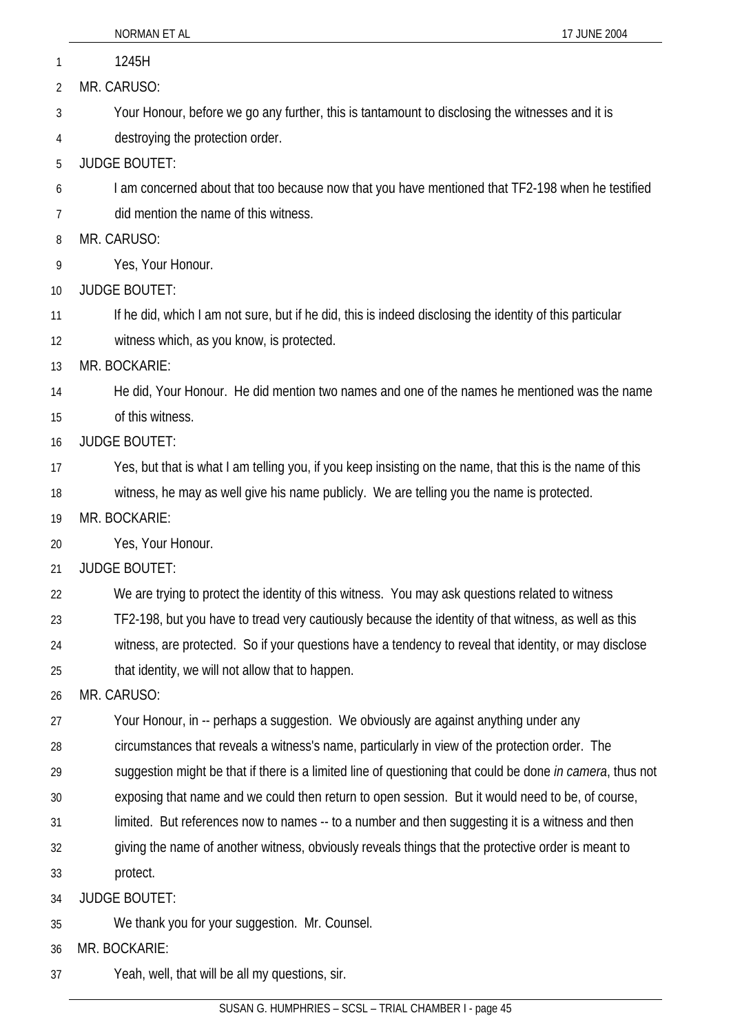| $\mathbf{1}$   | 1245H                                                                                                     |
|----------------|-----------------------------------------------------------------------------------------------------------|
| $\overline{2}$ | MR. CARUSO:                                                                                               |
| 3              | Your Honour, before we go any further, this is tantamount to disclosing the witnesses and it is           |
| 4              | destroying the protection order.                                                                          |
| 5              | <b>JUDGE BOUTET:</b>                                                                                      |
| 6              | I am concerned about that too because now that you have mentioned that TF2-198 when he testified          |
| 7              | did mention the name of this witness.                                                                     |
| 8              | MR. CARUSO:                                                                                               |
| 9              | Yes, Your Honour.                                                                                         |
| 10             | <b>JUDGE BOUTET:</b>                                                                                      |
| 11             | If he did, which I am not sure, but if he did, this is indeed disclosing the identity of this particular  |
| 12             | witness which, as you know, is protected.                                                                 |
| 13             | MR. BOCKARIE:                                                                                             |
| 14             | He did, Your Honour. He did mention two names and one of the names he mentioned was the name              |
| 15             | of this witness.                                                                                          |
| 16             | <b>JUDGE BOUTET:</b>                                                                                      |
| 17             | Yes, but that is what I am telling you, if you keep insisting on the name, that this is the name of this  |
| 18             | witness, he may as well give his name publicly. We are telling you the name is protected.                 |
| 19             | MR. BOCKARIE:                                                                                             |
| 20             | Yes, Your Honour.                                                                                         |
| 21             | <b>JUDGE BOUTET:</b>                                                                                      |
| 22             | We are trying to protect the identity of this witness. You may ask questions related to witness           |
| 23             | TF2-198, but you have to tread very cautiously because the identity of that witness, as well as this      |
| 24             | witness, are protected. So if your questions have a tendency to reveal that identity, or may disclose     |
| 25             | that identity, we will not allow that to happen.                                                          |
| 26             | MR. CARUSO:                                                                                               |
| 27             | Your Honour, in -- perhaps a suggestion. We obviously are against anything under any                      |
| 28             | circumstances that reveals a witness's name, particularly in view of the protection order. The            |
| 29             | suggestion might be that if there is a limited line of questioning that could be done in camera, thus not |
| 30             | exposing that name and we could then return to open session. But it would need to be, of course,          |
| 31             | limited. But references now to names -- to a number and then suggesting it is a witness and then          |
| 32             | giving the name of another witness, obviously reveals things that the protective order is meant to        |
| 33             | protect.                                                                                                  |
| 34             | <b>JUDGE BOUTET:</b>                                                                                      |
| 35             | We thank you for your suggestion. Mr. Counsel.                                                            |
| 36             | MR. BOCKARIE:                                                                                             |
| 37             | Yeah, well, that will be all my questions, sir.                                                           |
|                |                                                                                                           |

NORMAN ET AL 17 JUNE 2004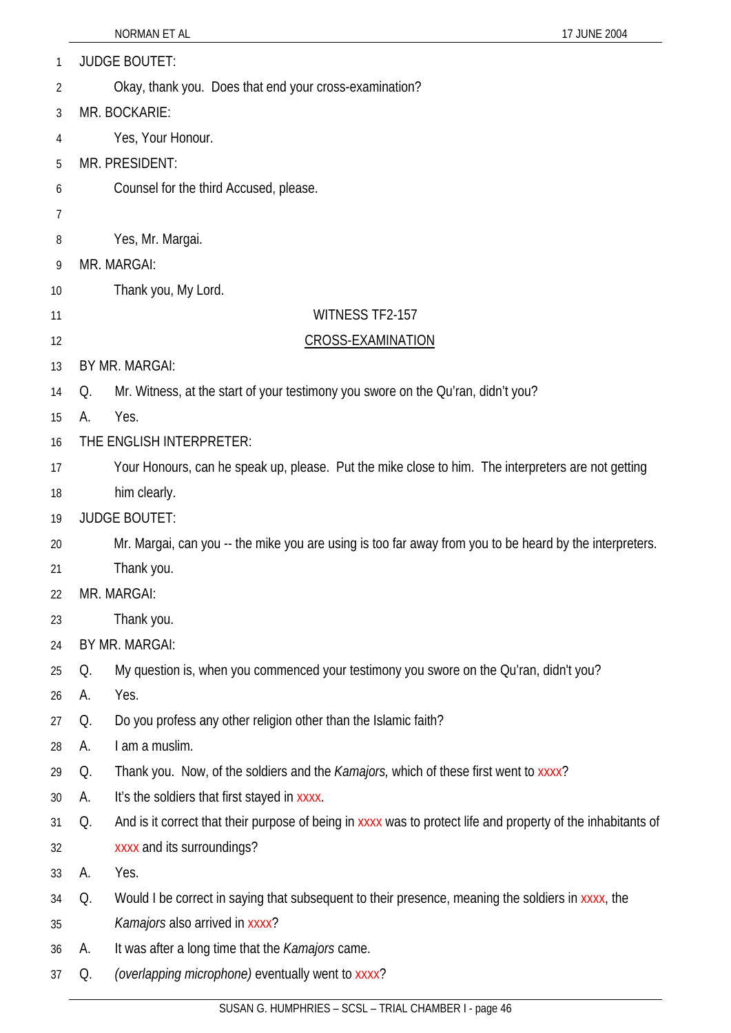| 1  | <b>JUDGE BOUTET:</b> |                                                                                                              |  |  |
|----|----------------------|--------------------------------------------------------------------------------------------------------------|--|--|
| 2  |                      | Okay, thank you. Does that end your cross-examination?                                                       |  |  |
| 3  |                      | MR. BOCKARIE:                                                                                                |  |  |
| 4  |                      | Yes, Your Honour.                                                                                            |  |  |
| 5  |                      | MR. PRESIDENT:                                                                                               |  |  |
| 6  |                      | Counsel for the third Accused, please.                                                                       |  |  |
| 7  |                      |                                                                                                              |  |  |
| 8  |                      | Yes, Mr. Margai.                                                                                             |  |  |
| 9  |                      | MR. MARGAI:                                                                                                  |  |  |
| 10 |                      | Thank you, My Lord.                                                                                          |  |  |
| 11 |                      | <b>WITNESS TF2-157</b>                                                                                       |  |  |
| 12 |                      | <b>CROSS-EXAMINATION</b>                                                                                     |  |  |
| 13 |                      | BY MR. MARGAI:                                                                                               |  |  |
| 14 | Q.                   | Mr. Witness, at the start of your testimony you swore on the Qu'ran, didn't you?                             |  |  |
| 15 | А.                   | Yes.                                                                                                         |  |  |
| 16 |                      | THE ENGLISH INTERPRETER:                                                                                     |  |  |
| 17 |                      | Your Honours, can he speak up, please. Put the mike close to him. The interpreters are not getting           |  |  |
| 18 |                      | him clearly.                                                                                                 |  |  |
| 19 |                      | <b>JUDGE BOUTET:</b>                                                                                         |  |  |
| 20 |                      | Mr. Margai, can you -- the mike you are using is too far away from you to be heard by the interpreters.      |  |  |
| 21 |                      | Thank you.                                                                                                   |  |  |
| 22 | MR. MARGAI:          |                                                                                                              |  |  |
| 23 |                      | Thank you.                                                                                                   |  |  |
| 24 |                      | BY MR. MARGAI:                                                                                               |  |  |
| 25 | Q.                   | My question is, when you commenced your testimony you swore on the Qu'ran, didn't you?                       |  |  |
| 26 | А.                   | Yes.                                                                                                         |  |  |
| 27 | Q.                   | Do you profess any other religion other than the Islamic faith?                                              |  |  |
| 28 | А.                   | I am a muslim.                                                                                               |  |  |
| 29 | Q.                   | Thank you. Now, of the soldiers and the <i>Kamajors</i> , which of these first went to xxxx?                 |  |  |
| 30 | А.                   | It's the soldiers that first stayed in xxxx.                                                                 |  |  |
| 31 | Q.                   | And is it correct that their purpose of being in xxxx was to protect life and property of the inhabitants of |  |  |
| 32 |                      | xxxx and its surroundings?                                                                                   |  |  |
| 33 | А.                   | Yes.                                                                                                         |  |  |
| 34 | Q.                   | Would I be correct in saying that subsequent to their presence, meaning the soldiers in xxxx, the            |  |  |
| 35 |                      | Kamajors also arrived in xxxx?                                                                               |  |  |
| 36 | А.                   | It was after a long time that the <i>Kamajors</i> came.                                                      |  |  |
| 37 | Q.                   | (overlapping microphone) eventually went to xxxx?                                                            |  |  |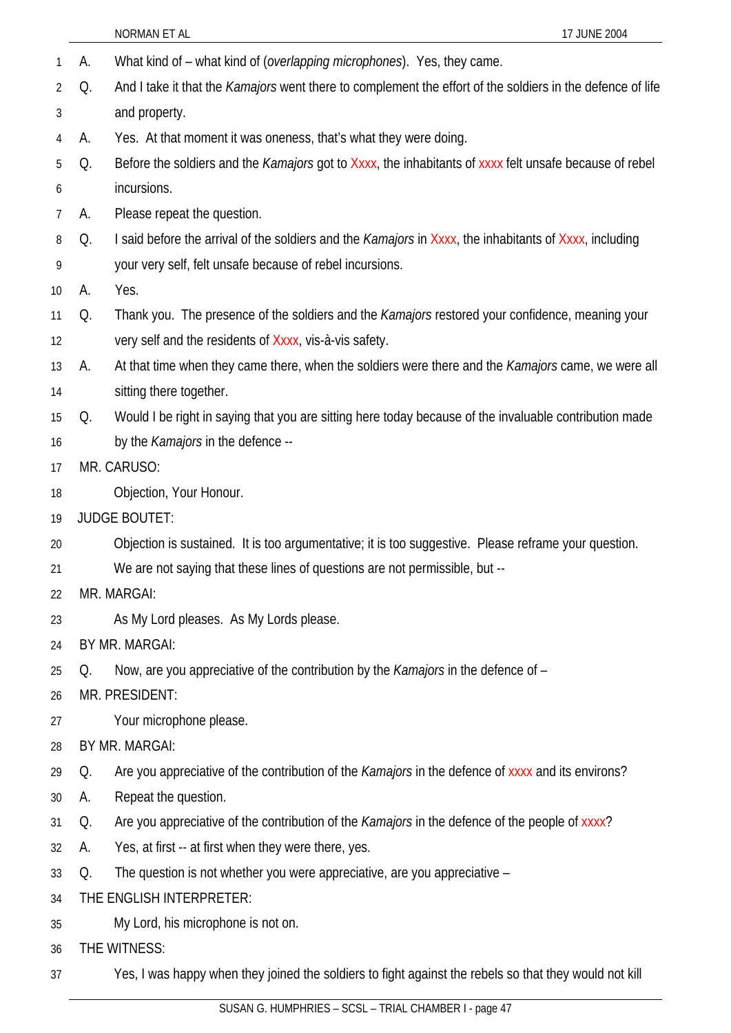|    |    | NORMAN ET AL<br>17 JUNE 2004                                                                                      |  |  |
|----|----|-------------------------------------------------------------------------------------------------------------------|--|--|
| 1  | A. | What kind of - what kind of (overlapping microphones). Yes, they came.                                            |  |  |
| 2  | Q. | And I take it that the <i>Kamajors</i> went there to complement the effort of the soldiers in the defence of life |  |  |
| 3  |    | and property.                                                                                                     |  |  |
| 4  | А. | Yes. At that moment it was oneness, that's what they were doing.                                                  |  |  |
| 5  | Q. | Before the soldiers and the Kamajors got to Xxxx, the inhabitants of xxxx felt unsafe because of rebel            |  |  |
| 6  |    | incursions.                                                                                                       |  |  |
| 7  | A. | Please repeat the question.                                                                                       |  |  |
| 8  | Q. | I said before the arrival of the soldiers and the <i>Kamajors</i> in Xxxx, the inhabitants of Xxxx, including     |  |  |
| 9  |    | your very self, felt unsafe because of rebel incursions.                                                          |  |  |
| 10 | A. | Yes.                                                                                                              |  |  |
| 11 | Q. | Thank you. The presence of the soldiers and the <i>Kamajors</i> restored your confidence, meaning your            |  |  |
| 12 |    | very self and the residents of Xxxx, vis-à-vis safety.                                                            |  |  |
| 13 | А. | At that time when they came there, when the soldiers were there and the Kamajors came, we were all                |  |  |
| 14 |    | sitting there together.                                                                                           |  |  |
| 15 | Q. | Would I be right in saying that you are sitting here today because of the invaluable contribution made            |  |  |
| 16 |    | by the Kamajors in the defence --                                                                                 |  |  |
| 17 |    | MR. CARUSO:                                                                                                       |  |  |
| 18 |    | Objection, Your Honour.                                                                                           |  |  |
| 19 |    | <b>JUDGE BOUTET:</b>                                                                                              |  |  |
| 20 |    | Objection is sustained. It is too argumentative; it is too suggestive. Please reframe your question.              |  |  |
| 21 |    | We are not saying that these lines of questions are not permissible, but --                                       |  |  |
| 22 |    | MR. MARGAI:                                                                                                       |  |  |
| 23 |    | As My Lord pleases. As My Lords please.                                                                           |  |  |
| 24 |    | BY MR. MARGAI:                                                                                                    |  |  |
| 25 | Q. | Now, are you appreciative of the contribution by the <i>Kamajors</i> in the defence of -                          |  |  |
| 26 |    | MR. PRESIDENT:                                                                                                    |  |  |
| 27 |    | Your microphone please.                                                                                           |  |  |
| 28 |    | BY MR. MARGAI:                                                                                                    |  |  |
| 29 | Q. | Are you appreciative of the contribution of the Kamajors in the defence of xxxx and its environs?                 |  |  |
| 30 | А. | Repeat the question.                                                                                              |  |  |
| 31 | Q. | Are you appreciative of the contribution of the <i>Kamajors</i> in the defence of the people of xxxx?             |  |  |
| 32 | A. | Yes, at first -- at first when they were there, yes.                                                              |  |  |
| 33 | Q. | The question is not whether you were appreciative, are you appreciative -                                         |  |  |
| 34 |    | THE ENGLISH INTERPRETER:                                                                                          |  |  |
| 35 |    | My Lord, his microphone is not on.                                                                                |  |  |
| 36 |    | THE WITNESS:                                                                                                      |  |  |
| 37 |    | Yes, I was happy when they joined the soldiers to fight against the rebels so that they would not kill            |  |  |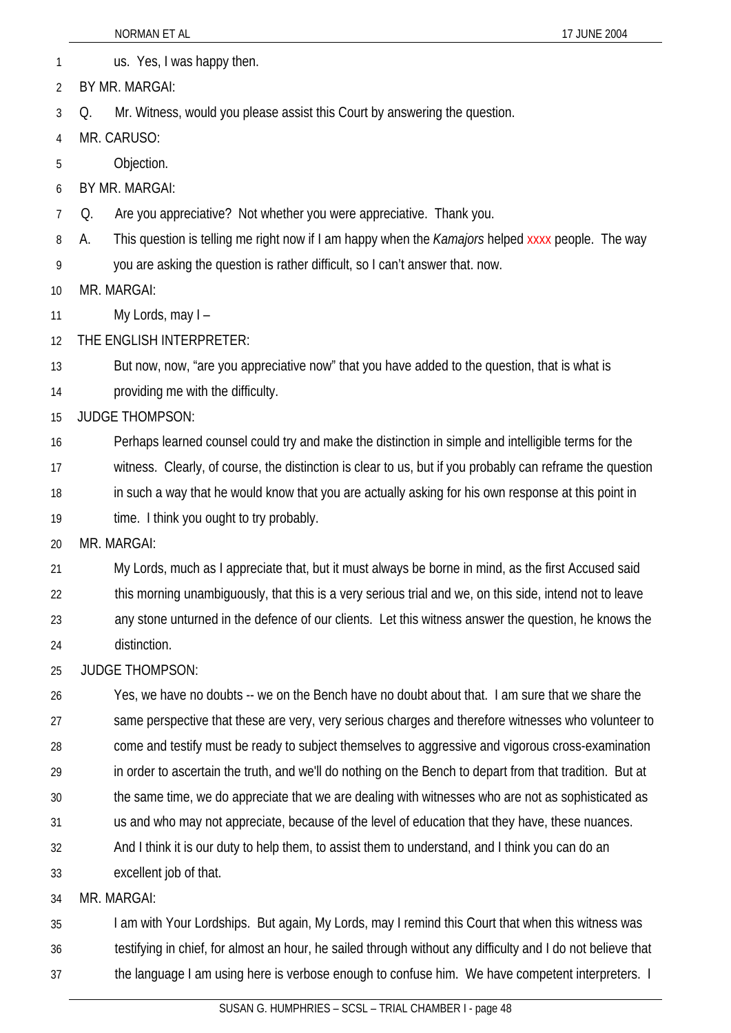1 us. Yes, I was happy then. 2 BY MR. MARGAI:

3 Q. Mr. Witness, would you please assist this Court by answering the question.

4 MR. CARUSO:

5 Objection.

6 BY MR. MARGAI:

7 Q. Are you appreciative? Not whether you were appreciative. Thank you.

8 A. This question is telling me right now if I am happy when the *Kamajors* helped xxxx people. The way

9 you are asking the question is rather difficult, so I can't answer that. now.

10 MR. MARGAI:

11 My Lords, may I –

12 THE ENGLISH INTERPRETER:

13 14 But now, now, "are you appreciative now" that you have added to the question, that is what is providing me with the difficulty.

15 JUDGE THOMPSON:

16 Perhaps learned counsel could try and make the distinction in simple and intelligible terms for the

17 witness. Clearly, of course, the distinction is clear to us, but if you probably can reframe the question

18 in such a way that he would know that you are actually asking for his own response at this point in

19 time. I think you ought to try probably.

20 MR. MARGAI:

21 My Lords, much as I appreciate that, but it must always be borne in mind, as the first Accused said

22 this morning unambiguously, that this is a very serious trial and we, on this side, intend not to leave

23 any stone unturned in the defence of our clients. Let this witness answer the question, he knows the

24 distinction.

25 JUDGE THOMPSON:

26 27 28 29 30 Yes, we have no doubts -- we on the Bench have no doubt about that. I am sure that we share the same perspective that these are very, very serious charges and therefore witnesses who volunteer to come and testify must be ready to subject themselves to aggressive and vigorous cross-examination in order to ascertain the truth, and we'll do nothing on the Bench to depart from that tradition. But at the same time, we do appreciate that we are dealing with witnesses who are not as sophisticated as

31 us and who may not appreciate, because of the level of education that they have, these nuances.

32 And I think it is our duty to help them, to assist them to understand, and I think you can do an

33 excellent job of that.

34 MR. MARGAI:

35 I am with Your Lordships. But again, My Lords, may I remind this Court that when this witness was

- 36 testifying in chief, for almost an hour, he sailed through without any difficulty and I do not believe that
- 37 the language I am using here is verbose enough to confuse him. We have competent interpreters. I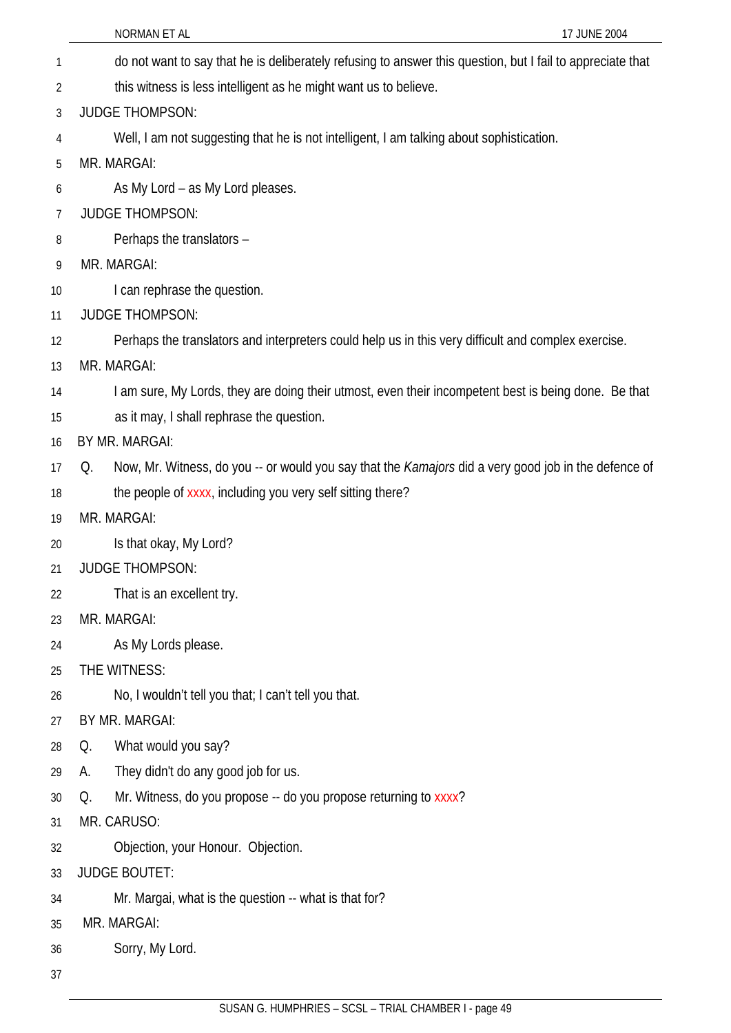|                | NORMAN ET AL                                                                                               | 17 JUNE 2004 |
|----------------|------------------------------------------------------------------------------------------------------------|--------------|
| 1              | do not want to say that he is deliberately refusing to answer this question, but I fail to appreciate that |              |
| 2              | this witness is less intelligent as he might want us to believe.                                           |              |
| 3              | <b>JUDGE THOMPSON:</b>                                                                                     |              |
| 4              | Well, I am not suggesting that he is not intelligent, I am talking about sophistication.                   |              |
| 5              | MR. MARGAI:                                                                                                |              |
| 6              | As My Lord - as My Lord pleases.                                                                           |              |
| $\overline{7}$ | <b>JUDGE THOMPSON:</b>                                                                                     |              |
| 8              | Perhaps the translators -                                                                                  |              |
| 9              | MR. MARGAI:                                                                                                |              |
| 10             | I can rephrase the question.                                                                               |              |
| 11             | <b>JUDGE THOMPSON:</b>                                                                                     |              |
| 12             | Perhaps the translators and interpreters could help us in this very difficult and complex exercise.        |              |
| 13             | MR. MARGAI:                                                                                                |              |
| 14             | I am sure, My Lords, they are doing their utmost, even their incompetent best is being done. Be that       |              |
| 15             | as it may, I shall rephrase the question.                                                                  |              |
| 16             | BY MR. MARGAI:                                                                                             |              |
| 17             | Now, Mr. Witness, do you -- or would you say that the Kamajors did a very good job in the defence of<br>Q. |              |
| 18             | the people of xxxx, including you very self sitting there?                                                 |              |
| 19             | MR. MARGAI:                                                                                                |              |
| 20             | Is that okay, My Lord?                                                                                     |              |
| 21             | <b>JUDGE THOMPSON:</b>                                                                                     |              |
| 22             | That is an excellent try.                                                                                  |              |
| 23             | MR. MARGAI:                                                                                                |              |
| 24             | As My Lords please.                                                                                        |              |
| 25             | THE WITNESS:                                                                                               |              |
| 26             | No, I wouldn't tell you that; I can't tell you that.                                                       |              |
| 27             | BY MR. MARGAI:                                                                                             |              |
| 28             | What would you say?<br>Q.                                                                                  |              |
| 29             | They didn't do any good job for us.<br>А.                                                                  |              |
| 30             | Mr. Witness, do you propose -- do you propose returning to xxxx?<br>Q.                                     |              |
| 31             | MR. CARUSO:                                                                                                |              |
| 32             | Objection, your Honour. Objection.                                                                         |              |
| 33             | <b>JUDGE BOUTET:</b>                                                                                       |              |
| 34             | Mr. Margai, what is the question -- what is that for?                                                      |              |
| 35             | MR. MARGAI:                                                                                                |              |
| 36             | Sorry, My Lord.                                                                                            |              |
| 37             |                                                                                                            |              |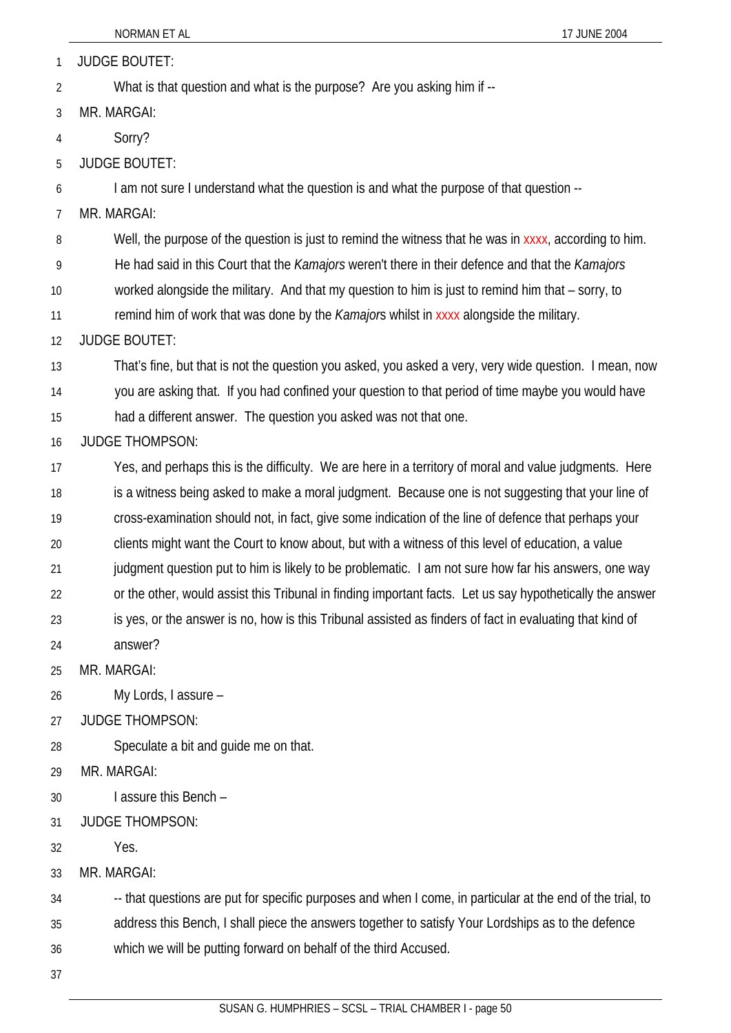1 JUDGE BOUTET:

2 What is that question and what is the purpose? Are you asking him if --

3 MR. MARGAI:

4 Sorry?

5 JUDGE BOUTET:

6 I am not sure I understand what the question is and what the purpose of that question --

7 MR. MARGAI:

8 Well, the purpose of the question is just to remind the witness that he was in xxxx, according to him.

9 He had said in this Court that the *Kamajors* weren't there in their defence and that the *Kamajors*

10 worked alongside the military. And that my question to him is just to remind him that – sorry, to

11 remind him of work that was done by the *Kamajor*s whilst in xxxx alongside the military.

12 JUDGE BOUTET:

13 That's fine, but that is not the question you asked, you asked a very, very wide question. I mean, now

14 you are asking that. If you had confined your question to that period of time maybe you would have

15 had a different answer. The question you asked was not that one.

## 16 JUDGE THOMPSON:

17 18 19 Yes, and perhaps this is the difficulty. We are here in a territory of moral and value judgments. Here is a witness being asked to make a moral judgment. Because one is not suggesting that your line of

cross-examination should not, in fact, give some indication of the line of defence that perhaps your

20 clients might want the Court to know about, but with a witness of this level of education, a value

21 judgment question put to him is likely to be problematic. I am not sure how far his answers, one way

22 or the other, would assist this Tribunal in finding important facts. Let us say hypothetically the answer

23 24 is yes, or the answer is no, how is this Tribunal assisted as finders of fact in evaluating that kind of answer?

25 MR. MARGAI:

26 My Lords, I assure –

27 JUDGE THOMPSON:

28 Speculate a bit and guide me on that.

29 MR. MARGAI:

30 I assure this Bench –

31 JUDGE THOMPSON:

32 Yes.

33 MR. MARGAI:

-- that questions are put for specific purposes and when I come, in particular at the end of the trial, to

35 address this Bench, I shall piece the answers together to satisfy Your Lordships as to the defence

36 which we will be putting forward on behalf of the third Accused.

37

34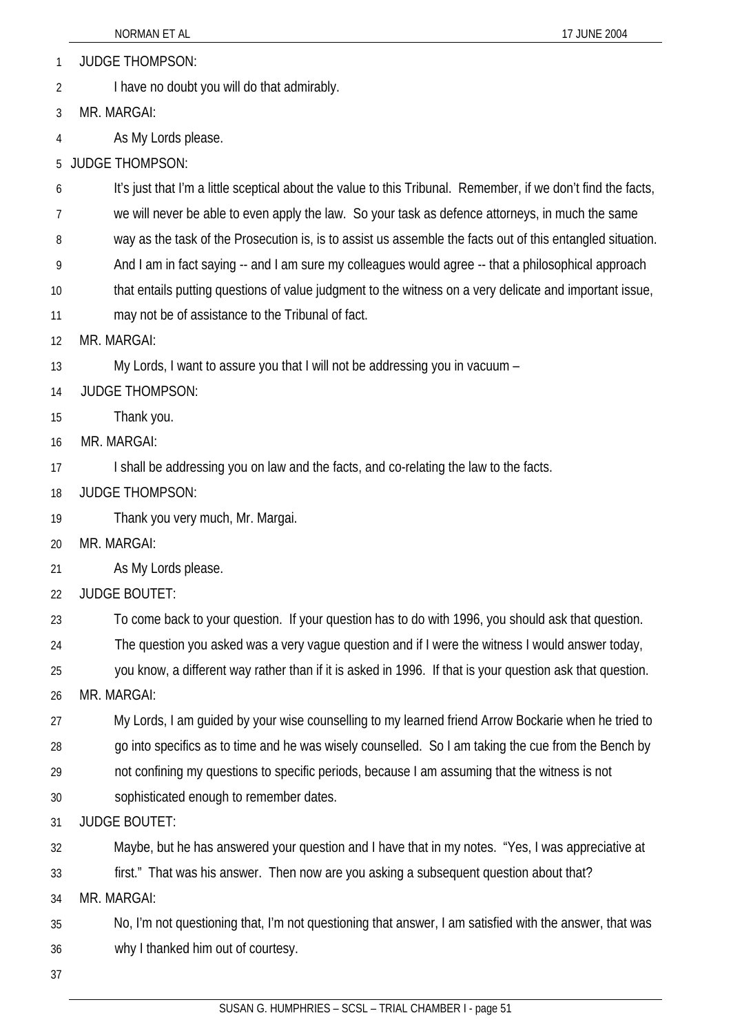1 JUDGE THOMPSON:

2 I have no doubt you will do that admirably.

3 MR. MARGAI:

4 As My Lords please.

5 JUDGE THOMPSON:

6 It's just that I'm a little sceptical about the value to this Tribunal. Remember, if we don't find the facts,

7 we will never be able to even apply the law. So your task as defence attorneys, in much the same

8 way as the task of the Prosecution is, is to assist us assemble the facts out of this entangled situation.

9 And I am in fact saying -- and I am sure my colleagues would agree -- that a philosophical approach

10 that entails putting questions of value judgment to the witness on a very delicate and important issue,

11 may not be of assistance to the Tribunal of fact.

12 MR. MARGAI:

13 My Lords, I want to assure you that I will not be addressing you in vacuum –

14 JUDGE THOMPSON:

15 Thank you.

16 MR. MARGAI:

17 I shall be addressing you on law and the facts, and co-relating the law to the facts.

18 JUDGE THOMPSON:

19 Thank you very much, Mr. Margai.

20 MR. MARGAI:

21 As My Lords please.

22 JUDGE BOUTET:

23 To come back to your question. If your question has to do with 1996, you should ask that question.

24 The question you asked was a very vague question and if I were the witness I would answer today,

25 you know, a different way rather than if it is asked in 1996. If that is your question ask that question.

26 MR. MARGAI:

27 28 My Lords, I am guided by your wise counselling to my learned friend Arrow Bockarie when he tried to go into specifics as to time and he was wisely counselled. So I am taking the cue from the Bench by

29 not confining my questions to specific periods, because I am assuming that the witness is not

30 sophisticated enough to remember dates.

31 JUDGE BOUTET:

32 Maybe, but he has answered your question and I have that in my notes. "Yes, I was appreciative at

33 first." That was his answer. Then now are you asking a subsequent question about that?

34 MR. MARGAI:

35 36 No, I'm not questioning that, I'm not questioning that answer, I am satisfied with the answer, that was why I thanked him out of courtesy.

37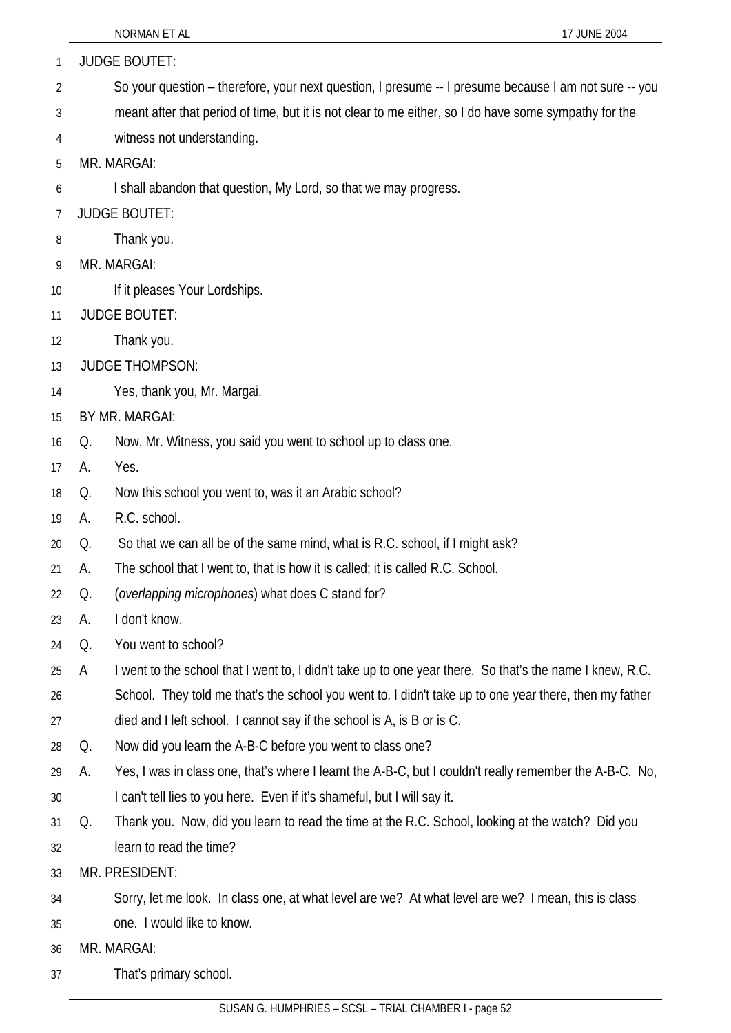| 1  |    | <b>JUDGE BOUTET:</b>                                                                                     |
|----|----|----------------------------------------------------------------------------------------------------------|
| 2  |    | So your question – therefore, your next question, I presume -- I presume because I am not sure -- you    |
| 3  |    | meant after that period of time, but it is not clear to me either, so I do have some sympathy for the    |
| 4  |    | witness not understanding.                                                                               |
| 5  |    | MR. MARGAI:                                                                                              |
| 6  |    | I shall abandon that question, My Lord, so that we may progress.                                         |
| 7  |    | <b>JUDGE BOUTET:</b>                                                                                     |
| 8  |    | Thank you.                                                                                               |
| 9  |    | MR. MARGAI:                                                                                              |
| 10 |    | If it pleases Your Lordships.                                                                            |
| 11 |    | <b>JUDGE BOUTET:</b>                                                                                     |
| 12 |    | Thank you.                                                                                               |
| 13 |    | <b>JUDGE THOMPSON:</b>                                                                                   |
| 14 |    | Yes, thank you, Mr. Margai.                                                                              |
| 15 |    | BY MR. MARGAI:                                                                                           |
| 16 | Q. | Now, Mr. Witness, you said you went to school up to class one.                                           |
| 17 | А. | Yes.                                                                                                     |
| 18 | Q, | Now this school you went to, was it an Arabic school?                                                    |
| 19 | А. | R.C. school.                                                                                             |
| 20 | Q, | So that we can all be of the same mind, what is R.C. school, if I might ask?                             |
| 21 | А. | The school that I went to, that is how it is called; it is called R.C. School.                           |
| 22 | Q. | (overlapping microphones) what does C stand for?                                                         |
| 23 | А. | I don't know.                                                                                            |
| 24 | Q. | You went to school?                                                                                      |
| 25 | A  | I went to the school that I went to, I didn't take up to one year there. So that's the name I knew, R.C. |
| 26 |    | School. They told me that's the school you went to. I didn't take up to one year there, then my father   |
| 27 |    | died and I left school. I cannot say if the school is A, is B or is C.                                   |
| 28 | Q. | Now did you learn the A-B-C before you went to class one?                                                |
| 29 | А. | Yes, I was in class one, that's where I learnt the A-B-C, but I couldn't really remember the A-B-C. No,  |
| 30 |    | I can't tell lies to you here. Even if it's shameful, but I will say it.                                 |
| 31 | Q. | Thank you. Now, did you learn to read the time at the R.C. School, looking at the watch? Did you         |
| 32 |    | learn to read the time?                                                                                  |
| 33 |    | MR. PRESIDENT:                                                                                           |
| 34 |    | Sorry, let me look. In class one, at what level are we? At what level are we? I mean, this is class      |
| 35 |    | one. I would like to know.                                                                               |
| 36 |    | MR. MARGAI:                                                                                              |
| 37 |    | That's primary school.                                                                                   |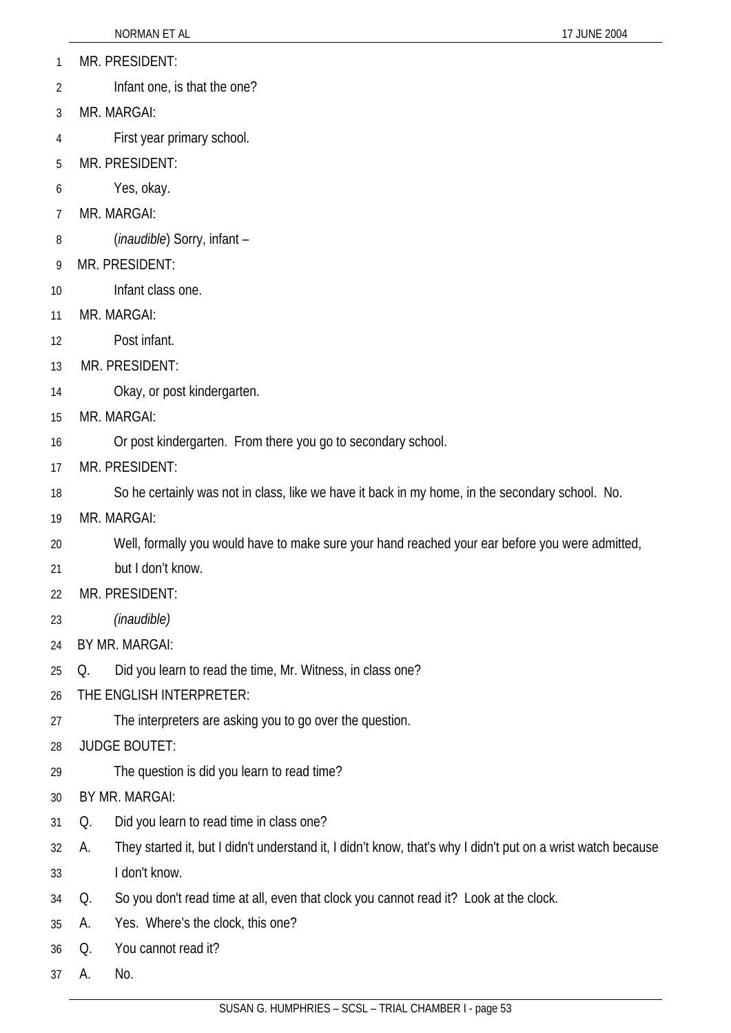- 1 MR. PRESIDENT:
- 2 Infant one, is that the one?
- 3 MR. MARGAI:
- 4 First year primary school.
- 5 MR. PRESIDENT:
- 6 Yes, okay.
- 7 MR. MARGAI:
- 8 (*inaudible*) Sorry, infant –
- 9 MR. PRESIDENT:
- 10 Infant class one.
- 11 MR. MARGAI:
- 12 Post infant.
- 13 MR. PRESIDENT:
- 14 Okay, or post kindergarten.
- 15 MR. MARGAI:
- 16 Or post kindergarten. From there you go to secondary school.
- 17 MR. PRESIDENT:
- 18 So he certainly was not in class, like we have it back in my home, in the secondary school. No.
- 19 MR. MARGAI:
- 20 Well, formally you would have to make sure your hand reached your ear before you were admitted,
- 21 but I don't know.
- 22 MR. PRESIDENT:
- 23 *(inaudible)*
- 24 BY MR. MARGAI:
- 25 Q. Did you learn to read the time, Mr. Witness, in class one?
- 26 THE ENGLISH INTERPRETER:
- 27 The interpreters are asking you to go over the question.
- 28 JUDGE BOUTET:
- 29 The question is did you learn to read time?
- 30 BY MR. MARGAI:
- 31 Q. Did you learn to read time in class one?
- 32 33 A. They started it, but I didn't understand it, I didn't know, that's why I didn't put on a wrist watch because I don't know.
- 34 Q. So you don't read time at all, even that clock you cannot read it? Look at the clock.
- 35 A. Yes. Where's the clock, this one?
- 36 Q. You cannot read it?
- 37 A. No.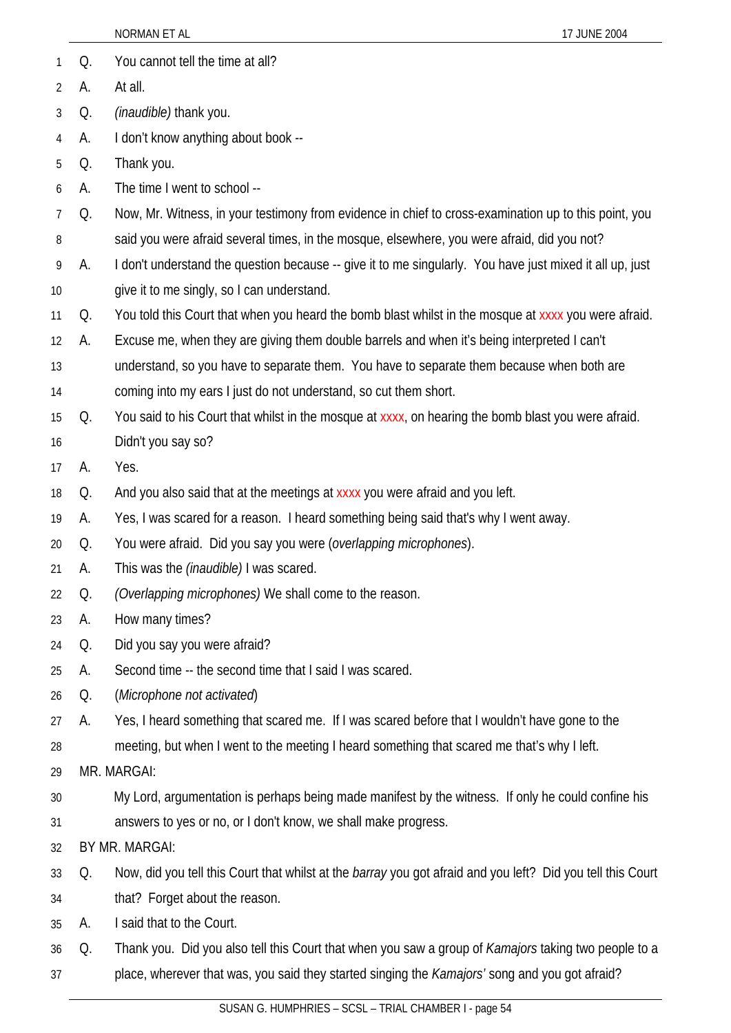|                 |    | NORMAN ET AL<br>17 JUNE 2004                                                                                |
|-----------------|----|-------------------------------------------------------------------------------------------------------------|
| 1               | Q. | You cannot tell the time at all?                                                                            |
| 2               | А. | At all.                                                                                                     |
| 3               | Q. | (inaudible) thank you.                                                                                      |
| 4               | А. | I don't know anything about book --                                                                         |
| 5               | Q. | Thank you.                                                                                                  |
| 6               | А. | The time I went to school --                                                                                |
| $7\overline{ }$ | Q. | Now, Mr. Witness, in your testimony from evidence in chief to cross-examination up to this point, you       |
| 8               |    | said you were afraid several times, in the mosque, elsewhere, you were afraid, did you not?                 |
| 9               | А. | I don't understand the question because -- give it to me singularly. You have just mixed it all up, just    |
| 10 <sup>°</sup> |    | give it to me singly, so I can understand.                                                                  |
| 11              | Q. | You told this Court that when you heard the bomb blast whilst in the mosque at xxxx you were afraid.        |
| 12              | А. | Excuse me, when they are giving them double barrels and when it's being interpreted I can't                 |
| 13              |    | understand, so you have to separate them. You have to separate them because when both are                   |
| 14              |    | coming into my ears I just do not understand, so cut them short.                                            |
| 15              | Q. | You said to his Court that whilst in the mosque at xxxx, on hearing the bomb blast you were afraid.         |
| 16              |    | Didn't you say so?                                                                                          |
| 17              | А. | Yes.                                                                                                        |
| 18              | Q. | And you also said that at the meetings at xxxx you were afraid and you left.                                |
| 19              | А. | Yes, I was scared for a reason. I heard something being said that's why I went away.                        |
| 20              | Q. | You were afraid. Did you say you were (overlapping microphones).                                            |
| 21              | А. | This was the <i>(inaudible)</i> I was scared.                                                               |
| 22              | Q. | (Overlapping microphones) We shall come to the reason.                                                      |
| 23              | А. | How many times?                                                                                             |
| 24              | Q. | Did you say you were afraid?                                                                                |
| 25              | А. | Second time -- the second time that I said I was scared.                                                    |
| 26              | Q. | (Microphone not activated)                                                                                  |
| 27              | А. | Yes, I heard something that scared me. If I was scared before that I wouldn't have gone to the              |
| 28              |    | meeting, but when I went to the meeting I heard something that scared me that's why I left.                 |
| 29              |    | MR. MARGAI:                                                                                                 |
| 30              |    | My Lord, argumentation is perhaps being made manifest by the witness. If only he could confine his          |
| 31              |    | answers to yes or no, or I don't know, we shall make progress.                                              |
| 32              |    | BY MR. MARGAI:                                                                                              |
| 33              | Q. | Now, did you tell this Court that whilst at the barray you got afraid and you left? Did you tell this Court |
| 34              |    | that? Forget about the reason.                                                                              |
| 35              | А. | I said that to the Court.                                                                                   |
| 36              | Q. | Thank you. Did you also tell this Court that when you saw a group of <i>Kamajors</i> taking two people to a |
| 37              |    | place, wherever that was, you said they started singing the Kamajors' song and you got afraid?              |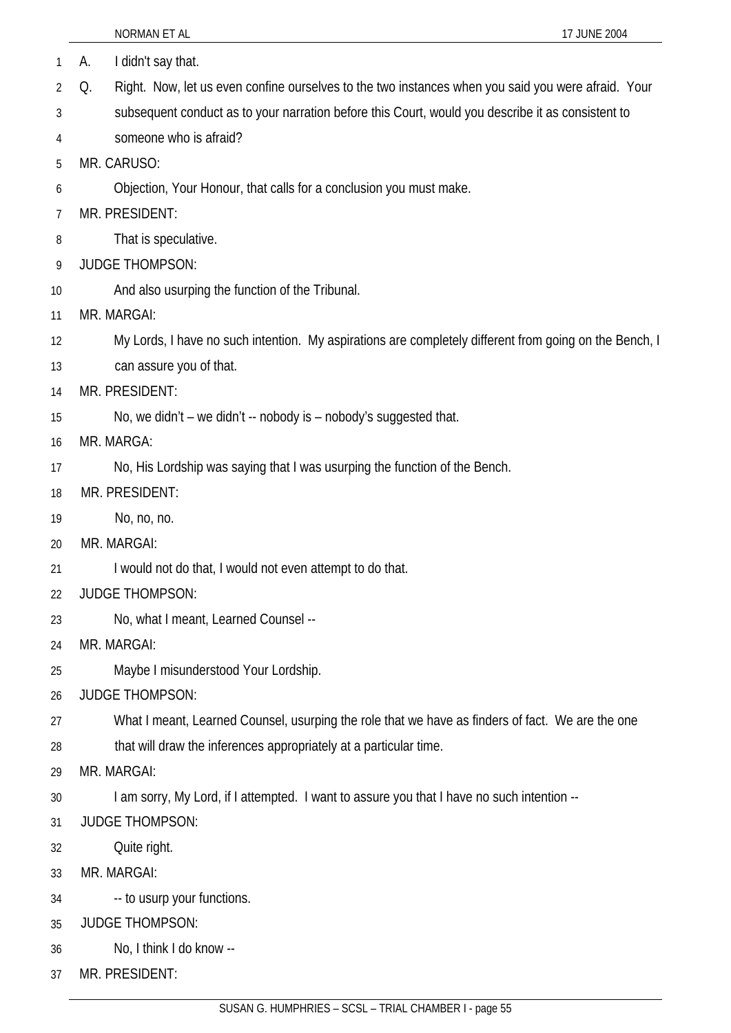|                | NORMAN ET AL<br>17 JUNE 2004                                                                             |
|----------------|----------------------------------------------------------------------------------------------------------|
| 1              | I didn't say that.<br>А.                                                                                 |
| 2              | Right. Now, let us even confine ourselves to the two instances when you said you were afraid. Your<br>Q. |
| 3              | subsequent conduct as to your narration before this Court, would you describe it as consistent to        |
| 4              | someone who is afraid?                                                                                   |
| 5              | MR. CARUSO:                                                                                              |
| 6              | Objection, Your Honour, that calls for a conclusion you must make.                                       |
| $\overline{7}$ | MR. PRESIDENT:                                                                                           |
| 8              | That is speculative.                                                                                     |
| 9              | <b>JUDGE THOMPSON:</b>                                                                                   |
| 10             | And also usurping the function of the Tribunal.                                                          |
| 11             | MR. MARGAI:                                                                                              |
| 12             | My Lords, I have no such intention. My aspirations are completely different from going on the Bench, I   |
| 13             | can assure you of that.                                                                                  |
| 14             | MR. PRESIDENT:                                                                                           |
| 15             | No, we didn't – we didn't -- nobody is – nobody's suggested that.                                        |
| 16             | MR. MARGA:                                                                                               |
| 17             | No, His Lordship was saying that I was usurping the function of the Bench.                               |
| 18             | MR. PRESIDENT:                                                                                           |
| 19             | No, no, no.                                                                                              |
| 20             | MR. MARGAI:                                                                                              |
| 21             | I would not do that, I would not even attempt to do that.                                                |
| 22             | <b>JUDGE THOMPSON:</b>                                                                                   |
| 23             | No, what I meant, Learned Counsel --                                                                     |
| 24             | MR. MARGAI:                                                                                              |
| 25             | Maybe I misunderstood Your Lordship.                                                                     |
| 26             | <b>JUDGE THOMPSON:</b>                                                                                   |
| 27             | What I meant, Learned Counsel, usurping the role that we have as finders of fact. We are the one         |
| 28             | that will draw the inferences appropriately at a particular time.                                        |
| 29             | MR. MARGAI:                                                                                              |
| 30             | I am sorry, My Lord, if I attempted. I want to assure you that I have no such intention --               |
| 31             | <b>JUDGE THOMPSON:</b>                                                                                   |
| 32             | Quite right.                                                                                             |
| 33             | MR. MARGAI:                                                                                              |
| 34             | -- to usurp your functions.                                                                              |
| 35             | <b>JUDGE THOMPSON:</b>                                                                                   |
| 36             | No, I think I do know --                                                                                 |
| 37             | MR. PRESIDENT:                                                                                           |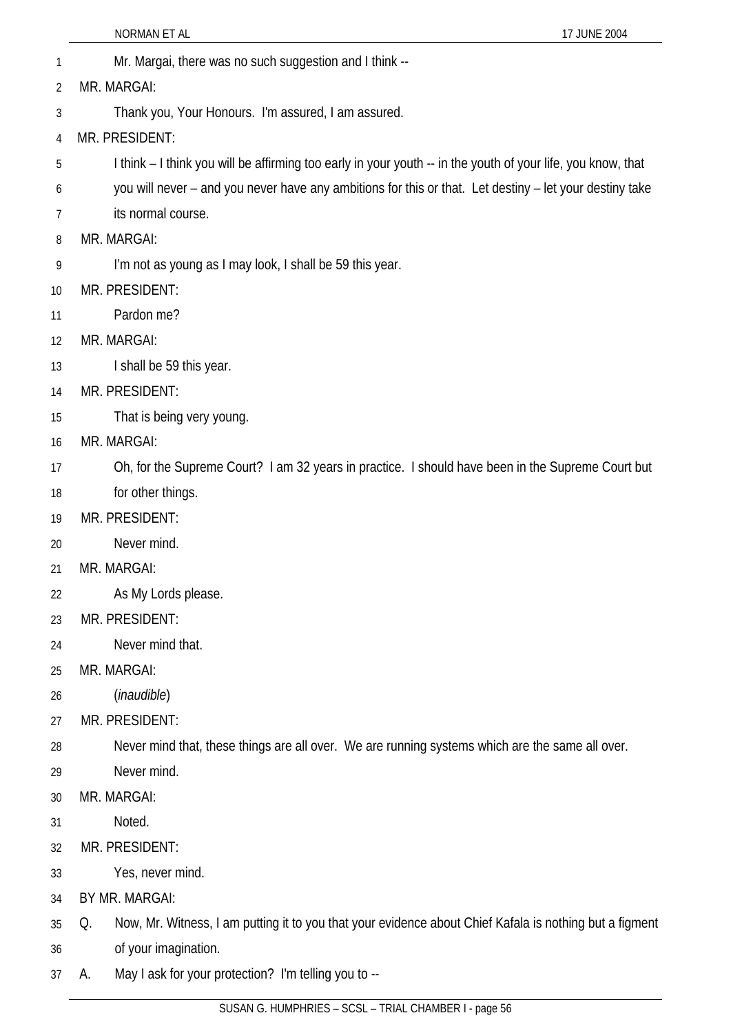- 1 Mr. Margai, there was no such suggestion and I think -- 2 MR. MARGAI:
- 3 Thank you, Your Honours. I'm assured, I am assured.
- 4 MR. PRESIDENT:
- 5 I think – I think you will be affirming too early in your youth -- in the youth of your life, you know, that
- 6 you will never – and you never have any ambitions for this or that. Let destiny – let your destiny take
- 7 its normal course.
- 8 MR. MARGAI:
- 9 I'm not as young as I may look, I shall be 59 this year.
- 10 MR. PRESIDENT:
- 11 Pardon me?
- 12 MR. MARGAI:
- 13 I shall be 59 this year.
- 14 MR. PRESIDENT:
- 15 That is being very young.
- 16 MR. MARGAI:
- 17 Oh, for the Supreme Court? I am 32 years in practice. I should have been in the Supreme Court but
- 18 for other things.
- 19 MR. PRESIDENT:
- 20 Never mind.
- 21 MR. MARGAI:
- 22 As My Lords please.
- 23 MR. PRESIDENT:
- 24 Never mind that.
- 25 MR. MARGAI:
- 26 (*inaudible*)
- 27 MR. PRESIDENT:
- 28 Never mind that, these things are all over. We are running systems which are the same all over.
- 29 Never mind.
- 30 MR. MARGAI:
- 31 Noted.
- 32 MR. PRESIDENT:
- 33 Yes, never mind.
- 34 BY MR. MARGAI:
- 35 Q. Now, Mr. Witness, I am putting it to you that your evidence about Chief Kafala is nothing but a figment
- 36 of your imagination.
- 37 A. May I ask for your protection? I'm telling you to --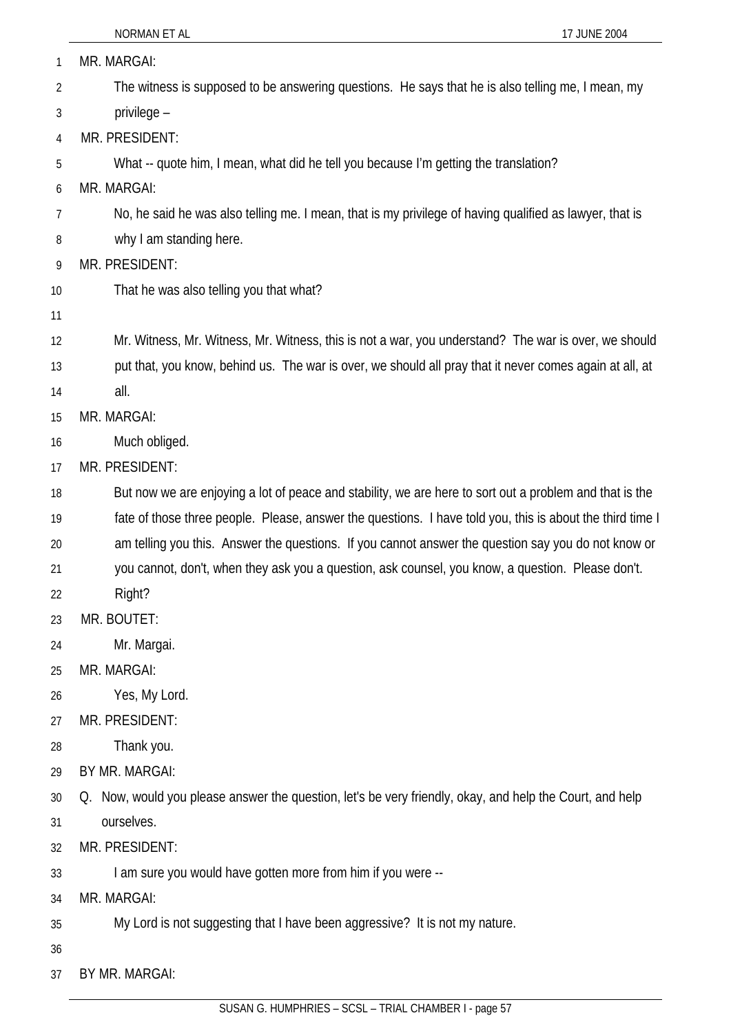| 1  | MR. MARGAI:                                                                                               |
|----|-----------------------------------------------------------------------------------------------------------|
| 2  | The witness is supposed to be answering questions. He says that he is also telling me, I mean, my         |
| 3  | privilege -                                                                                               |
| 4  | MR. PRESIDENT:                                                                                            |
| 5  | What -- quote him, I mean, what did he tell you because I'm getting the translation?                      |
| 6  | MR. MARGAI:                                                                                               |
| 7  | No, he said he was also telling me. I mean, that is my privilege of having qualified as lawyer, that is   |
| 8  | why I am standing here.                                                                                   |
| 9  | MR. PRESIDENT:                                                                                            |
| 10 | That he was also telling you that what?                                                                   |
| 11 |                                                                                                           |
| 12 | Mr. Witness, Mr. Witness, Mr. Witness, this is not a war, you understand? The war is over, we should      |
| 13 | put that, you know, behind us. The war is over, we should all pray that it never comes again at all, at   |
| 14 | all.                                                                                                      |
| 15 | MR. MARGAI:                                                                                               |
| 16 | Much obliged.                                                                                             |
| 17 | MR. PRESIDENT:                                                                                            |
| 18 | But now we are enjoying a lot of peace and stability, we are here to sort out a problem and that is the   |
| 19 | fate of those three people. Please, answer the questions. I have told you, this is about the third time I |
| 20 | am telling you this. Answer the questions. If you cannot answer the question say you do not know or       |
| 21 | you cannot, don't, when they ask you a question, ask counsel, you know, a question. Please don't.         |
| 22 | Right?                                                                                                    |
| 23 | MR. BOUTET:                                                                                               |
| 24 | Mr. Margai.                                                                                               |
| 25 | MR. MARGAI:                                                                                               |
| 26 | Yes, My Lord.                                                                                             |
| 27 | MR. PRESIDENT:                                                                                            |
| 28 | Thank you.                                                                                                |
| 29 | BY MR. MARGAI:                                                                                            |
| 30 | Q. Now, would you please answer the question, let's be very friendly, okay, and help the Court, and help  |
| 31 | ourselves.                                                                                                |
| 32 | MR. PRESIDENT:                                                                                            |
| 33 | I am sure you would have gotten more from him if you were --                                              |
| 34 | MR. MARGAI:                                                                                               |
| 35 | My Lord is not suggesting that I have been aggressive? It is not my nature.                               |
| 36 |                                                                                                           |
| 37 | BY MR. MARGAI:                                                                                            |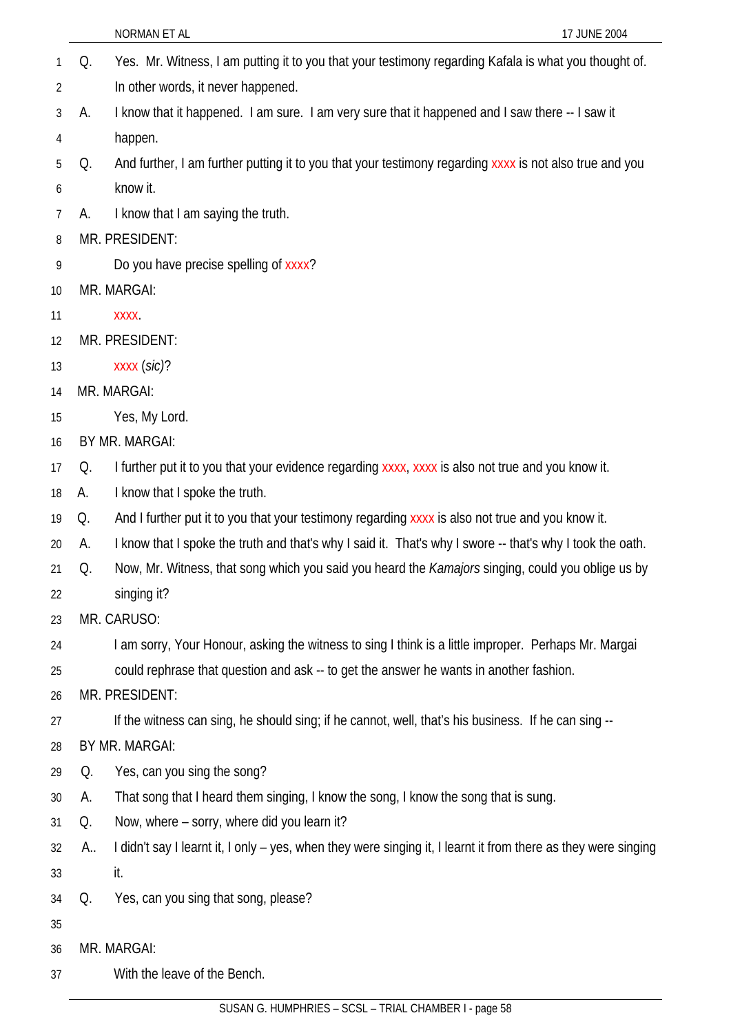|    |    | 17 JUNE 2004<br>NORMAN ET AL                                                                                   |
|----|----|----------------------------------------------------------------------------------------------------------------|
| 1  | Q. | Yes. Mr. Witness, I am putting it to you that your testimony regarding Kafala is what you thought of.          |
| 2  |    | In other words, it never happened.                                                                             |
| 3  | А. | I know that it happened. I am sure. I am very sure that it happened and I saw there -- I saw it                |
| 4  |    | happen.                                                                                                        |
| 5  | Q. | And further, I am further putting it to you that your testimony regarding xxxx is not also true and you        |
| 6  |    | know it.                                                                                                       |
| 7  | А. | I know that I am saying the truth.                                                                             |
| 8  |    | MR. PRESIDENT:                                                                                                 |
| 9  |    | Do you have precise spelling of xxxx?                                                                          |
| 10 |    | MR. MARGAI:                                                                                                    |
| 11 |    | <b>XXXX</b>                                                                                                    |
| 12 |    | MR. PRESIDENT:                                                                                                 |
| 13 |    | XXXX (sic)?                                                                                                    |
| 14 |    | MR. MARGAI:                                                                                                    |
| 15 |    | Yes, My Lord.                                                                                                  |
| 16 |    | BY MR. MARGAI:                                                                                                 |
| 17 | Q. | I further put it to you that your evidence regarding xxxx, xxxx is also not true and you know it.              |
| 18 | A. | I know that I spoke the truth.                                                                                 |
| 19 | Q. | And I further put it to you that your testimony regarding xxxx is also not true and you know it.               |
| 20 | А. | I know that I spoke the truth and that's why I said it. That's why I swore -- that's why I took the oath.      |
| 21 | Q. | Now, Mr. Witness, that song which you said you heard the Kamajors singing, could you oblige us by              |
| 22 |    | singing it?                                                                                                    |
| 23 |    | MR. CARUSO:                                                                                                    |
| 24 |    | I am sorry, Your Honour, asking the witness to sing I think is a little improper. Perhaps Mr. Margai           |
| 25 |    | could rephrase that question and ask -- to get the answer he wants in another fashion.                         |
| 26 |    | MR. PRESIDENT:                                                                                                 |
| 27 |    | If the witness can sing, he should sing; if he cannot, well, that's his business. If he can sing --            |
| 28 |    | BY MR. MARGAI:                                                                                                 |
| 29 | Q. | Yes, can you sing the song?                                                                                    |
| 30 | А. | That song that I heard them singing, I know the song, I know the song that is sung.                            |
| 31 | Q. | Now, where – sorry, where did you learn it?                                                                    |
| 32 | A  | I didn't say I learnt it, I only - yes, when they were singing it, I learnt it from there as they were singing |
| 33 |    | it.                                                                                                            |
| 34 | Q. | Yes, can you sing that song, please?                                                                           |
| 35 |    |                                                                                                                |
| 36 |    | MR. MARGAI:                                                                                                    |
| 37 |    | With the leave of the Bench.                                                                                   |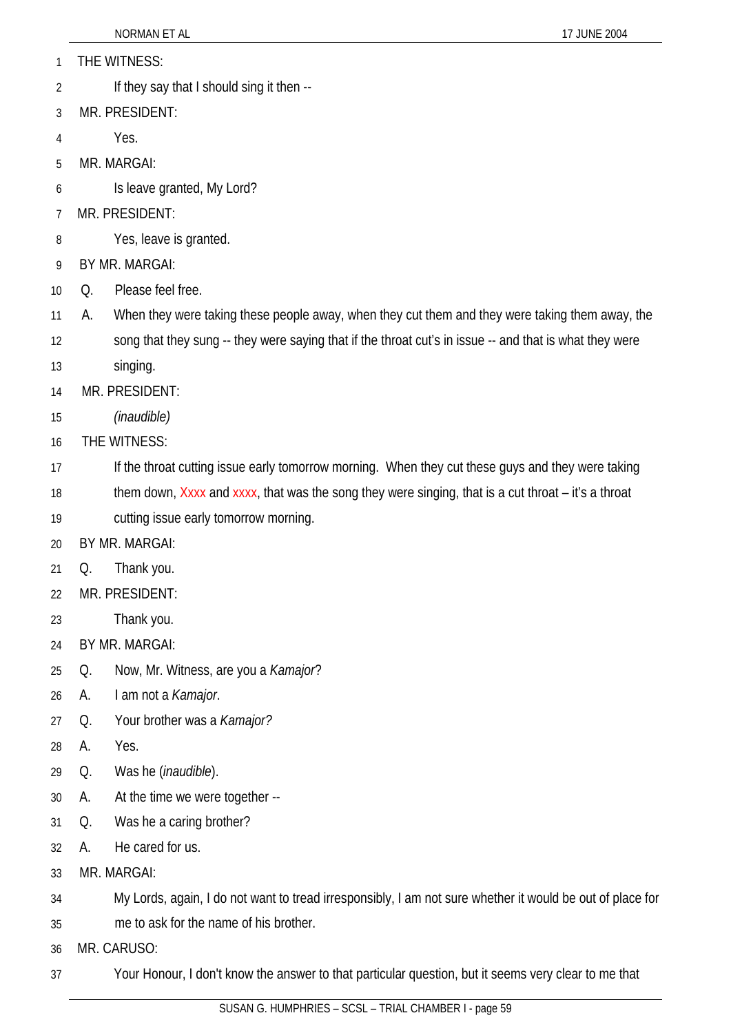- 1 THE WITNESS:
- 2 If they say that I should sing it then --
- 3 MR. PRESIDENT:
- 4 Yes.
- 5 MR. MARGAI:
- 6 Is leave granted, My Lord?
- 7 MR. PRESIDENT:
- 8 Yes, leave is granted.
- 9 BY MR. MARGAI:
- 10 Q. Please feel free.
- 11 A. When they were taking these people away, when they cut them and they were taking them away, the
- 12 song that they sung -- they were saying that if the throat cut's in issue -- and that is what they were
- 13 singing.
- 14 MR. PRESIDENT:
- 15 *(inaudible)*
- 16 THE WITNESS:
- 17 If the throat cutting issue early tomorrow morning. When they cut these guys and they were taking
- 18 them down, Xxxx and xxxx, that was the song they were singing, that is a cut throat – it's a throat
- 19 cutting issue early tomorrow morning.
- 20 BY MR. MARGAI:
- 21 Q. Thank you.
- 22 MR. PRESIDENT:
- 23 Thank you.
- 24 BY MR. MARGAI:
- 25 Q. Now, Mr. Witness, are you a *Kamajor*?
- 26 A. I am not a *Kamajor*.
- 27 Q. Your brother was a *Kamajor?*
- 28 A. Yes.
- 29 Q. Was he (*inaudible*).
- 30 A. At the time we were together --
- 31 Q. Was he a caring brother?
- 32 A. He cared for us.
- 33 MR. MARGAI:
- 34 My Lords, again, I do not want to tread irresponsibly, I am not sure whether it would be out of place for
- 35 me to ask for the name of his brother.
- 36 MR. CARUSO:
- 37 Your Honour, I don't know the answer to that particular question, but it seems very clear to me that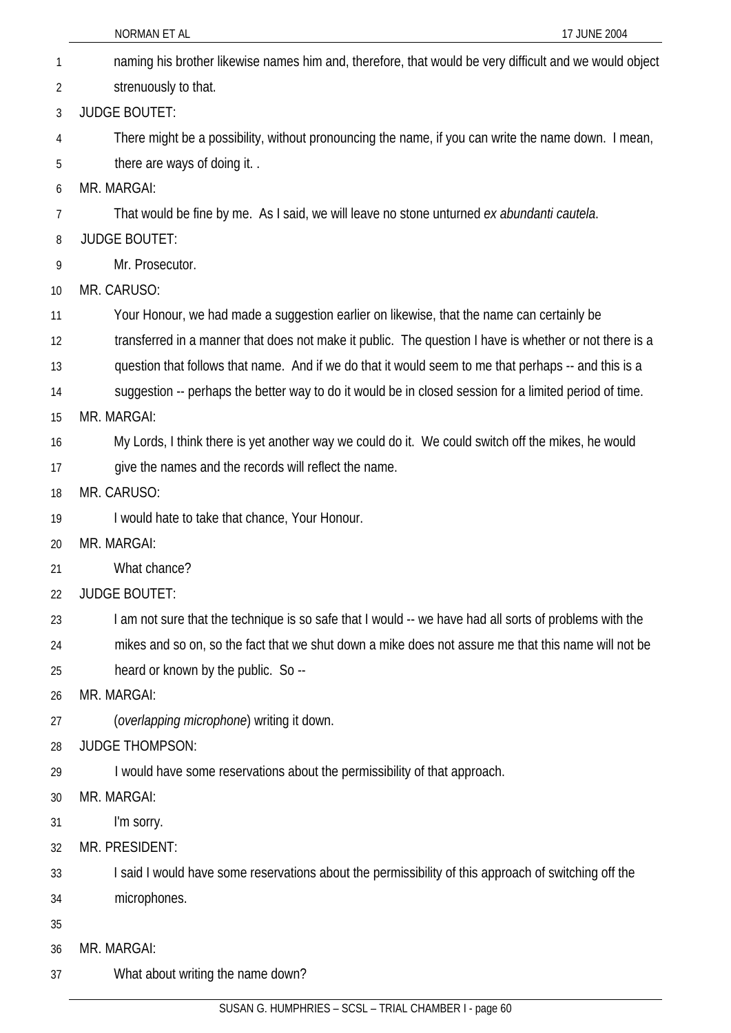|    | 17 JUNE 2004<br>NORMAN ET AL                                                                           |
|----|--------------------------------------------------------------------------------------------------------|
| 1  | naming his brother likewise names him and, therefore, that would be very difficult and we would object |
| 2  | strenuously to that.                                                                                   |
| 3  | <b>JUDGE BOUTET:</b>                                                                                   |
| 4  | There might be a possibility, without pronouncing the name, if you can write the name down. I mean,    |
| 5  | there are ways of doing it                                                                             |
| 6  | MR. MARGAI:                                                                                            |
| 7  | That would be fine by me. As I said, we will leave no stone unturned ex abundanti cautela.             |
| 8  | <b>JUDGE BOUTET:</b>                                                                                   |
| 9  | Mr. Prosecutor.                                                                                        |
| 10 | MR. CARUSO:                                                                                            |
| 11 | Your Honour, we had made a suggestion earlier on likewise, that the name can certainly be              |
| 12 | transferred in a manner that does not make it public. The question I have is whether or not there is a |
| 13 | question that follows that name. And if we do that it would seem to me that perhaps -- and this is a   |
| 14 | suggestion -- perhaps the better way to do it would be in closed session for a limited period of time. |
| 15 | MR. MARGAI:                                                                                            |
| 16 | My Lords, I think there is yet another way we could do it. We could switch off the mikes, he would     |
| 17 | give the names and the records will reflect the name.                                                  |
| 18 | MR. CARUSO:                                                                                            |
| 19 | I would hate to take that chance, Your Honour.                                                         |
| 20 | MR. MARGAI:                                                                                            |
| 21 | What chance?                                                                                           |
| 22 | <b>JUDGE BOUTET:</b>                                                                                   |
| 23 | I am not sure that the technique is so safe that I would -- we have had all sorts of problems with the |
| 24 | mikes and so on, so the fact that we shut down a mike does not assure me that this name will not be    |
| 25 | heard or known by the public. So --                                                                    |
| 26 | MR. MARGAI:                                                                                            |
| 27 | (overlapping microphone) writing it down.                                                              |
| 28 | <b>JUDGE THOMPSON:</b>                                                                                 |
| 29 | I would have some reservations about the permissibility of that approach.                              |
| 30 | MR. MARGAI:                                                                                            |
| 31 | I'm sorry.                                                                                             |
| 32 | MR. PRESIDENT:                                                                                         |
| 33 | I said I would have some reservations about the permissibility of this approach of switching off the   |
| 34 | microphones.                                                                                           |
| 35 |                                                                                                        |
| 36 | MR. MARGAI:                                                                                            |
| 37 | What about writing the name down?                                                                      |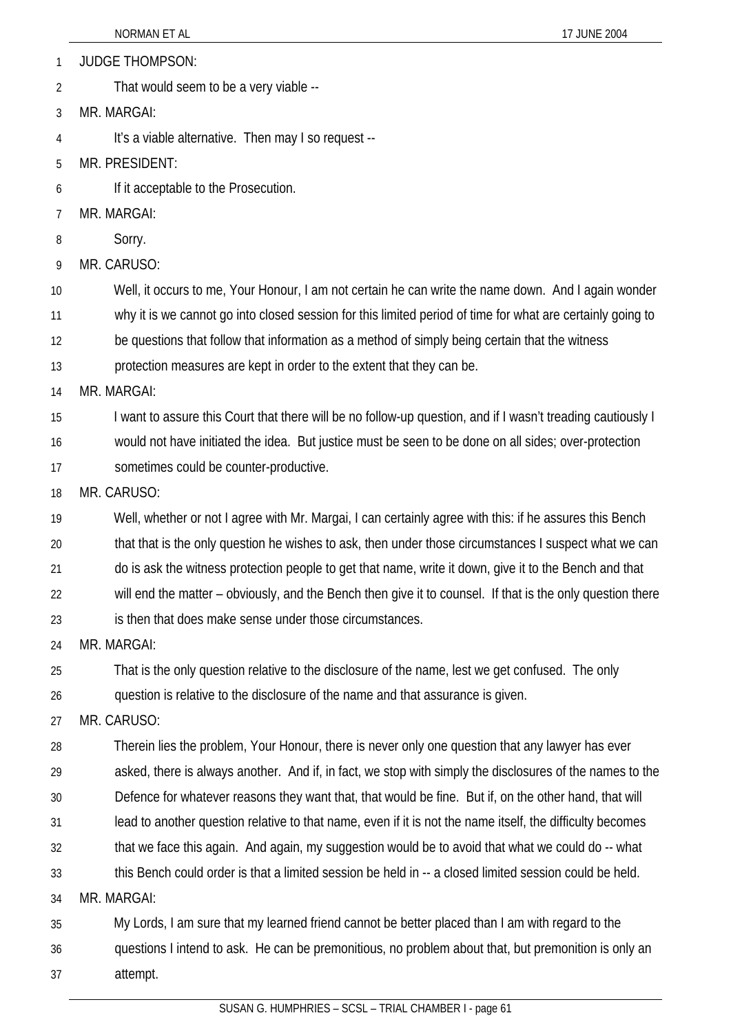1 JUDGE THOMPSON:

2 That would seem to be a very viable --

3 MR. MARGAI:

4 It's a viable alternative. Then may I so request --

5 MR. PRESIDENT:

6 If it acceptable to the Prosecution.

7 MR. MARGAI:

8 Sorry.

9 MR. CARUSO:

10 Well, it occurs to me, Your Honour, I am not certain he can write the name down. And I again wonder

11 why it is we cannot go into closed session for this limited period of time for what are certainly going to

12 be questions that follow that information as a method of simply being certain that the witness

13 protection measures are kept in order to the extent that they can be.

14 MR. MARGAI:

15 I want to assure this Court that there will be no follow-up question, and if I wasn't treading cautiously I

16 would not have initiated the idea. But justice must be seen to be done on all sides; over-protection

17 sometimes could be counter-productive.

18 MR. CARUSO:

19 Well, whether or not I agree with Mr. Margai, I can certainly agree with this: if he assures this Bench

20 that that is the only question he wishes to ask, then under those circumstances I suspect what we can

21 do is ask the witness protection people to get that name, write it down, give it to the Bench and that

22 will end the matter – obviously, and the Bench then give it to counsel. If that is the only question there

23 is then that does make sense under those circumstances.

24 MR. MARGAI:

25 That is the only question relative to the disclosure of the name, lest we get confused. The only

26 question is relative to the disclosure of the name and that assurance is given.

27 MR. CARUSO:

28 Therein lies the problem, Your Honour, there is never only one question that any lawyer has ever

29 asked, there is always another. And if, in fact, we stop with simply the disclosures of the names to the

30 Defence for whatever reasons they want that, that would be fine. But if, on the other hand, that will

- 31 lead to another question relative to that name, even if it is not the name itself, the difficulty becomes
- 32 that we face this again. And again, my suggestion would be to avoid that what we could do -- what

33 this Bench could order is that a limited session be held in -- a closed limited session could be held.

34 MR. MARGAI:

35 My Lords, I am sure that my learned friend cannot be better placed than I am with regard to the

36 37 questions I intend to ask. He can be premonitious, no problem about that, but premonition is only an attempt.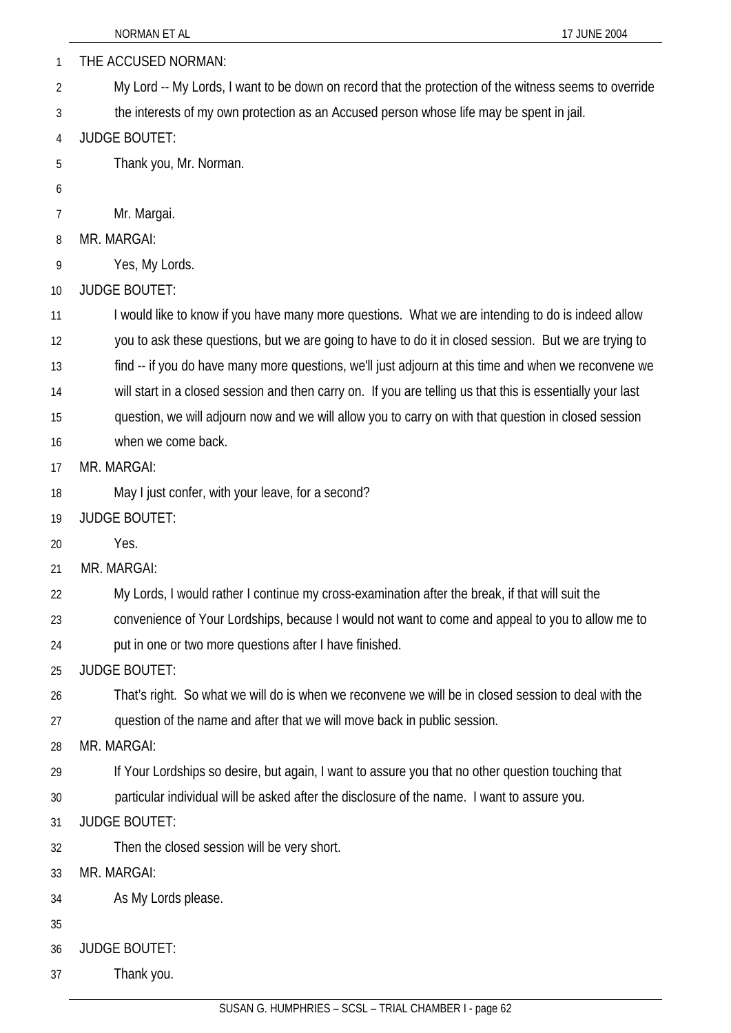|    | NORMAN ET AL<br>17 JUNE 2004                                                                               |
|----|------------------------------------------------------------------------------------------------------------|
| 1  | THE ACCUSED NORMAN:                                                                                        |
| 2  | My Lord -- My Lords, I want to be down on record that the protection of the witness seems to override      |
| 3  | the interests of my own protection as an Accused person whose life may be spent in jail.                   |
| 4  | <b>JUDGE BOUTET:</b>                                                                                       |
| 5  | Thank you, Mr. Norman.                                                                                     |
| 6  |                                                                                                            |
| 7  | Mr. Margai.                                                                                                |
| 8  | MR. MARGAI:                                                                                                |
| 9  | Yes, My Lords.                                                                                             |
| 10 | <b>JUDGE BOUTET:</b>                                                                                       |
| 11 | I would like to know if you have many more questions. What we are intending to do is indeed allow          |
| 12 | you to ask these questions, but we are going to have to do it in closed session. But we are trying to      |
| 13 | find -- if you do have many more questions, we'll just adjourn at this time and when we reconvene we       |
| 14 | will start in a closed session and then carry on. If you are telling us that this is essentially your last |
| 15 | question, we will adjourn now and we will allow you to carry on with that question in closed session       |
| 16 | when we come back.                                                                                         |
| 17 | MR. MARGAI:                                                                                                |
| 18 | May I just confer, with your leave, for a second?                                                          |
| 19 | <b>JUDGE BOUTET:</b>                                                                                       |
| 20 | Yes.                                                                                                       |
| 21 | MR. MARGAI:                                                                                                |
| 22 | My Lords, I would rather I continue my cross-examination after the break, if that will suit the            |
| 23 | convenience of Your Lordships, because I would not want to come and appeal to you to allow me to           |
| 24 | put in one or two more questions after I have finished.                                                    |
| 25 | <b>JUDGE BOUTET:</b>                                                                                       |
| 26 | That's right. So what we will do is when we reconvene we will be in closed session to deal with the        |
| 27 | question of the name and after that we will move back in public session.                                   |
| 28 | MR. MARGAI:                                                                                                |
| 29 | If Your Lordships so desire, but again, I want to assure you that no other question touching that          |
| 30 | particular individual will be asked after the disclosure of the name. I want to assure you.                |
| 31 | <b>JUDGE BOUTET:</b>                                                                                       |
| 32 | Then the closed session will be very short.                                                                |
| 33 | MR. MARGAI:                                                                                                |
| 34 | As My Lords please.                                                                                        |
| 35 |                                                                                                            |
| 36 | <b>JUDGE BOUTET:</b>                                                                                       |
| 37 | Thank you.                                                                                                 |
|    |                                                                                                            |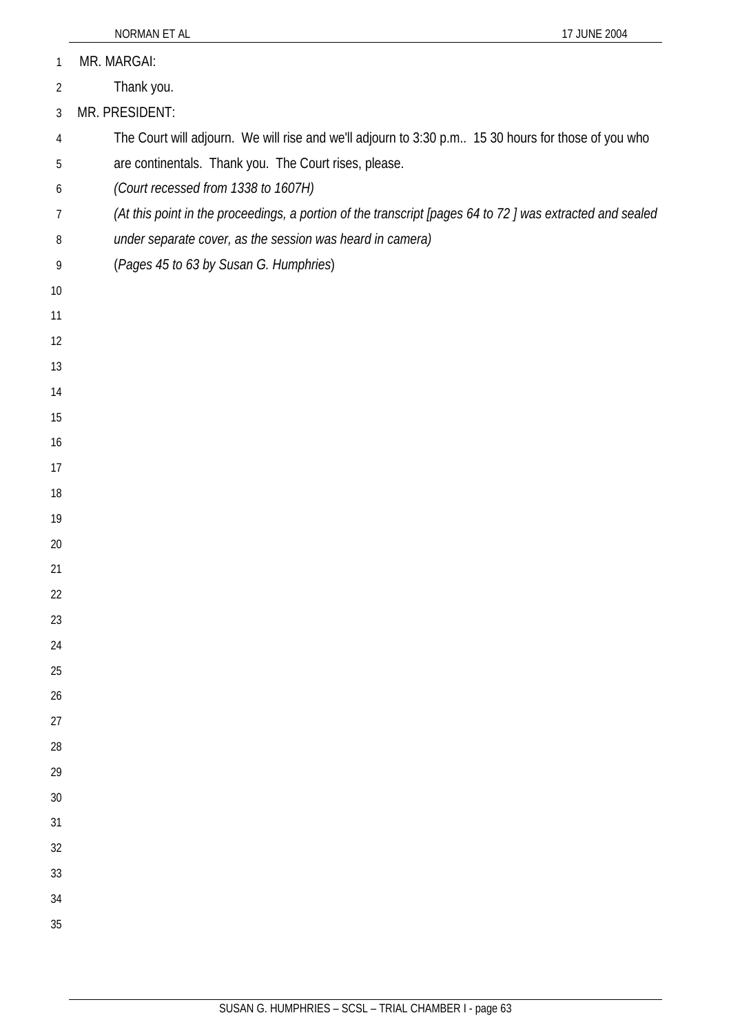| 1              | MR. MARGAI:                                                                                              |
|----------------|----------------------------------------------------------------------------------------------------------|
| $\overline{2}$ | Thank you.                                                                                               |
| 3              | MR. PRESIDENT:                                                                                           |
| 4              | The Court will adjourn. We will rise and we'll adjourn to 3:30 p.m 15 30 hours for those of you who      |
| 5              | are continentals. Thank you. The Court rises, please.                                                    |
| 6              | (Court recessed from 1338 to 1607H)                                                                      |
| 7              | (At this point in the proceedings, a portion of the transcript [pages 64 to 72] was extracted and sealed |
| 8              | under separate cover, as the session was heard in camera)                                                |
| 9              | (Pages 45 to 63 by Susan G. Humphries)                                                                   |
| 10             |                                                                                                          |
| 11             |                                                                                                          |
| 12             |                                                                                                          |
| 13             |                                                                                                          |
| 14             |                                                                                                          |
| 15             |                                                                                                          |
| 16             |                                                                                                          |
| 17             |                                                                                                          |
| 18             |                                                                                                          |
| 19             |                                                                                                          |
| 20             |                                                                                                          |
| 21             |                                                                                                          |
| 22             |                                                                                                          |
| 23             |                                                                                                          |
| 24             |                                                                                                          |
| 25             |                                                                                                          |
| 26             |                                                                                                          |
| 27             |                                                                                                          |
| 28             |                                                                                                          |
| 29             |                                                                                                          |
| $30\,$         |                                                                                                          |
| 31             |                                                                                                          |
| 32             |                                                                                                          |
| 33             |                                                                                                          |
| 34             |                                                                                                          |
| 35             |                                                                                                          |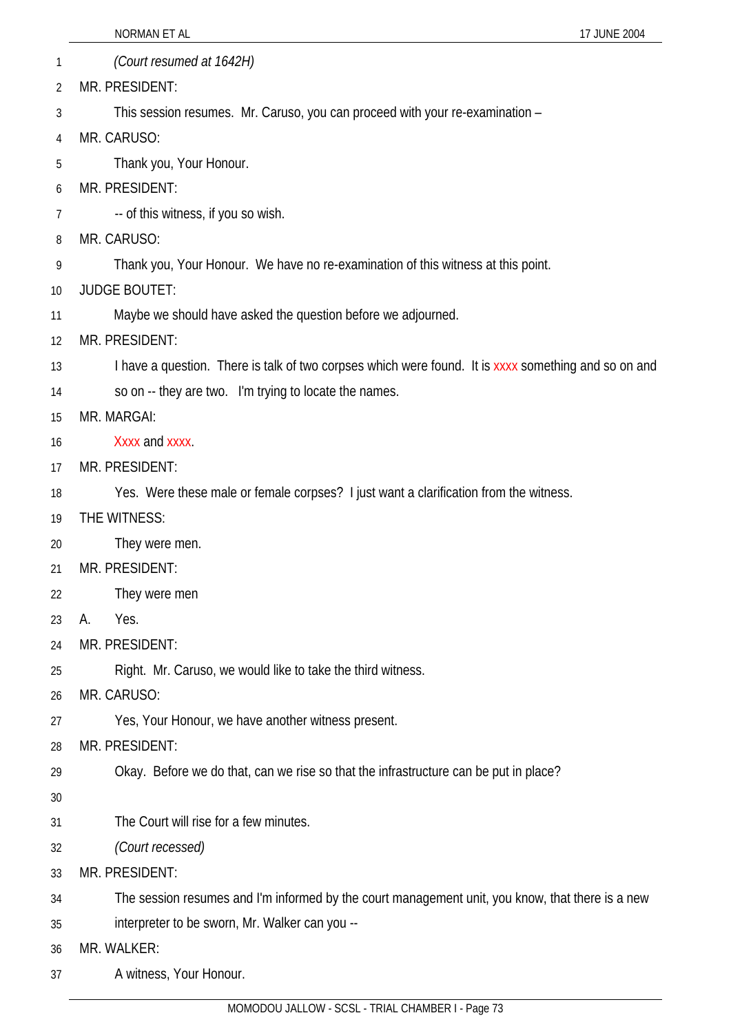| 1  | (Court resumed at 1642H)                                                                             |
|----|------------------------------------------------------------------------------------------------------|
| 2  | MR. PRESIDENT:                                                                                       |
| 3  | This session resumes. Mr. Caruso, you can proceed with your re-examination -                         |
| 4  | MR. CARUSO:                                                                                          |
| 5  | Thank you, Your Honour.                                                                              |
| 6  | MR. PRESIDENT:                                                                                       |
| 7  | -- of this witness, if you so wish.                                                                  |
| 8  | MR. CARUSO:                                                                                          |
| 9  | Thank you, Your Honour. We have no re-examination of this witness at this point.                     |
| 10 | <b>JUDGE BOUTET:</b>                                                                                 |
| 11 | Maybe we should have asked the question before we adjourned.                                         |
| 12 | MR. PRESIDENT:                                                                                       |
| 13 | I have a question. There is talk of two corpses which were found. It is xxxx something and so on and |
| 14 | so on -- they are two. I'm trying to locate the names.                                               |
| 15 | MR. MARGAI:                                                                                          |
| 16 | Xxxx and xxxx.                                                                                       |
| 17 | MR. PRESIDENT:                                                                                       |
| 18 | Yes. Were these male or female corpses? I just want a clarification from the witness.                |
| 19 | THE WITNESS:                                                                                         |
| 20 | They were men.                                                                                       |
| 21 | MR. PRESIDENT:                                                                                       |
| 22 | They were men                                                                                        |
| 23 | Yes.<br>А.                                                                                           |
| 24 | MR. PRESIDENT:                                                                                       |
| 25 | Right. Mr. Caruso, we would like to take the third witness.                                          |
| 26 | MR. CARUSO:                                                                                          |
| 27 | Yes, Your Honour, we have another witness present.                                                   |
| 28 | MR. PRESIDENT:                                                                                       |
| 29 | Okay. Before we do that, can we rise so that the infrastructure can be put in place?                 |
| 30 |                                                                                                      |
| 31 | The Court will rise for a few minutes.                                                               |
| 32 | (Court recessed)                                                                                     |
| 33 | MR. PRESIDENT:                                                                                       |
| 34 | The session resumes and I'm informed by the court management unit, you know, that there is a new     |
| 35 | interpreter to be sworn, Mr. Walker can you --                                                       |
| 36 | MR. WALKER:                                                                                          |
| 37 | A witness, Your Honour.                                                                              |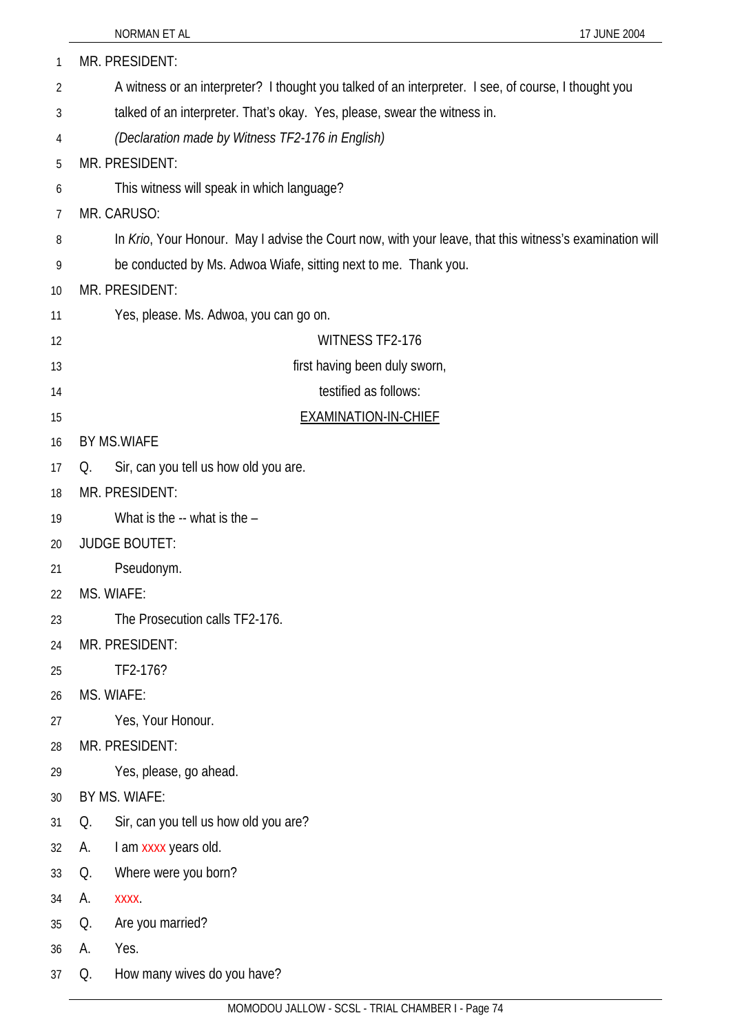|    | NORMAN ET AL<br>17 JUNE 2004                                                                            |
|----|---------------------------------------------------------------------------------------------------------|
| 1  | MR. PRESIDENT:                                                                                          |
| 2  | A witness or an interpreter? I thought you talked of an interpreter. I see, of course, I thought you    |
| 3  | talked of an interpreter. That's okay. Yes, please, swear the witness in.                               |
| 4  | (Declaration made by Witness TF2-176 in English)                                                        |
| 5  | MR. PRESIDENT:                                                                                          |
| 6  | This witness will speak in which language?                                                              |
| 7  | MR. CARUSO:                                                                                             |
| 8  | In Krio, Your Honour. May I advise the Court now, with your leave, that this witness's examination will |
| 9  | be conducted by Ms. Adwoa Wiafe, sitting next to me. Thank you.                                         |
| 10 | MR. PRESIDENT:                                                                                          |
| 11 | Yes, please. Ms. Adwoa, you can go on.                                                                  |
| 12 | <b>WITNESS TF2-176</b>                                                                                  |
| 13 | first having been duly sworn,                                                                           |
| 14 | testified as follows:                                                                                   |
| 15 | <b>EXAMINATION-IN-CHIEF</b>                                                                             |
| 16 | <b>BY MS.WIAFE</b>                                                                                      |
| 17 | Sir, can you tell us how old you are.<br>Q.                                                             |
| 18 | MR. PRESIDENT:                                                                                          |
| 19 | What is the -- what is the -                                                                            |
| 20 | <b>JUDGE BOUTET:</b>                                                                                    |
| 21 | Pseudonym.                                                                                              |
| 22 | MS. WIAFE:                                                                                              |
| 23 | The Prosecution calls TF2-176.                                                                          |
| 24 | MR. PRESIDENT:                                                                                          |
| 25 | TF2-176?                                                                                                |
| 26 | MS. WIAFE:                                                                                              |
| 27 | Yes, Your Honour.                                                                                       |
| 28 | MR. PRESIDENT:                                                                                          |
| 29 | Yes, please, go ahead.                                                                                  |
| 30 | BY MS. WIAFE:                                                                                           |
| 31 | Sir, can you tell us how old you are?<br>Q.                                                             |
| 32 | I am xxxx years old.<br>А.                                                                              |
| 33 | Where were you born?<br>Q.                                                                              |
| 34 | А.<br><b>XXXX</b>                                                                                       |
| 35 | Are you married?<br>Q.                                                                                  |
| 36 | Yes.<br>А.                                                                                              |
| 37 | How many wives do you have?<br>Q.                                                                       |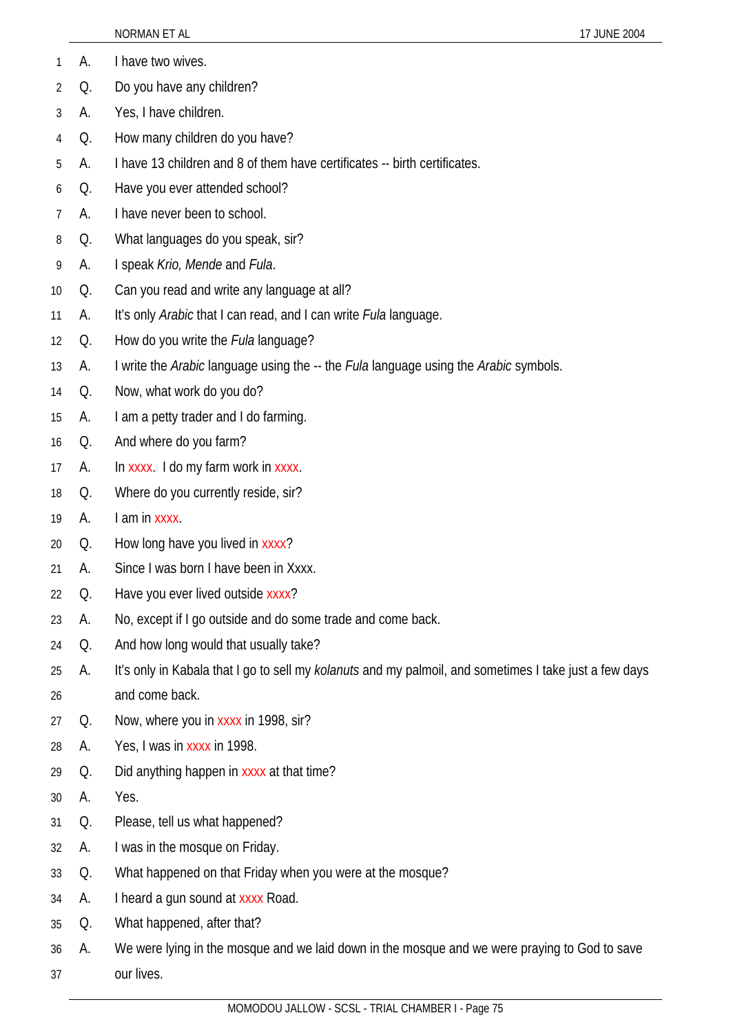| А.<br>I have two wives.<br>1<br>Do you have any children?<br>Q.<br>$\overline{2}$<br>Yes, I have children.<br>3<br>А.<br>How many children do you have?<br>Q.<br>4<br>I have 13 children and 8 of them have certificates -- birth certificates.<br>А.<br>5<br>Have you ever attended school?<br>Q.<br>6<br>I have never been to school.<br>7<br>А.<br>What languages do you speak, sir?<br>Q.<br>8<br>I speak Krio, Mende and Fula.<br>9<br>А.<br>Can you read and write any language at all?<br>Q.<br>10<br>It's only Arabic that I can read, and I can write <i>Fula</i> language.<br>А.<br>11<br>How do you write the <i>Fula</i> language?<br>Q.<br>12<br>I write the Arabic language using the -- the Fula language using the Arabic symbols.<br>А.<br>13<br>Now, what work do you do?<br>14<br>Q.<br>I am a petty trader and I do farming.<br>А.<br>15<br>And where do you farm?<br>Q.<br>16<br>In xxxx. I do my farm work in xxxx.<br>А.<br>17<br>Where do you currently reside, sir?<br>Q.<br>18<br>I am in xxxx.<br>А.<br>19<br>How long have you lived in xxxx?<br>Q.<br>20<br>Since I was born I have been in Xxxx.<br>A.<br>21<br>Have you ever lived outside xxxx?<br>Q.<br>22<br>No, except if I go outside and do some trade and come back.<br>23<br>А.<br>And how long would that usually take?<br>Q.<br>24<br>It's only in Kabala that I go to sell my kolanuts and my palmoil, and sometimes I take just a few days<br>А.<br>25<br>and come back.<br>26<br>Now, where you in xxxx in 1998, sir?<br>Q.<br>27<br>Yes, I was in xxxx in 1998.<br>А.<br>28<br>Did anything happen in xxxx at that time?<br>Q.<br>29<br>Yes.<br>А.<br>30<br>Please, tell us what happened?<br>Q.<br>31<br>I was in the mosque on Friday.<br>32<br>А.<br>What happened on that Friday when you were at the mosque?<br>Q.<br>33<br>I heard a gun sound at xxxx Road.<br>А.<br>34<br>What happened, after that?<br>Q.<br>35<br>We were lying in the mosque and we laid down in the mosque and we were praying to God to save<br>А.<br>36<br>our lives.<br>37 |  | 17 JUNE 2004<br>NORMAN ET AL |
|--------------------------------------------------------------------------------------------------------------------------------------------------------------------------------------------------------------------------------------------------------------------------------------------------------------------------------------------------------------------------------------------------------------------------------------------------------------------------------------------------------------------------------------------------------------------------------------------------------------------------------------------------------------------------------------------------------------------------------------------------------------------------------------------------------------------------------------------------------------------------------------------------------------------------------------------------------------------------------------------------------------------------------------------------------------------------------------------------------------------------------------------------------------------------------------------------------------------------------------------------------------------------------------------------------------------------------------------------------------------------------------------------------------------------------------------------------------------------------------------------------------------------------------------------------------------------------------------------------------------------------------------------------------------------------------------------------------------------------------------------------------------------------------------------------------------------------------------------------------------------------------------------------------------------------------------------------------------------------------------------------------------------------------------------------|--|------------------------------|
|                                                                                                                                                                                                                                                                                                                                                                                                                                                                                                                                                                                                                                                                                                                                                                                                                                                                                                                                                                                                                                                                                                                                                                                                                                                                                                                                                                                                                                                                                                                                                                                                                                                                                                                                                                                                                                                                                                                                                                                                                                                        |  |                              |
|                                                                                                                                                                                                                                                                                                                                                                                                                                                                                                                                                                                                                                                                                                                                                                                                                                                                                                                                                                                                                                                                                                                                                                                                                                                                                                                                                                                                                                                                                                                                                                                                                                                                                                                                                                                                                                                                                                                                                                                                                                                        |  |                              |
|                                                                                                                                                                                                                                                                                                                                                                                                                                                                                                                                                                                                                                                                                                                                                                                                                                                                                                                                                                                                                                                                                                                                                                                                                                                                                                                                                                                                                                                                                                                                                                                                                                                                                                                                                                                                                                                                                                                                                                                                                                                        |  |                              |
|                                                                                                                                                                                                                                                                                                                                                                                                                                                                                                                                                                                                                                                                                                                                                                                                                                                                                                                                                                                                                                                                                                                                                                                                                                                                                                                                                                                                                                                                                                                                                                                                                                                                                                                                                                                                                                                                                                                                                                                                                                                        |  |                              |
|                                                                                                                                                                                                                                                                                                                                                                                                                                                                                                                                                                                                                                                                                                                                                                                                                                                                                                                                                                                                                                                                                                                                                                                                                                                                                                                                                                                                                                                                                                                                                                                                                                                                                                                                                                                                                                                                                                                                                                                                                                                        |  |                              |
|                                                                                                                                                                                                                                                                                                                                                                                                                                                                                                                                                                                                                                                                                                                                                                                                                                                                                                                                                                                                                                                                                                                                                                                                                                                                                                                                                                                                                                                                                                                                                                                                                                                                                                                                                                                                                                                                                                                                                                                                                                                        |  |                              |
|                                                                                                                                                                                                                                                                                                                                                                                                                                                                                                                                                                                                                                                                                                                                                                                                                                                                                                                                                                                                                                                                                                                                                                                                                                                                                                                                                                                                                                                                                                                                                                                                                                                                                                                                                                                                                                                                                                                                                                                                                                                        |  |                              |
|                                                                                                                                                                                                                                                                                                                                                                                                                                                                                                                                                                                                                                                                                                                                                                                                                                                                                                                                                                                                                                                                                                                                                                                                                                                                                                                                                                                                                                                                                                                                                                                                                                                                                                                                                                                                                                                                                                                                                                                                                                                        |  |                              |
|                                                                                                                                                                                                                                                                                                                                                                                                                                                                                                                                                                                                                                                                                                                                                                                                                                                                                                                                                                                                                                                                                                                                                                                                                                                                                                                                                                                                                                                                                                                                                                                                                                                                                                                                                                                                                                                                                                                                                                                                                                                        |  |                              |
|                                                                                                                                                                                                                                                                                                                                                                                                                                                                                                                                                                                                                                                                                                                                                                                                                                                                                                                                                                                                                                                                                                                                                                                                                                                                                                                                                                                                                                                                                                                                                                                                                                                                                                                                                                                                                                                                                                                                                                                                                                                        |  |                              |
|                                                                                                                                                                                                                                                                                                                                                                                                                                                                                                                                                                                                                                                                                                                                                                                                                                                                                                                                                                                                                                                                                                                                                                                                                                                                                                                                                                                                                                                                                                                                                                                                                                                                                                                                                                                                                                                                                                                                                                                                                                                        |  |                              |
|                                                                                                                                                                                                                                                                                                                                                                                                                                                                                                                                                                                                                                                                                                                                                                                                                                                                                                                                                                                                                                                                                                                                                                                                                                                                                                                                                                                                                                                                                                                                                                                                                                                                                                                                                                                                                                                                                                                                                                                                                                                        |  |                              |
|                                                                                                                                                                                                                                                                                                                                                                                                                                                                                                                                                                                                                                                                                                                                                                                                                                                                                                                                                                                                                                                                                                                                                                                                                                                                                                                                                                                                                                                                                                                                                                                                                                                                                                                                                                                                                                                                                                                                                                                                                                                        |  |                              |
|                                                                                                                                                                                                                                                                                                                                                                                                                                                                                                                                                                                                                                                                                                                                                                                                                                                                                                                                                                                                                                                                                                                                                                                                                                                                                                                                                                                                                                                                                                                                                                                                                                                                                                                                                                                                                                                                                                                                                                                                                                                        |  |                              |
|                                                                                                                                                                                                                                                                                                                                                                                                                                                                                                                                                                                                                                                                                                                                                                                                                                                                                                                                                                                                                                                                                                                                                                                                                                                                                                                                                                                                                                                                                                                                                                                                                                                                                                                                                                                                                                                                                                                                                                                                                                                        |  |                              |
|                                                                                                                                                                                                                                                                                                                                                                                                                                                                                                                                                                                                                                                                                                                                                                                                                                                                                                                                                                                                                                                                                                                                                                                                                                                                                                                                                                                                                                                                                                                                                                                                                                                                                                                                                                                                                                                                                                                                                                                                                                                        |  |                              |
|                                                                                                                                                                                                                                                                                                                                                                                                                                                                                                                                                                                                                                                                                                                                                                                                                                                                                                                                                                                                                                                                                                                                                                                                                                                                                                                                                                                                                                                                                                                                                                                                                                                                                                                                                                                                                                                                                                                                                                                                                                                        |  |                              |
|                                                                                                                                                                                                                                                                                                                                                                                                                                                                                                                                                                                                                                                                                                                                                                                                                                                                                                                                                                                                                                                                                                                                                                                                                                                                                                                                                                                                                                                                                                                                                                                                                                                                                                                                                                                                                                                                                                                                                                                                                                                        |  |                              |
|                                                                                                                                                                                                                                                                                                                                                                                                                                                                                                                                                                                                                                                                                                                                                                                                                                                                                                                                                                                                                                                                                                                                                                                                                                                                                                                                                                                                                                                                                                                                                                                                                                                                                                                                                                                                                                                                                                                                                                                                                                                        |  |                              |
|                                                                                                                                                                                                                                                                                                                                                                                                                                                                                                                                                                                                                                                                                                                                                                                                                                                                                                                                                                                                                                                                                                                                                                                                                                                                                                                                                                                                                                                                                                                                                                                                                                                                                                                                                                                                                                                                                                                                                                                                                                                        |  |                              |
|                                                                                                                                                                                                                                                                                                                                                                                                                                                                                                                                                                                                                                                                                                                                                                                                                                                                                                                                                                                                                                                                                                                                                                                                                                                                                                                                                                                                                                                                                                                                                                                                                                                                                                                                                                                                                                                                                                                                                                                                                                                        |  |                              |
|                                                                                                                                                                                                                                                                                                                                                                                                                                                                                                                                                                                                                                                                                                                                                                                                                                                                                                                                                                                                                                                                                                                                                                                                                                                                                                                                                                                                                                                                                                                                                                                                                                                                                                                                                                                                                                                                                                                                                                                                                                                        |  |                              |
|                                                                                                                                                                                                                                                                                                                                                                                                                                                                                                                                                                                                                                                                                                                                                                                                                                                                                                                                                                                                                                                                                                                                                                                                                                                                                                                                                                                                                                                                                                                                                                                                                                                                                                                                                                                                                                                                                                                                                                                                                                                        |  |                              |
|                                                                                                                                                                                                                                                                                                                                                                                                                                                                                                                                                                                                                                                                                                                                                                                                                                                                                                                                                                                                                                                                                                                                                                                                                                                                                                                                                                                                                                                                                                                                                                                                                                                                                                                                                                                                                                                                                                                                                                                                                                                        |  |                              |
|                                                                                                                                                                                                                                                                                                                                                                                                                                                                                                                                                                                                                                                                                                                                                                                                                                                                                                                                                                                                                                                                                                                                                                                                                                                                                                                                                                                                                                                                                                                                                                                                                                                                                                                                                                                                                                                                                                                                                                                                                                                        |  |                              |
|                                                                                                                                                                                                                                                                                                                                                                                                                                                                                                                                                                                                                                                                                                                                                                                                                                                                                                                                                                                                                                                                                                                                                                                                                                                                                                                                                                                                                                                                                                                                                                                                                                                                                                                                                                                                                                                                                                                                                                                                                                                        |  |                              |
|                                                                                                                                                                                                                                                                                                                                                                                                                                                                                                                                                                                                                                                                                                                                                                                                                                                                                                                                                                                                                                                                                                                                                                                                                                                                                                                                                                                                                                                                                                                                                                                                                                                                                                                                                                                                                                                                                                                                                                                                                                                        |  |                              |
|                                                                                                                                                                                                                                                                                                                                                                                                                                                                                                                                                                                                                                                                                                                                                                                                                                                                                                                                                                                                                                                                                                                                                                                                                                                                                                                                                                                                                                                                                                                                                                                                                                                                                                                                                                                                                                                                                                                                                                                                                                                        |  |                              |
|                                                                                                                                                                                                                                                                                                                                                                                                                                                                                                                                                                                                                                                                                                                                                                                                                                                                                                                                                                                                                                                                                                                                                                                                                                                                                                                                                                                                                                                                                                                                                                                                                                                                                                                                                                                                                                                                                                                                                                                                                                                        |  |                              |
|                                                                                                                                                                                                                                                                                                                                                                                                                                                                                                                                                                                                                                                                                                                                                                                                                                                                                                                                                                                                                                                                                                                                                                                                                                                                                                                                                                                                                                                                                                                                                                                                                                                                                                                                                                                                                                                                                                                                                                                                                                                        |  |                              |
|                                                                                                                                                                                                                                                                                                                                                                                                                                                                                                                                                                                                                                                                                                                                                                                                                                                                                                                                                                                                                                                                                                                                                                                                                                                                                                                                                                                                                                                                                                                                                                                                                                                                                                                                                                                                                                                                                                                                                                                                                                                        |  |                              |
|                                                                                                                                                                                                                                                                                                                                                                                                                                                                                                                                                                                                                                                                                                                                                                                                                                                                                                                                                                                                                                                                                                                                                                                                                                                                                                                                                                                                                                                                                                                                                                                                                                                                                                                                                                                                                                                                                                                                                                                                                                                        |  |                              |
|                                                                                                                                                                                                                                                                                                                                                                                                                                                                                                                                                                                                                                                                                                                                                                                                                                                                                                                                                                                                                                                                                                                                                                                                                                                                                                                                                                                                                                                                                                                                                                                                                                                                                                                                                                                                                                                                                                                                                                                                                                                        |  |                              |
|                                                                                                                                                                                                                                                                                                                                                                                                                                                                                                                                                                                                                                                                                                                                                                                                                                                                                                                                                                                                                                                                                                                                                                                                                                                                                                                                                                                                                                                                                                                                                                                                                                                                                                                                                                                                                                                                                                                                                                                                                                                        |  |                              |
|                                                                                                                                                                                                                                                                                                                                                                                                                                                                                                                                                                                                                                                                                                                                                                                                                                                                                                                                                                                                                                                                                                                                                                                                                                                                                                                                                                                                                                                                                                                                                                                                                                                                                                                                                                                                                                                                                                                                                                                                                                                        |  |                              |
|                                                                                                                                                                                                                                                                                                                                                                                                                                                                                                                                                                                                                                                                                                                                                                                                                                                                                                                                                                                                                                                                                                                                                                                                                                                                                                                                                                                                                                                                                                                                                                                                                                                                                                                                                                                                                                                                                                                                                                                                                                                        |  |                              |
|                                                                                                                                                                                                                                                                                                                                                                                                                                                                                                                                                                                                                                                                                                                                                                                                                                                                                                                                                                                                                                                                                                                                                                                                                                                                                                                                                                                                                                                                                                                                                                                                                                                                                                                                                                                                                                                                                                                                                                                                                                                        |  |                              |
| MOMODOU JALLOW - SCSL - TRIAL CHAMBER I - Page 75                                                                                                                                                                                                                                                                                                                                                                                                                                                                                                                                                                                                                                                                                                                                                                                                                                                                                                                                                                                                                                                                                                                                                                                                                                                                                                                                                                                                                                                                                                                                                                                                                                                                                                                                                                                                                                                                                                                                                                                                      |  |                              |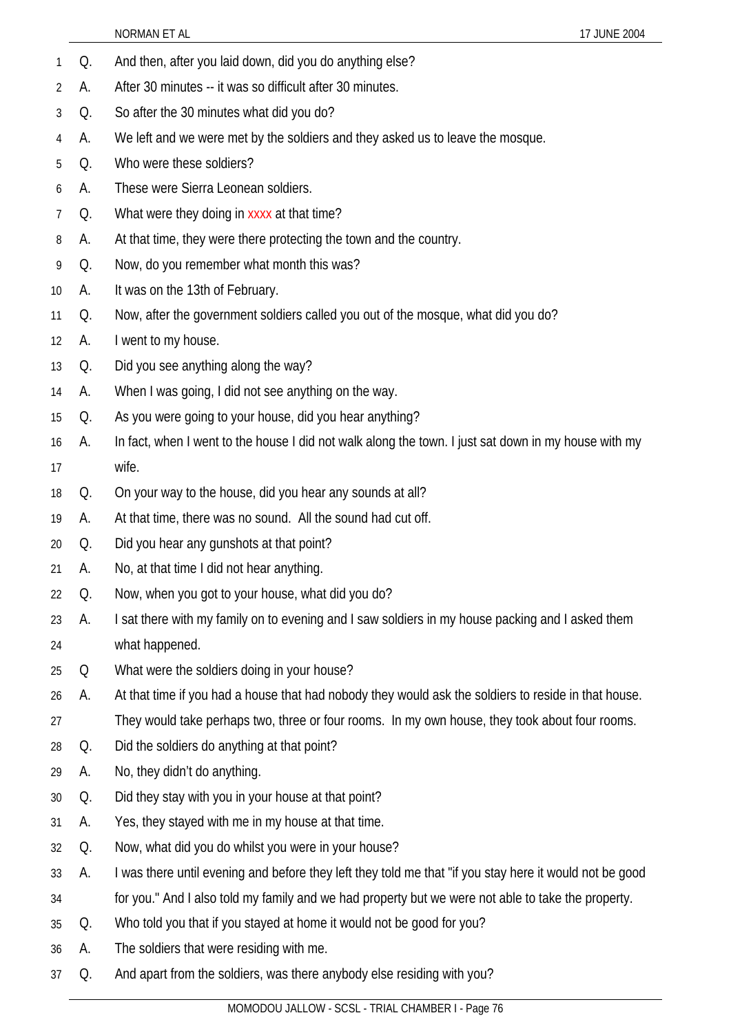- 1 Q. And then, after you laid down, did you do anything else?
- 2 A. After 30 minutes -- it was so difficult after 30 minutes.
- 3 Q. So after the 30 minutes what did you do?
- 4 A. We left and we were met by the soldiers and they asked us to leave the mosque.
- 5 Q. Who were these soldiers?
- 6 A. These were Sierra Leonean soldiers.
- 7 Q. What were they doing in xxxx at that time?
- 8 A. At that time, they were there protecting the town and the country.
- 9 Q. Now, do you remember what month this was?
- 10 A. It was on the 13th of February.
- 11 Q. Now, after the government soldiers called you out of the mosque, what did you do?
- 12 A. I went to my house.
- 13 Q. Did you see anything along the way?
- 14 A. When I was going, I did not see anything on the way.
- 15 Q. As you were going to your house, did you hear anything?
- 16 17 A. In fact, when I went to the house I did not walk along the town. I just sat down in my house with my wife.
- 18 Q. On your way to the house, did you hear any sounds at all?
- 19 A. At that time, there was no sound. All the sound had cut off.
- 20 Q. Did you hear any gunshots at that point?
- 21 A. No, at that time I did not hear anything.
- 22 Q. Now, when you got to your house, what did you do?
- 23 24 A. I sat there with my family on to evening and I saw soldiers in my house packing and I asked them what happened.
- 25 Q What were the soldiers doing in your house?
- 26 A. At that time if you had a house that had nobody they would ask the soldiers to reside in that house.
- 27 They would take perhaps two, three or four rooms. In my own house, they took about four rooms.
- 28 Q. Did the soldiers do anything at that point?
- 29 A. No, they didn't do anything.
- 30 Q. Did they stay with you in your house at that point?
- 31 A. Yes, they stayed with me in my house at that time.
- 32 Q. Now, what did you do whilst you were in your house?
- 33 A. I was there until evening and before they left they told me that "if you stay here it would not be good
- 34 for you." And I also told my family and we had property but we were not able to take the property.
- 35 Q. Who told you that if you stayed at home it would not be good for you?
- 36 A. The soldiers that were residing with me.
- 37 Q. And apart from the soldiers, was there anybody else residing with you?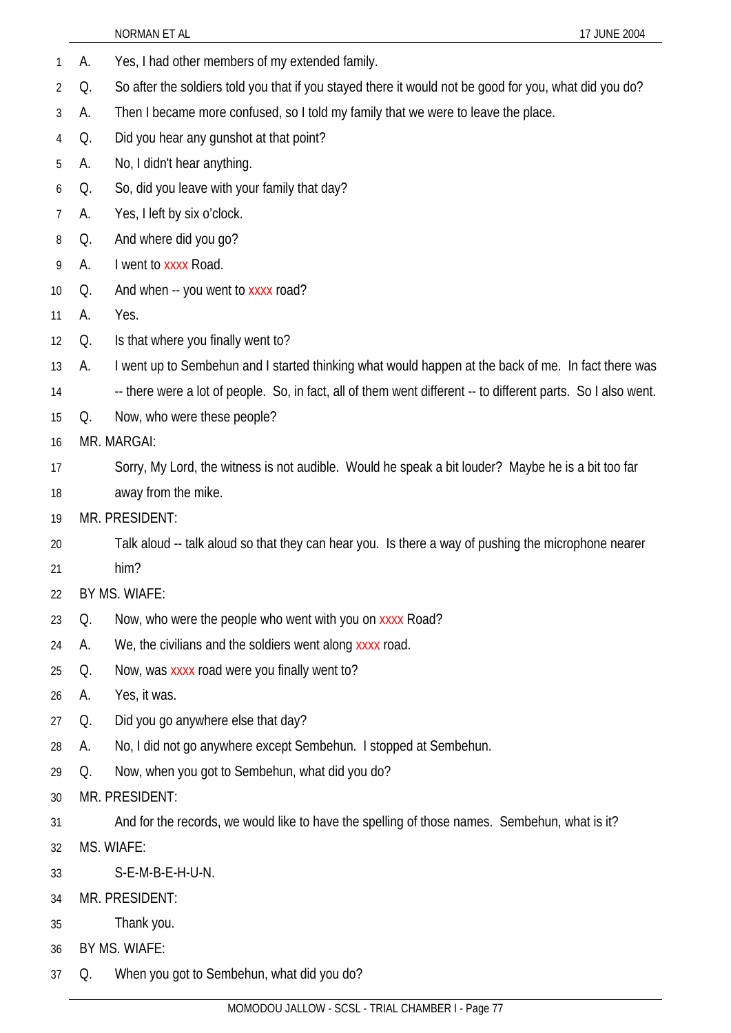|                 |    | NORMAN ET AL<br>17 JUNE 2004                                                                                  |
|-----------------|----|---------------------------------------------------------------------------------------------------------------|
| 1               | А. | Yes, I had other members of my extended family.                                                               |
| 2               | Q. | So after the soldiers told you that if you stayed there it would not be good for you, what did you do?        |
| 3               | А. | Then I became more confused, so I told my family that we were to leave the place.                             |
| 4               | Q. | Did you hear any gunshot at that point?                                                                       |
| 5               | A. | No, I didn't hear anything.                                                                                   |
| 6               | Q. | So, did you leave with your family that day?                                                                  |
| 7               | А. | Yes, I left by six o'clock.                                                                                   |
| 8               | Q. | And where did you go?                                                                                         |
| 9               | А. | I went to xxxx Road.                                                                                          |
| 10 <sup>°</sup> | Q. | And when -- you went to xxxx road?                                                                            |
| 11              | А. | Yes.                                                                                                          |
| 12              | Q. | Is that where you finally went to?                                                                            |
| 13              | А. | I went up to Sembehun and I started thinking what would happen at the back of me. In fact there was           |
| 14              |    | -- there were a lot of people. So, in fact, all of them went different -- to different parts. So I also went. |
| 15              | Q. | Now, who were these people?                                                                                   |
| 16              |    | MR. MARGAI:                                                                                                   |
| 17              |    | Sorry, My Lord, the witness is not audible. Would he speak a bit louder? Maybe he is a bit too far            |
| 18              |    | away from the mike.                                                                                           |
| 19              |    | MR. PRESIDENT:                                                                                                |
| 20              |    | Talk aloud -- talk aloud so that they can hear you. Is there a way of pushing the microphone nearer           |
| 21              |    | him?                                                                                                          |
| 22              |    | BY MS. WIAFE:                                                                                                 |
| 23              | Q. | Now, who were the people who went with you on xxxx Road?                                                      |
| 24              | А. | We, the civilians and the soldiers went along xxxx road.                                                      |
| 25              | Q. | Now, was xxxx road were you finally went to?                                                                  |
| 26              | А. | Yes, it was.                                                                                                  |
| 27              | Q. | Did you go anywhere else that day?                                                                            |
| 28              | А. | No, I did not go anywhere except Sembehun. I stopped at Sembehun.                                             |
| 29              | Q. | Now, when you got to Sembehun, what did you do?                                                               |
| 30              |    | MR. PRESIDENT:                                                                                                |
| 31              |    | And for the records, we would like to have the spelling of those names. Sembehun, what is it?                 |
| 32              |    | MS. WIAFE:                                                                                                    |
| 33              |    | S-E-M-B-E-H-U-N.                                                                                              |
| 34              |    | MR. PRESIDENT:                                                                                                |
| 35              |    | Thank you.                                                                                                    |
| 36              |    | BY MS. WIAFE:                                                                                                 |
| 37              | Q. | When you got to Sembehun, what did you do?                                                                    |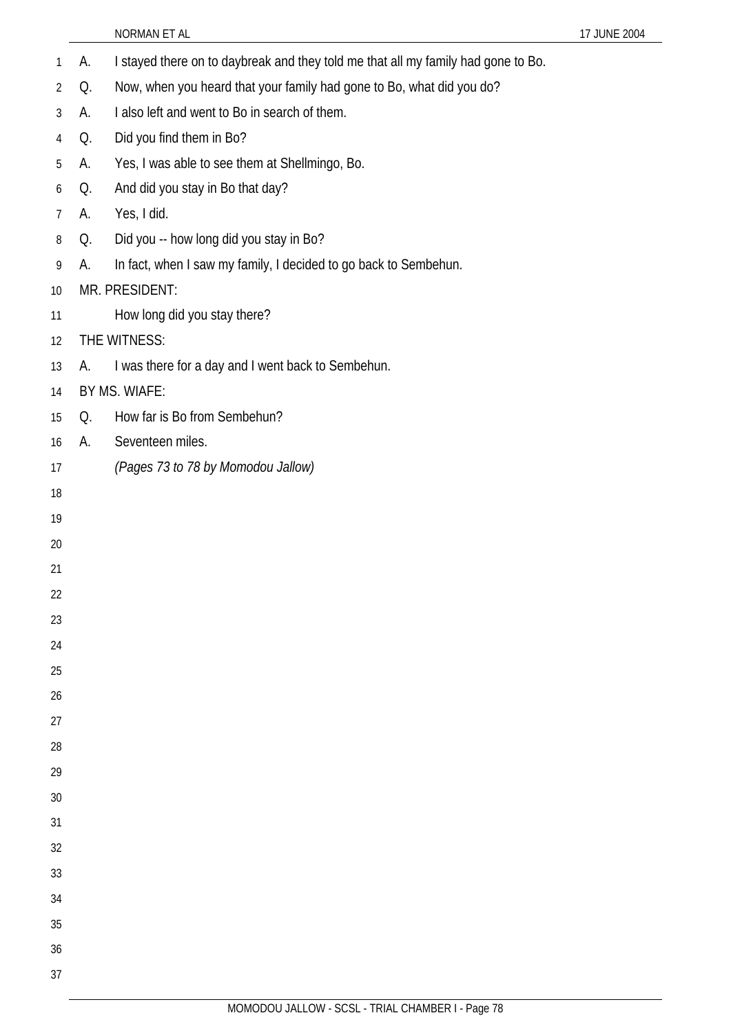- 1 A. I stayed there on to daybreak and they told me that all my family had gone to Bo.
- Q. Now, when you heard that your family had gone to Bo, what did you do?
- A. I also left and went to Bo in search of them.
- Q. Did you find them in Bo?
- A. Yes, I was able to see them at Shellmingo, Bo.
- Q. And did you stay in Bo that day?
- A. Yes, I did.
- Q. Did you -- how long did you stay in Bo?
- A. In fact, when I saw my family, I decided to go back to Sembehun.

## MR. PRESIDENT:

- How long did you stay there?
- THE WITNESS:
- A. I was there for a day and I went back to Sembehun.
- BY MS. WIAFE:
- Q. How far is Bo from Sembehun?
- A. Seventeen miles.
- *(Pages 73 to 78 by Momodou Jallow)*
- 
- 
- 
- 
- 
- 
- 
- 
- 
- 
- 
- 
- 
- 
- 
- 
- 
- 
- 
- 
- 
-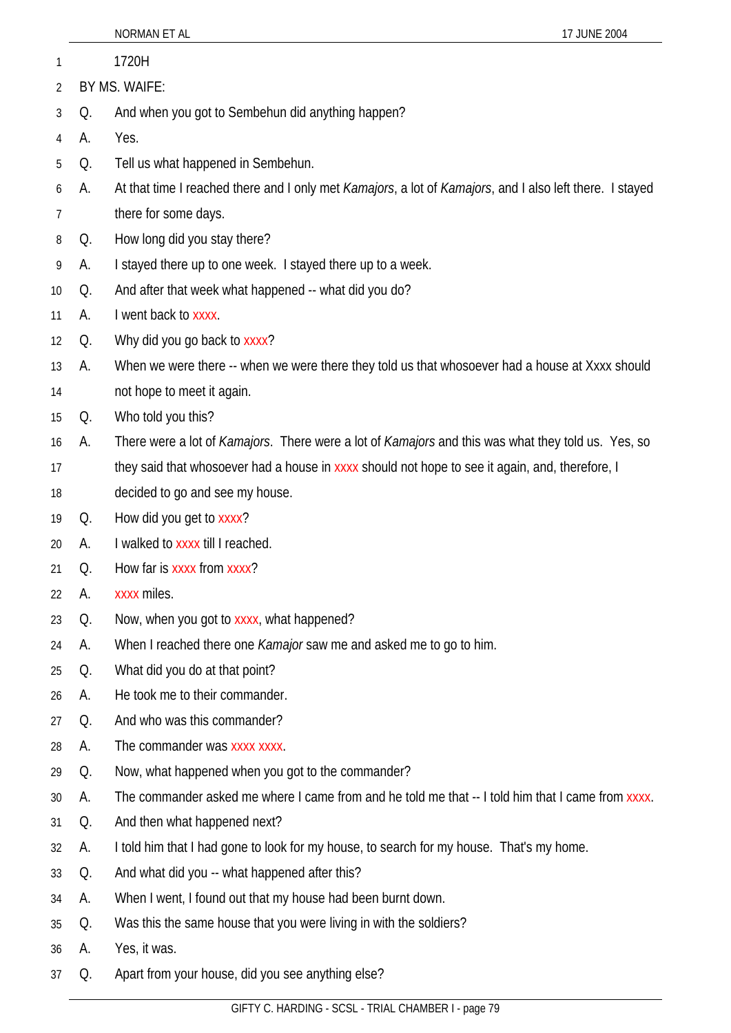|                |               | NORMAN ET AL<br>17 JUNE 2004                                                                             |  |
|----------------|---------------|----------------------------------------------------------------------------------------------------------|--|
| 1              |               | 1720H                                                                                                    |  |
| $\overline{2}$ | BY MS. WAIFE: |                                                                                                          |  |
| 3              | Q.            | And when you got to Sembehun did anything happen?                                                        |  |
| 4              | А.            | Yes.                                                                                                     |  |
| 5              | Q.            | Tell us what happened in Sembehun.                                                                       |  |
| 6              | А.            | At that time I reached there and I only met Kamajors, a lot of Kamajors, and I also left there. I stayed |  |
| 7              |               | there for some days.                                                                                     |  |
| 8              | Q.            | How long did you stay there?                                                                             |  |
| 9              | A.            | I stayed there up to one week. I stayed there up to a week.                                              |  |
| 10             | Q.            | And after that week what happened -- what did you do?                                                    |  |
| 11             | А.            | I went back to xxxx.                                                                                     |  |
| 12             | Q.            | Why did you go back to xxxx?                                                                             |  |
| 13             | А.            | When we were there -- when we were there they told us that whosoever had a house at Xxxx should          |  |
| 14             |               | not hope to meet it again.                                                                               |  |
| 15             | Q.            | Who told you this?                                                                                       |  |
| 16             | А.            | There were a lot of Kamajors. There were a lot of Kamajors and this was what they told us. Yes, so       |  |
| 17             |               | they said that whosoever had a house in xxxx should not hope to see it again, and, therefore, I          |  |
| 18             |               | decided to go and see my house.                                                                          |  |
| 19             | Q.            | How did you get to xxxx?                                                                                 |  |
| 20             | А.            | I walked to xxxx till I reached.                                                                         |  |
| 21             | Q.            | How far is xxxx from xxxx?                                                                               |  |
| 22             | А.            | xxxx miles.                                                                                              |  |
| 23             | Q.            | Now, when you got to xxxx, what happened?                                                                |  |
| 24             | А.            | When I reached there one <i>Kamajor</i> saw me and asked me to go to him.                                |  |
| 25             | Q.            | What did you do at that point?                                                                           |  |
| 26             | А.            | He took me to their commander.                                                                           |  |
| 27             | Q.            | And who was this commander?                                                                              |  |
| 28             | А.            | The commander was xxxx xxxx.                                                                             |  |
| 29             | Q.            | Now, what happened when you got to the commander?                                                        |  |
| 30             | А.            | The commander asked me where I came from and he told me that -- I told him that I came from xxxx.        |  |
| 31             | Q.            | And then what happened next?                                                                             |  |
| 32             | А.            | I told him that I had gone to look for my house, to search for my house. That's my home.                 |  |
| 33             | Q.            | And what did you -- what happened after this?                                                            |  |
| 34             | А.            | When I went, I found out that my house had been burnt down.                                              |  |
| 35             | Q.            | Was this the same house that you were living in with the soldiers?                                       |  |
| 36             | А.            | Yes, it was.                                                                                             |  |
| 37             | Q.            | Apart from your house, did you see anything else?                                                        |  |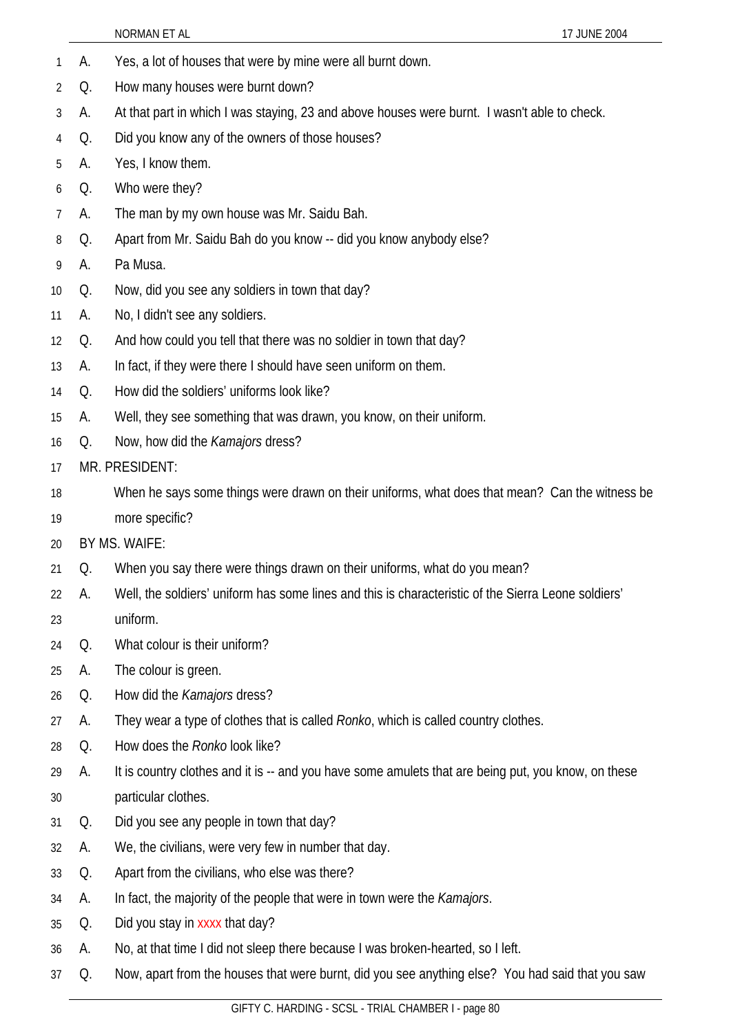- 1 A. Yes, a lot of houses that were by mine were all burnt down.
- 2 Q. How many houses were burnt down?
- 3 A. At that part in which I was staying, 23 and above houses were burnt. I wasn't able to check.
- 4 Q. Did you know any of the owners of those houses?
- 5 A. Yes, I know them.
- 6 Q. Who were they?
- 7 A. The man by my own house was Mr. Saidu Bah.
- 8 Q. Apart from Mr. Saidu Bah do you know -- did you know anybody else?
- 9 A. Pa Musa.
- 10 Q. Now, did you see any soldiers in town that day?
- 11 A. No, I didn't see any soldiers.
- 12 Q. And how could you tell that there was no soldier in town that day?
- 13 A. In fact, if they were there I should have seen uniform on them.
- 14 Q. How did the soldiers' uniforms look like?
- 15 A. Well, they see something that was drawn, you know, on their uniform.
- 16 Q. Now, how did the *Kamajors* dress?
- 17 MR. PRESIDENT:
- 18 19 When he says some things were drawn on their uniforms, what does that mean? Can the witness be more specific?
- 20 BY MS. WAIFE:
- 21 Q. When you say there were things drawn on their uniforms, what do you mean?
- 22 A. Well, the soldiers' uniform has some lines and this is characteristic of the Sierra Leone soldiers'

## 23 uniform.

- 24 Q. What colour is their uniform?
- 25 A. The colour is green.
- 26 Q. How did the *Kamajors* dress?
- 27 A. They wear a type of clothes that is called *Ronko*, which is called country clothes.
- 28 Q. How does the *Ronko* look like?
- 29 30 A. It is country clothes and it is -- and you have some amulets that are being put, you know, on these particular clothes.
- 31 Q. Did you see any people in town that day?
- 32 A. We, the civilians, were very few in number that day.
- 33 Q. Apart from the civilians, who else was there?
- 34 A. In fact, the majority of the people that were in town were the *Kamajors*.
- 35 Q. Did you stay in xxxx that day?
- 36 A. No, at that time I did not sleep there because I was broken-hearted, so I left.
- 37 Q. Now, apart from the houses that were burnt, did you see anything else? You had said that you saw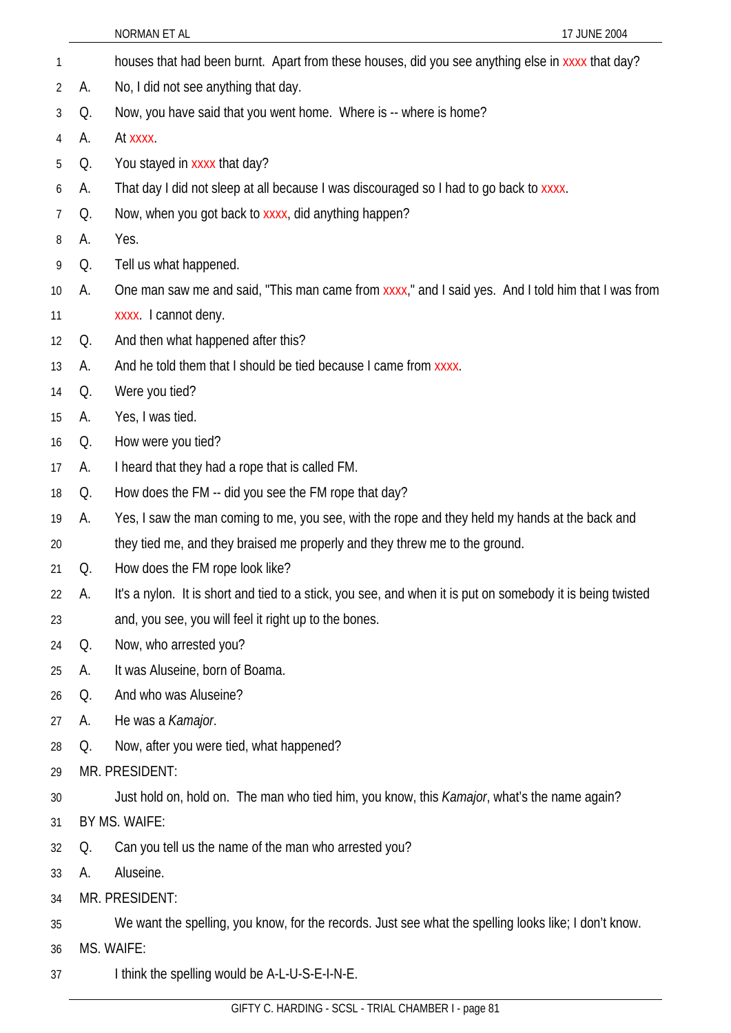| 1              |    | houses that had been burnt. Apart from these houses, did you see anything else in xxxx that day?           |  |  |
|----------------|----|------------------------------------------------------------------------------------------------------------|--|--|
| $\overline{2}$ | А. | No, I did not see anything that day.                                                                       |  |  |
| 3              | Q. | Now, you have said that you went home. Where is -- where is home?                                          |  |  |
| 4              | А. | At xxxx.                                                                                                   |  |  |
| 5              | Q. | You stayed in xxxx that day?                                                                               |  |  |
| 6              | А. | That day I did not sleep at all because I was discouraged so I had to go back to xxxx.                     |  |  |
| 7              | Q. | Now, when you got back to xxxx, did anything happen?                                                       |  |  |
| 8              | А. | Yes.                                                                                                       |  |  |
| 9              | Q. | Tell us what happened.                                                                                     |  |  |
| 10             | А. | One man saw me and said, "This man came from xxxx," and I said yes. And I told him that I was from         |  |  |
| 11             |    | xxxx. I cannot deny.                                                                                       |  |  |
| 12             | Q. | And then what happened after this?                                                                         |  |  |
| 13             | А. | And he told them that I should be tied because I came from xxxx.                                           |  |  |
| 14             | Q. | Were you tied?                                                                                             |  |  |
| 15             | А. | Yes, I was tied.                                                                                           |  |  |
| 16             | Q. | How were you tied?                                                                                         |  |  |
| 17             | А. | I heard that they had a rope that is called FM.                                                            |  |  |
| 18             | Q. | How does the FM -- did you see the FM rope that day?                                                       |  |  |
| 19             | А. | Yes, I saw the man coming to me, you see, with the rope and they held my hands at the back and             |  |  |
| 20             |    | they tied me, and they braised me properly and they threw me to the ground.                                |  |  |
| 21             | Q. | How does the FM rope look like?                                                                            |  |  |
| 22             | Α. | It's a nylon. It is short and tied to a stick, you see, and when it is put on somebody it is being twisted |  |  |
| 23             |    | and, you see, you will feel it right up to the bones.                                                      |  |  |
| 24             | Q. | Now, who arrested you?                                                                                     |  |  |
| 25             | А. | It was Aluseine, born of Boama.                                                                            |  |  |
| 26             | Q. | And who was Aluseine?                                                                                      |  |  |
| 27             | А. | He was a Kamajor.                                                                                          |  |  |
| 28             | Q. | Now, after you were tied, what happened?                                                                   |  |  |
| 29             |    | MR. PRESIDENT:                                                                                             |  |  |
| 30             |    | Just hold on, hold on. The man who tied him, you know, this <i>Kamajor</i> , what's the name again?        |  |  |
| 31             |    | BY MS. WAIFE:                                                                                              |  |  |
| 32             | Q. | Can you tell us the name of the man who arrested you?                                                      |  |  |
| 33             | А. | Aluseine.                                                                                                  |  |  |
| 34             |    | MR. PRESIDENT:                                                                                             |  |  |
| 35             |    | We want the spelling, you know, for the records. Just see what the spelling looks like; I don't know.      |  |  |
| 36             |    | MS. WAIFE:                                                                                                 |  |  |
| 37             |    | I think the spelling would be A-L-U-S-E-I-N-E.                                                             |  |  |
|                |    |                                                                                                            |  |  |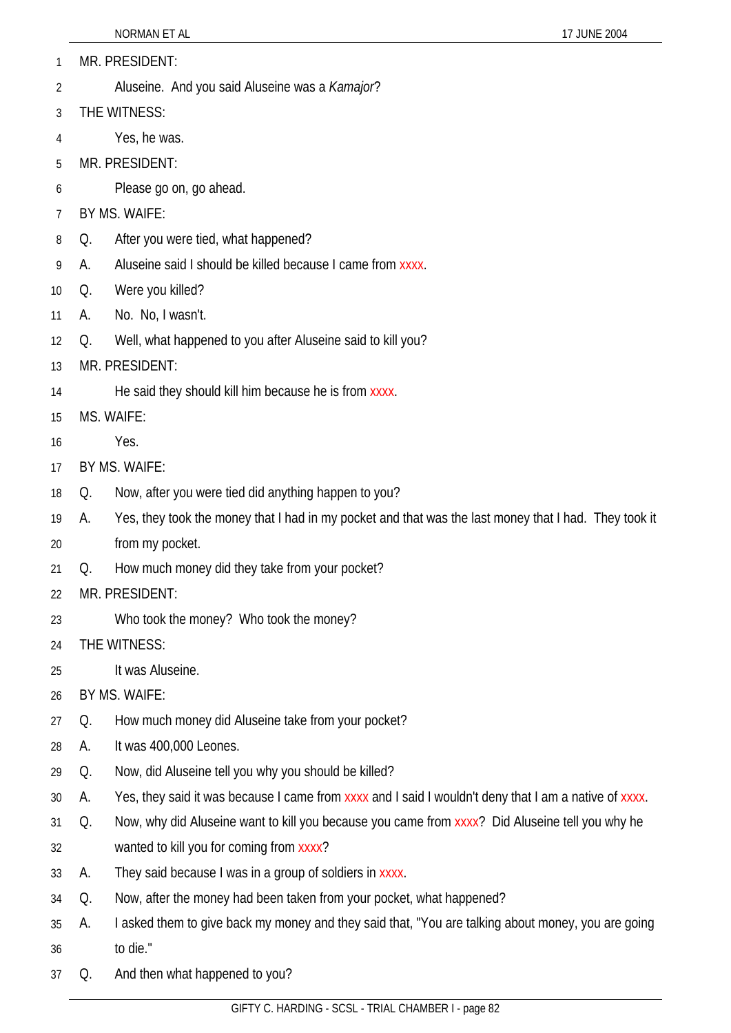- MR. PRESIDENT: 1
- Aluseine. And you said Aluseine was a *Kamajor*? 2
- 3 THE WITNESS:
- 4 Yes, he was.
- 5 MR. PRESIDENT:
- 6 Please go on, go ahead.
- 7 BY MS. WAIFE:
- 8 Q. After you were tied, what happened?
- 9 A. Aluseine said I should be killed because I came from xxxx.
- 10 Q. Were you killed?
- 11 A. No. No, I wasn't.
- 12 Q. Well, what happened to you after Aluseine said to kill you?
- 13 MR. PRESIDENT:
- 14 He said they should kill him because he is from xxxx.
- 15 MS. WAIFE:
- 16 Yes.
- 17 BY MS. WAIFE:
- 18 Q. Now, after you were tied did anything happen to you?
- 19 A. Yes, they took the money that I had in my pocket and that was the last money that I had. They took it
- 20 from my pocket.
- 21 Q. How much money did they take from your pocket?
- 22 MR. PRESIDENT:
- 23 Who took the money? Who took the money?
- 24 THE WITNESS:
- 25 It was Aluseine.
- 26 BY MS. WAIFE:
- 27 Q. How much money did Aluseine take from your pocket?
- 28 A. It was 400,000 Leones.
- 29 Q. Now, did Aluseine tell you why you should be killed?
- 30 A. Yes, they said it was because I came from xxxx and I said I wouldn't deny that I am a native of xxxx.
- 31 Q. Now, why did Aluseine want to kill you because you came from xxxx? Did Aluseine tell you why he
- 32 wanted to kill you for coming from xxxx?
- 33 A. They said because I was in a group of soldiers in xxxx.
- 34 Q. Now, after the money had been taken from your pocket, what happened?
- 35 36 A. I asked them to give back my money and they said that, "You are talking about money, you are going to die."
- 37 Q. And then what happened to you?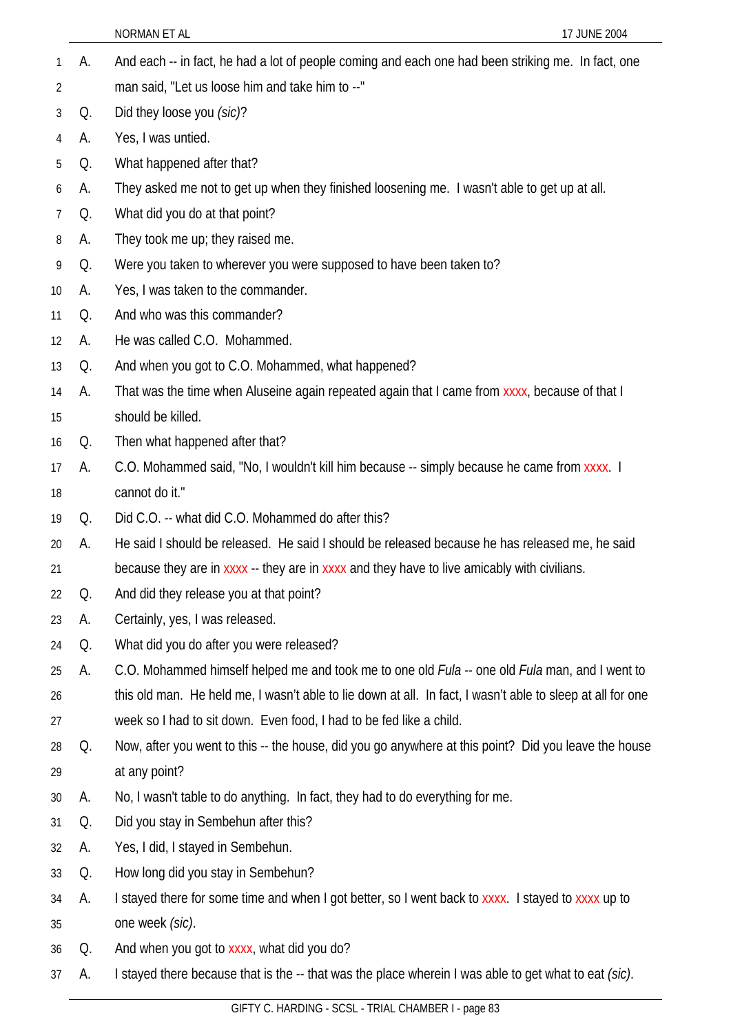NORMAN ET AL 17 JUNE 2004 A. And each -- in fact, he had a lot of people coming and each one had been striking me. In fact, one man said, "Let us loose him and take him to --" 1 2 3 4 5 6 7 8 9 10 11 12 13 14 15 16 17 18 19 20 21 22 23 24 25 26 27 28 29 30 31 32 33 34 35 36 37 Q. Did they loose you *(sic)*? A. Yes, I was untied. Q. What happened after that? A. They asked me not to get up when they finished loosening me. I wasn't able to get up at all. Q. What did you do at that point? A. They took me up; they raised me. Q. Were you taken to wherever you were supposed to have been taken to? A. Yes, I was taken to the commander. Q. And who was this commander? A. He was called C.O. Mohammed. Q. And when you got to C.O. Mohammed, what happened? A. That was the time when Aluseine again repeated again that I came from xxxx, because of that I should be killed. Q. Then what happened after that? A. C.O. Mohammed said, "No, I wouldn't kill him because -- simply because he came from xxxx. I cannot do it." Q. Did C.O. -- what did C.O. Mohammed do after this? A. He said I should be released. He said I should be released because he has released me, he said because they are in xxxx -- they are in xxxx and they have to live amicably with civilians. Q. And did they release you at that point? A. Certainly, yes, I was released. Q. What did you do after you were released? A. C.O. Mohammed himself helped me and took me to one old *Fula* -- one old *Fula* man, and I went to this old man. He held me, I wasn't able to lie down at all. In fact, I wasn't able to sleep at all for one week so I had to sit down. Even food, I had to be fed like a child. Q. Now, after you went to this -- the house, did you go anywhere at this point? Did you leave the house at any point? A. No, I wasn't table to do anything. In fact, they had to do everything for me. Q. Did you stay in Sembehun after this? A. Yes, I did, I stayed in Sembehun. Q. How long did you stay in Sembehun? A. I stayed there for some time and when I got better, so I went back to xxxx. I stayed to xxxx up to one week *(sic)*. Q. And when you got to xxxx, what did you do? A. I stayed there because that is the -- that was the place wherein I was able to get what to eat *(sic)*.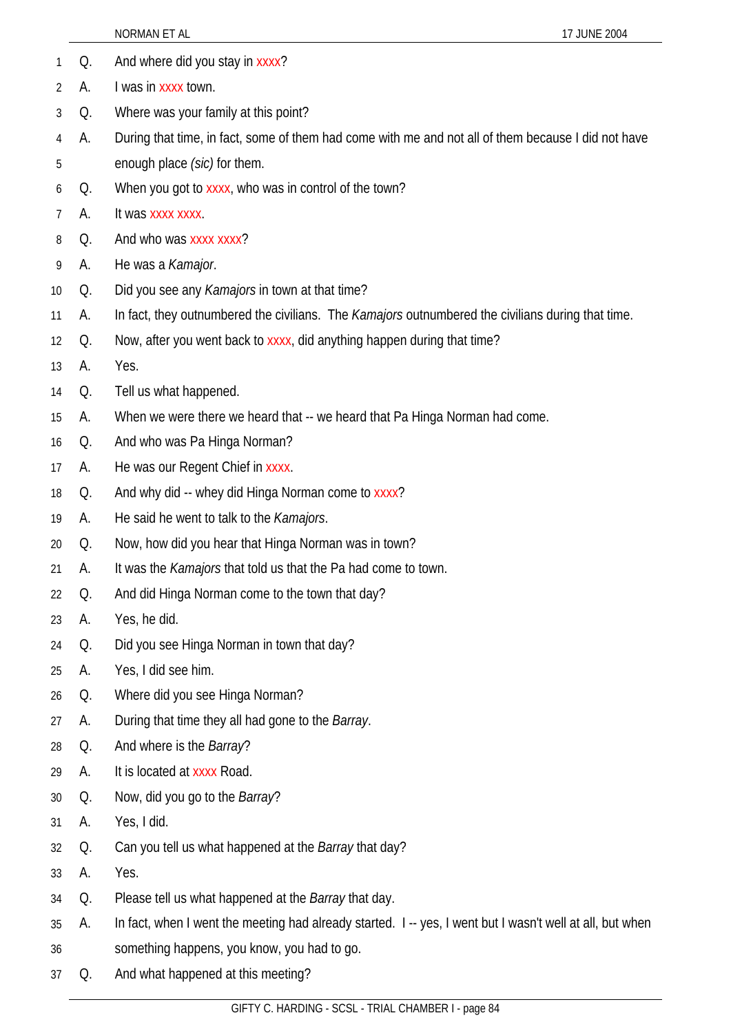|    |    | 17 JUNE 2004<br>NORMAN ET AL                                                                              |
|----|----|-----------------------------------------------------------------------------------------------------------|
| 1  | Q. | And where did you stay in xxxx?                                                                           |
| 2  | А. | I was in xxxx town.                                                                                       |
| 3  | Q. | Where was your family at this point?                                                                      |
| 4  | А. | During that time, in fact, some of them had come with me and not all of them because I did not have       |
| 5  |    | enough place (sic) for them.                                                                              |
| 6  | Q. | When you got to xxxx, who was in control of the town?                                                     |
| 7  | А. | It was xxxx xxxx.                                                                                         |
| 8  | Q. | And who was xxxx xxxx?                                                                                    |
| 9  | А. | He was a Kamajor.                                                                                         |
| 10 | Q. | Did you see any Kamajors in town at that time?                                                            |
| 11 | А. | In fact, they outnumbered the civilians. The Kamajors outnumbered the civilians during that time.         |
| 12 | Q. | Now, after you went back to xxxx, did anything happen during that time?                                   |
| 13 | А. | Yes.                                                                                                      |
| 14 | Q. | Tell us what happened.                                                                                    |
| 15 | А. | When we were there we heard that -- we heard that Pa Hinga Norman had come.                               |
| 16 | Q. | And who was Pa Hinga Norman?                                                                              |
| 17 | А. | He was our Regent Chief in xxxx.                                                                          |
| 18 | Q. | And why did -- whey did Hinga Norman come to xxxx?                                                        |
| 19 | А. | He said he went to talk to the <i>Kamajors</i> .                                                          |
| 20 | Q. | Now, how did you hear that Hinga Norman was in town?                                                      |
| 21 | А. | It was the Kamajors that told us that the Pa had come to town.                                            |
| 22 | Q. | And did Hinga Norman come to the town that day?                                                           |
| 23 | А. | Yes, he did.                                                                                              |
| 24 | Q. | Did you see Hinga Norman in town that day?                                                                |
| 25 | А. | Yes, I did see him.                                                                                       |
| 26 | Q. | Where did you see Hinga Norman?                                                                           |
| 27 | А. | During that time they all had gone to the Barray.                                                         |
| 28 | Q. | And where is the Barray?                                                                                  |
| 29 | А. | It is located at xxxx Road.                                                                               |
| 30 | Q. | Now, did you go to the Barray?                                                                            |
| 31 | А. | Yes, I did.                                                                                               |
| 32 | Q. | Can you tell us what happened at the Barray that day?                                                     |
| 33 | А. | Yes.                                                                                                      |
| 34 | Q. | Please tell us what happened at the Barray that day.                                                      |
| 35 | А. | In fact, when I went the meeting had already started. I -- yes, I went but I wasn't well at all, but when |
| 36 |    | something happens, you know, you had to go.                                                               |
| 37 | Q. | And what happened at this meeting?                                                                        |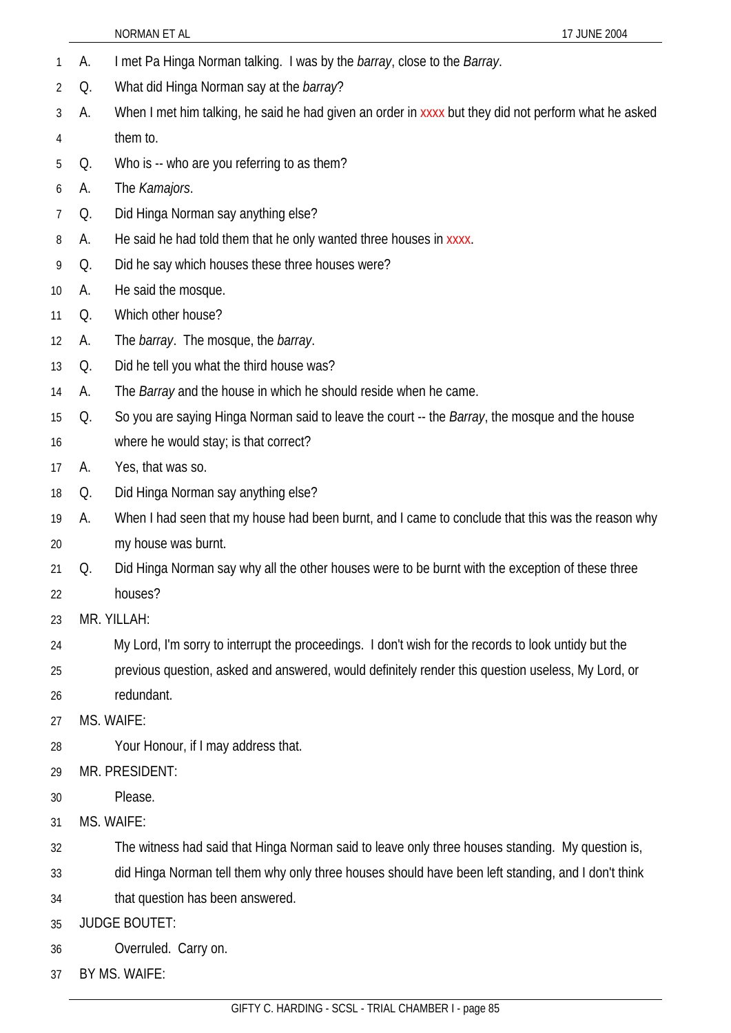- 1 A. I met Pa Hinga Norman talking. I was by the *barray*, close to the *Barray*.
- 2 Q. What did Hinga Norman say at the *barray*?
- 3 4 A. When I met him talking, he said he had given an order in xxxx but they did not perform what he asked them to.
- 5 Q. Who is -- who are you referring to as them?
- 6 A. The *Kamajors*.
- 7 Q. Did Hinga Norman say anything else?
- 8 A. He said he had told them that he only wanted three houses in xxxx.
- 9 Q. Did he say which houses these three houses were?
- 10 A. He said the mosque.
- 11 Q. Which other house?
- 12 A. The *barray*. The mosque, the *barray*.
- 13 Q. Did he tell you what the third house was?
- 14 A. The *Barray* and the house in which he should reside when he came.
- 15 Q. So you are saying Hinga Norman said to leave the court -- the *Barray*, the mosque and the house
- 16 where he would stay; is that correct?
- 17 A. Yes, that was so.
- 18 Q. Did Hinga Norman say anything else?
- 19 20 A. When I had seen that my house had been burnt, and I came to conclude that this was the reason why my house was burnt.
- 21 22 Q. Did Hinga Norman say why all the other houses were to be burnt with the exception of these three houses?
- 23 MR. YILLAH:
- 24 My Lord, I'm sorry to interrupt the proceedings. I don't wish for the records to look untidy but the
- 25 26 previous question, asked and answered, would definitely render this question useless, My Lord, or redundant.
- 27 MS. WAIFE:
- 28 Your Honour, if I may address that.
- 29 MR. PRESIDENT:
- 30 Please
- 31 MS. WAIFE:
- 32 The witness had said that Hinga Norman said to leave only three houses standing. My question is,
- 33 did Hinga Norman tell them why only three houses should have been left standing, and I don't think
- 34 that question has been answered.
- 35 JUDGE BOUTET:
- 36 Overruled. Carry on.
- 37 BY MS. WAIFE: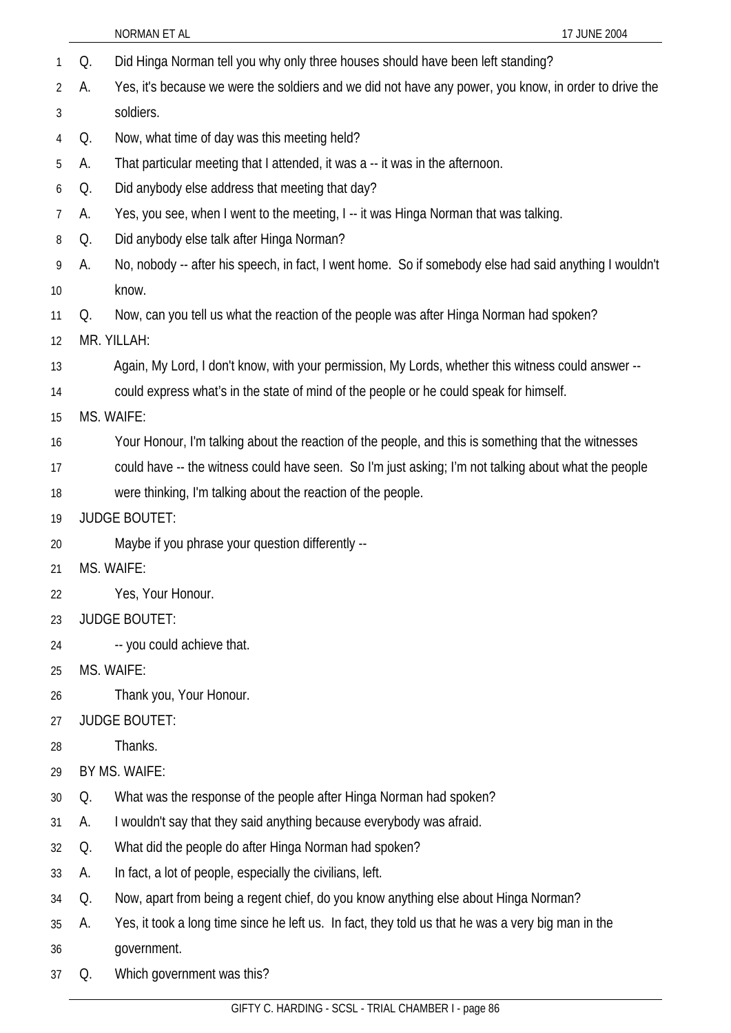|    |            | NORMAN ET AL<br>17 JUNE 2004                                                                           |
|----|------------|--------------------------------------------------------------------------------------------------------|
| 1  | Q.         | Did Hinga Norman tell you why only three houses should have been left standing?                        |
| 2  | А.         | Yes, it's because we were the soldiers and we did not have any power, you know, in order to drive the  |
| 3  |            | soldiers.                                                                                              |
| 4  | Q.         | Now, what time of day was this meeting held?                                                           |
| 5  | А.         | That particular meeting that I attended, it was a -- it was in the afternoon.                          |
| 6  | Q.         | Did anybody else address that meeting that day?                                                        |
| 7  | А.         | Yes, you see, when I went to the meeting, I -- it was Hinga Norman that was talking.                   |
| 8  | Q.         | Did anybody else talk after Hinga Norman?                                                              |
| 9  | А.         | No, nobody -- after his speech, in fact, I went home. So if somebody else had said anything I wouldn't |
| 10 |            | know.                                                                                                  |
| 11 | Q.         | Now, can you tell us what the reaction of the people was after Hinga Norman had spoken?                |
| 12 |            | MR. YILLAH:                                                                                            |
| 13 |            | Again, My Lord, I don't know, with your permission, My Lords, whether this witness could answer --     |
| 14 |            | could express what's in the state of mind of the people or he could speak for himself.                 |
| 15 | MS. WAIFE: |                                                                                                        |
| 16 |            | Your Honour, I'm talking about the reaction of the people, and this is something that the witnesses    |
| 17 |            | could have -- the witness could have seen. So I'm just asking; I'm not talking about what the people   |
| 18 |            | were thinking, I'm talking about the reaction of the people.                                           |
| 19 |            | <b>JUDGE BOUTET:</b>                                                                                   |
| 20 |            | Maybe if you phrase your question differently --                                                       |
| 21 |            | MS. WAIFE:                                                                                             |
| 22 |            | Yes, Your Honour.                                                                                      |
| 23 |            | <b>JUDGE BOUTET:</b>                                                                                   |
| 24 |            | -- you could achieve that.                                                                             |
| 25 |            | MS. WAIFE:                                                                                             |
| 26 |            | Thank you, Your Honour.                                                                                |
| 27 |            | <b>JUDGE BOUTET:</b>                                                                                   |
| 28 |            | Thanks.                                                                                                |
| 29 |            | BY MS. WAIFE:                                                                                          |
| 30 | Q.         | What was the response of the people after Hinga Norman had spoken?                                     |
| 31 | А.         | I wouldn't say that they said anything because everybody was afraid.                                   |
| 32 | Q.         | What did the people do after Hinga Norman had spoken?                                                  |
| 33 | А.         | In fact, a lot of people, especially the civilians, left.                                              |
| 34 | Q.         | Now, apart from being a regent chief, do you know anything else about Hinga Norman?                    |
| 35 | А.         | Yes, it took a long time since he left us. In fact, they told us that he was a very big man in the     |
| 36 |            | government.                                                                                            |
| 37 | Q.         | Which government was this?                                                                             |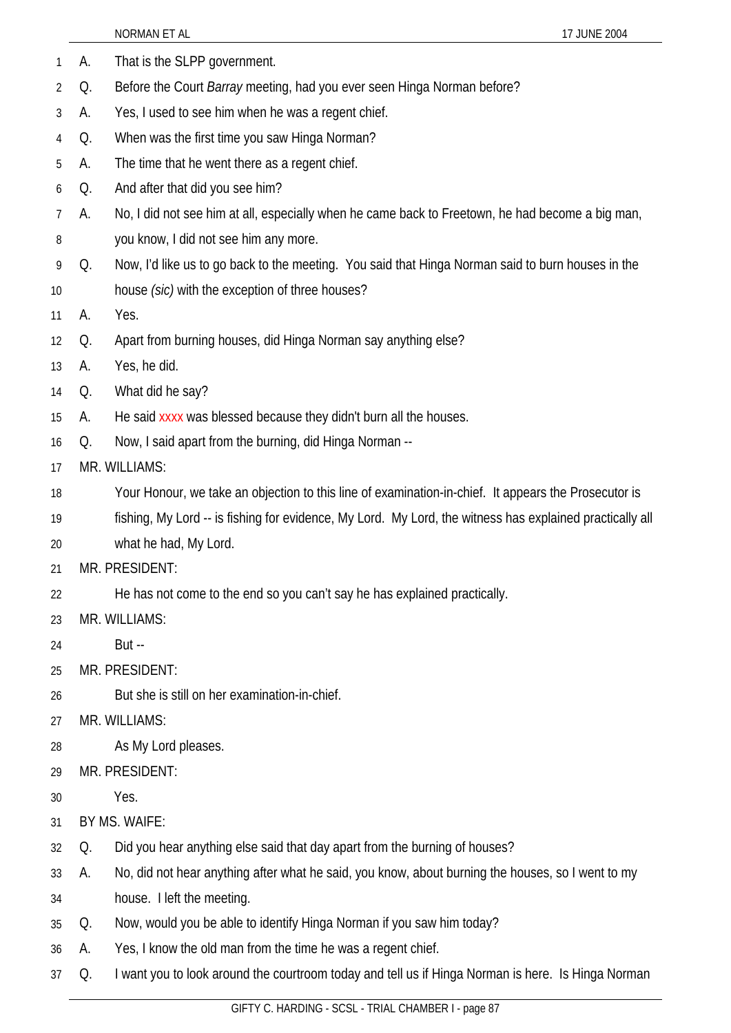|    |    | NORMAN ET AL<br>17 JUNE 2004                                                                             |
|----|----|----------------------------------------------------------------------------------------------------------|
| 1  | А. | That is the SLPP government.                                                                             |
| 2  | Q. | Before the Court <i>Barray</i> meeting, had you ever seen Hinga Norman before?                           |
| 3  | А. | Yes, I used to see him when he was a regent chief.                                                       |
| 4  | Q. | When was the first time you saw Hinga Norman?                                                            |
| 5  | А. | The time that he went there as a regent chief.                                                           |
| 6  | Q. | And after that did you see him?                                                                          |
| 7  | А. | No, I did not see him at all, especially when he came back to Freetown, he had become a big man,         |
| 8  |    | you know, I did not see him any more.                                                                    |
| 9  | Q. | Now, I'd like us to go back to the meeting. You said that Hinga Norman said to burn houses in the        |
| 10 |    | house (sic) with the exception of three houses?                                                          |
| 11 | А. | Yes.                                                                                                     |
| 12 | Q. | Apart from burning houses, did Hinga Norman say anything else?                                           |
| 13 | А. | Yes, he did.                                                                                             |
| 14 | Q. | What did he say?                                                                                         |
| 15 | А. | He said xxxx was blessed because they didn't burn all the houses.                                        |
| 16 | Q. | Now, I said apart from the burning, did Hinga Norman --                                                  |
| 17 |    | MR. WILLIAMS:                                                                                            |
| 18 |    | Your Honour, we take an objection to this line of examination-in-chief. It appears the Prosecutor is     |
| 19 |    | fishing, My Lord -- is fishing for evidence, My Lord. My Lord, the witness has explained practically all |
| 20 |    | what he had, My Lord.                                                                                    |
| 21 |    | MR. PRESIDENT:                                                                                           |
| 22 |    | He has not come to the end so you can't say he has explained practically.                                |
| 23 |    | MR. WILLIAMS:                                                                                            |
| 24 |    | <b>But --</b>                                                                                            |
| 25 |    | MR. PRESIDENT:                                                                                           |
| 26 |    | But she is still on her examination-in-chief.                                                            |
| 27 |    | MR. WILLIAMS:                                                                                            |
| 28 |    | As My Lord pleases.                                                                                      |
| 29 |    | MR. PRESIDENT:                                                                                           |
| 30 |    | Yes.                                                                                                     |
| 31 |    | BY MS. WAIFE:                                                                                            |
| 32 | Q. | Did you hear anything else said that day apart from the burning of houses?                               |
| 33 | А. | No, did not hear anything after what he said, you know, about burning the houses, so I went to my        |
| 34 |    | house. I left the meeting.                                                                               |
| 35 | Q. | Now, would you be able to identify Hinga Norman if you saw him today?                                    |
| 36 | A. | Yes, I know the old man from the time he was a regent chief.                                             |
| 37 | Q. | I want you to look around the courtroom today and tell us if Hinga Norman is here. Is Hinga Norman       |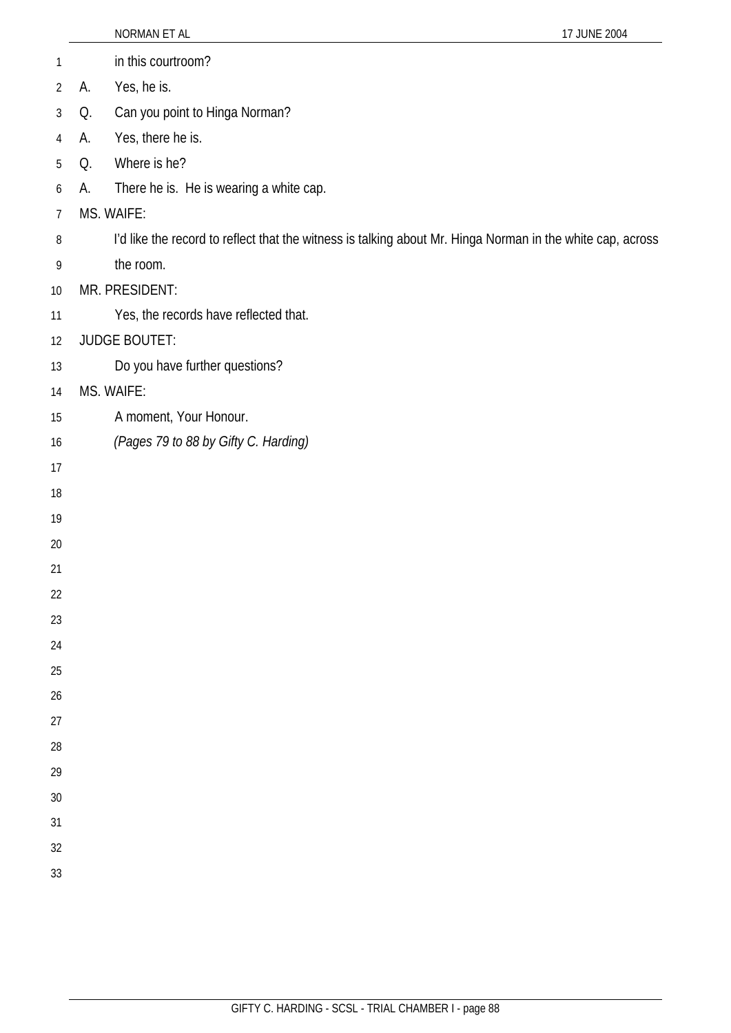|                |    | NORMAN ET AL                                                                                               | 17 JUNE 2004 |
|----------------|----|------------------------------------------------------------------------------------------------------------|--------------|
| 1              |    | in this courtroom?                                                                                         |              |
| $\overline{2}$ | А. | Yes, he is.                                                                                                |              |
| $\mathfrak{Z}$ | Q. | Can you point to Hinga Norman?                                                                             |              |
| 4              | А. | Yes, there he is.                                                                                          |              |
| 5              | Q. | Where is he?                                                                                               |              |
| 6              | А. | There he is. He is wearing a white cap.                                                                    |              |
| $\overline{7}$ |    | MS. WAIFE:                                                                                                 |              |
| 8              |    | I'd like the record to reflect that the witness is talking about Mr. Hinga Norman in the white cap, across |              |
| 9              |    | the room.                                                                                                  |              |
| 10             |    | MR. PRESIDENT:                                                                                             |              |
| 11             |    | Yes, the records have reflected that.                                                                      |              |
| 12             |    | <b>JUDGE BOUTET:</b>                                                                                       |              |
| 13             |    | Do you have further questions?                                                                             |              |
| 14             |    | MS. WAIFE:                                                                                                 |              |
| 15             |    | A moment, Your Honour.                                                                                     |              |
| 16             |    | (Pages 79 to 88 by Gifty C. Harding)                                                                       |              |
| 17             |    |                                                                                                            |              |
| 18             |    |                                                                                                            |              |
| 19             |    |                                                                                                            |              |
| 20             |    |                                                                                                            |              |
| 21             |    |                                                                                                            |              |
| 22             |    |                                                                                                            |              |
| 23             |    |                                                                                                            |              |
| 24             |    |                                                                                                            |              |
| 25             |    |                                                                                                            |              |
| 26             |    |                                                                                                            |              |
| 27             |    |                                                                                                            |              |
| 28             |    |                                                                                                            |              |
| 29             |    |                                                                                                            |              |
| 30             |    |                                                                                                            |              |
| 31             |    |                                                                                                            |              |
| 32<br>33       |    |                                                                                                            |              |
|                |    |                                                                                                            |              |
|                |    |                                                                                                            |              |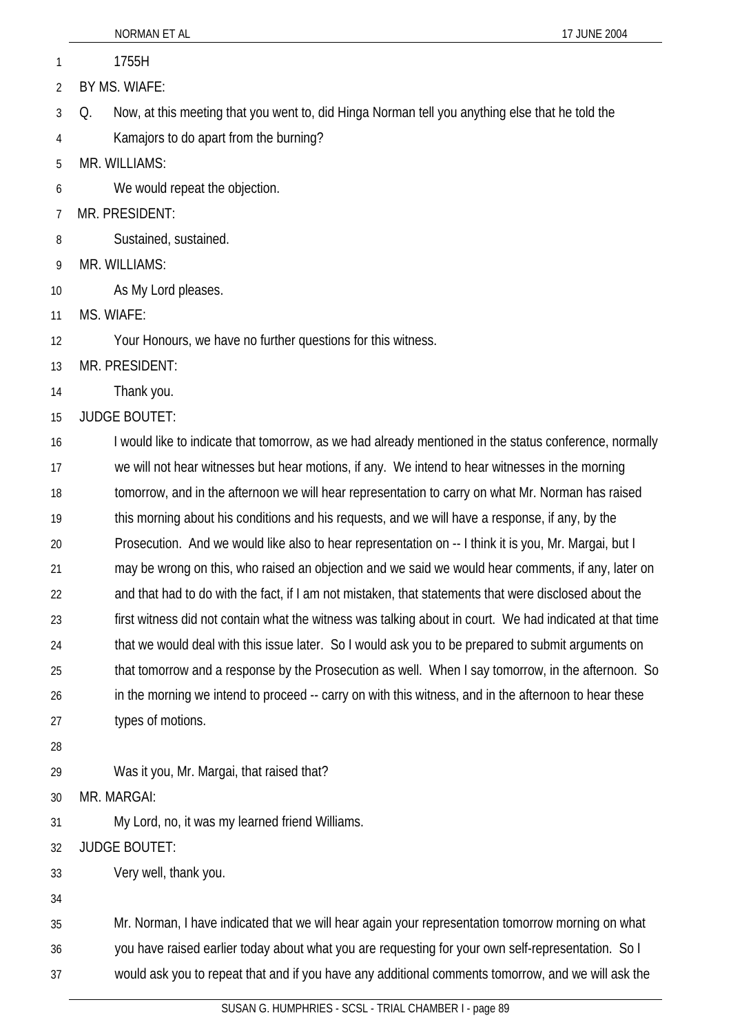|    | NORMAN ET AL<br>17 JUNE 2004                                                                             |  |
|----|----------------------------------------------------------------------------------------------------------|--|
| 1  | 1755H                                                                                                    |  |
| 2  | BY MS. WIAFE:                                                                                            |  |
| 3  | Now, at this meeting that you went to, did Hinga Norman tell you anything else that he told the<br>Q.    |  |
| 4  | Kamajors to do apart from the burning?                                                                   |  |
| 5  | MR. WILLIAMS:                                                                                            |  |
| 6  | We would repeat the objection.                                                                           |  |
| 7  | MR. PRESIDENT:                                                                                           |  |
| 8  | Sustained, sustained.                                                                                    |  |
| 9  | MR. WILLIAMS:                                                                                            |  |
| 10 | As My Lord pleases.                                                                                      |  |
| 11 | MS. WIAFE:                                                                                               |  |
| 12 | Your Honours, we have no further questions for this witness.                                             |  |
| 13 | MR. PRESIDENT:                                                                                           |  |
| 14 | Thank you.                                                                                               |  |
| 15 | <b>JUDGE BOUTET:</b>                                                                                     |  |
| 16 | I would like to indicate that tomorrow, as we had already mentioned in the status conference, normally   |  |
| 17 | we will not hear witnesses but hear motions, if any. We intend to hear witnesses in the morning          |  |
| 18 | tomorrow, and in the afternoon we will hear representation to carry on what Mr. Norman has raised        |  |
| 19 | this morning about his conditions and his requests, and we will have a response, if any, by the          |  |
| 20 | Prosecution. And we would like also to hear representation on -- I think it is you, Mr. Margai, but I    |  |
| 21 | may be wrong on this, who raised an objection and we said we would hear comments, if any, later on       |  |
| 22 | and that had to do with the fact, if I am not mistaken, that statements that were disclosed about the    |  |
| 23 | first witness did not contain what the witness was talking about in court. We had indicated at that time |  |
| 24 | that we would deal with this issue later. So I would ask you to be prepared to submit arguments on       |  |
| 25 | that tomorrow and a response by the Prosecution as well. When I say tomorrow, in the afternoon. So       |  |
| 26 | in the morning we intend to proceed -- carry on with this witness, and in the afternoon to hear these    |  |
| 27 | types of motions.                                                                                        |  |
| 28 |                                                                                                          |  |
| 29 | Was it you, Mr. Margai, that raised that?                                                                |  |
| 30 | MR. MARGAI:                                                                                              |  |
| 31 | My Lord, no, it was my learned friend Williams.                                                          |  |
| 32 | <b>JUDGE BOUTET:</b>                                                                                     |  |
| 33 | Very well, thank you.                                                                                    |  |
| 34 |                                                                                                          |  |
| 35 | Mr. Norman, I have indicated that we will hear again your representation tomorrow morning on what        |  |

36 you have raised earlier today about what you are requesting for your own self-representation. So I

37 would ask you to repeat that and if you have any additional comments tomorrow, and we will ask the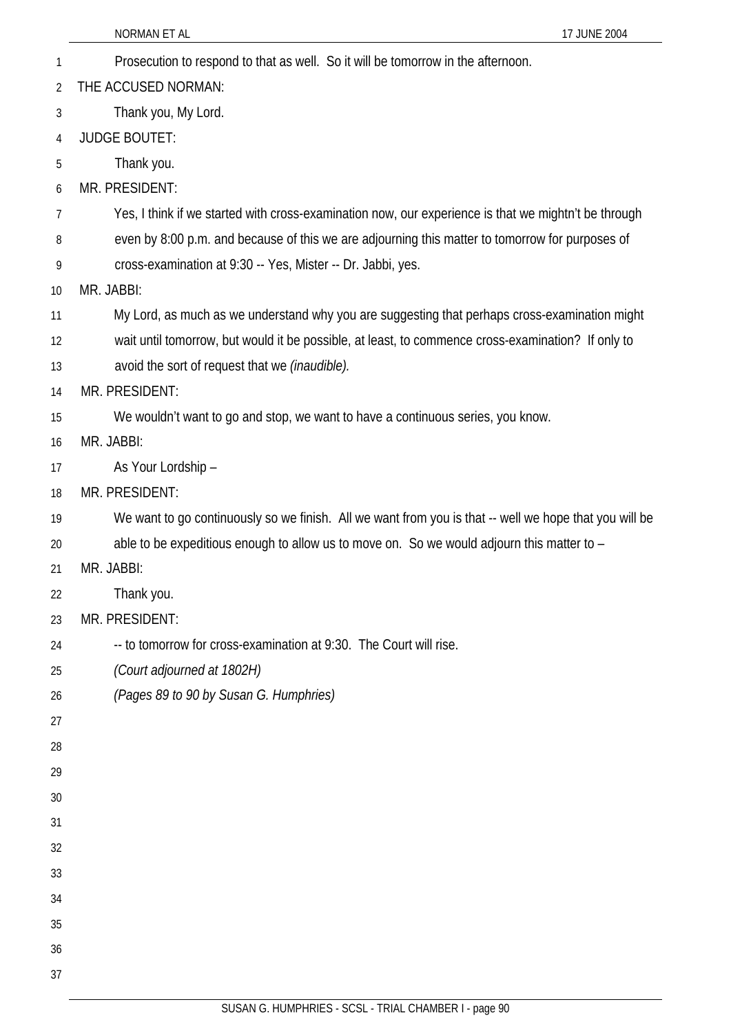35

36 37

- NORMAN ET AL 17 JUNE 2004 1 Prosecution to respond to that as well. So it will be tomorrow in the afternoon. 2 3 4 5 6 7 8 9 10 11 12 13 14 15 16 17 18 19 20 21 22 23 24 25 26 27 28 29 30 31 32 33 34 THE ACCUSED NORMAN: Thank you, My Lord. JUDGE BOUTET: Thank you. MR. PRESIDENT: Yes, I think if we started with cross-examination now, our experience is that we mightn't be through even by 8:00 p.m. and because of this we are adjourning this matter to tomorrow for purposes of cross-examination at 9:30 -- Yes, Mister -- Dr. Jabbi, yes. MR. JABBI: My Lord, as much as we understand why you are suggesting that perhaps cross-examination might wait until tomorrow, but would it be possible, at least, to commence cross-examination? If only to avoid the sort of request that we *(inaudible).* MR. PRESIDENT: We wouldn't want to go and stop, we want to have a continuous series, you know. MR. JABBI: As Your Lordship – MR. PRESIDENT: We want to go continuously so we finish. All we want from you is that -- well we hope that you will be able to be expeditious enough to allow us to move on. So we would adjourn this matter to – MR. JABBI: Thank you. MR. PRESIDENT: -- to tomorrow for cross-examination at 9:30. The Court will rise. *(Court adjourned at 1802H) (Pages 89 to 90 by Susan G. Humphries)* 
	- SUSAN G. HUMPHRIES SCSL TRIAL CHAMBER I page 90